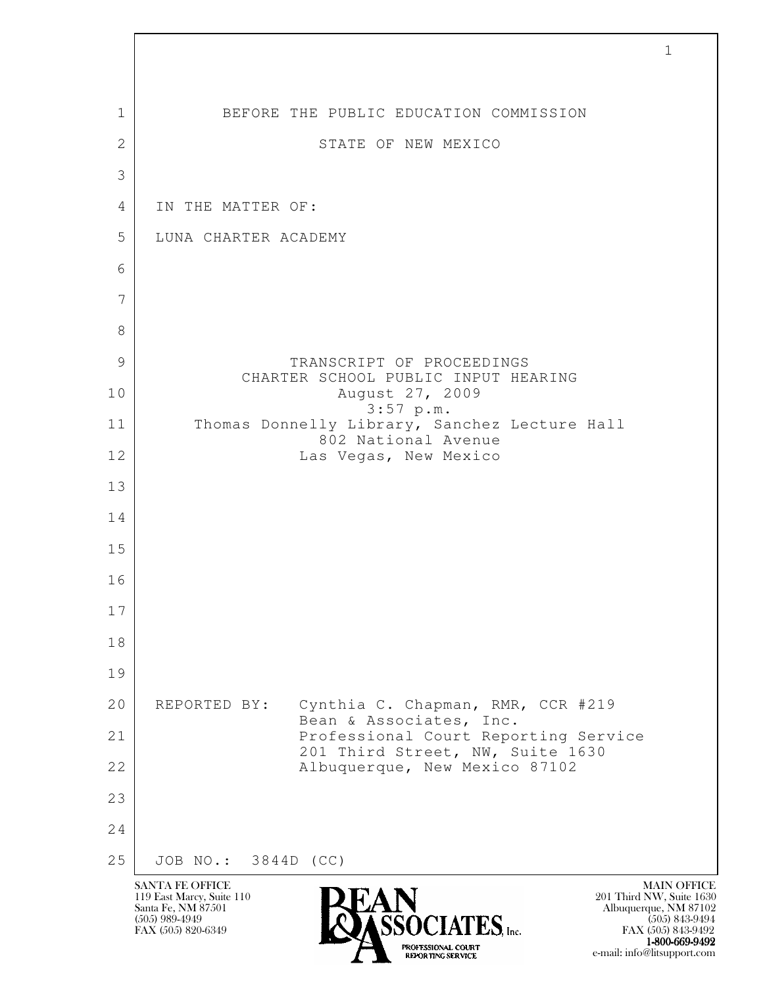| 1            | BEFORE THE PUBLIC EDUCATION COMMISSION                                                                                                                                                                                                                                        |
|--------------|-------------------------------------------------------------------------------------------------------------------------------------------------------------------------------------------------------------------------------------------------------------------------------|
| $\mathbf{2}$ | STATE OF NEW MEXICO                                                                                                                                                                                                                                                           |
| 3            |                                                                                                                                                                                                                                                                               |
| 4            | IN THE MATTER OF:                                                                                                                                                                                                                                                             |
| 5            | LUNA CHARTER ACADEMY                                                                                                                                                                                                                                                          |
| 6            |                                                                                                                                                                                                                                                                               |
| 7            |                                                                                                                                                                                                                                                                               |
| 8            |                                                                                                                                                                                                                                                                               |
| 9            | TRANSCRIPT OF PROCEEDINGS                                                                                                                                                                                                                                                     |
| 10           | CHARTER SCHOOL PUBLIC INPUT HEARING<br>August 27, 2009                                                                                                                                                                                                                        |
| 11           | $3:57$ p.m.<br>Thomas Donnelly Library, Sanchez Lecture Hall                                                                                                                                                                                                                  |
| 12           | 802 National Avenue<br>Las Vegas, New Mexico                                                                                                                                                                                                                                  |
| 13           |                                                                                                                                                                                                                                                                               |
| 14           |                                                                                                                                                                                                                                                                               |
| 15           |                                                                                                                                                                                                                                                                               |
| 16           |                                                                                                                                                                                                                                                                               |
| $1\,7$       |                                                                                                                                                                                                                                                                               |
| 18           |                                                                                                                                                                                                                                                                               |
| 19           |                                                                                                                                                                                                                                                                               |
| 20           | Cynthia C. Chapman, RMR, CCR #219<br>REPORTED BY:<br>Bean & Associates, Inc.                                                                                                                                                                                                  |
| 21           | Professional Court Reporting Service<br>201 Third Street, NW, Suite 1630                                                                                                                                                                                                      |
| 22           | Albuquerque, New Mexico 87102                                                                                                                                                                                                                                                 |
| 23           |                                                                                                                                                                                                                                                                               |
| 24           |                                                                                                                                                                                                                                                                               |
| 25           | JOB NO.: 3844D (CC)                                                                                                                                                                                                                                                           |
|              | <b>SANTA FE OFFICE</b><br><b>MAIN OFFICE</b><br>119 East Marcy, Suite 110<br>201 Third NW, Suite 1630<br>Santa Fe, NM 87501<br>Albuquerque, NM 87102<br>$(505)$ 989-4949<br>$(505)$ 843-9494<br>$CIATES$ , Inc.<br>FAX (505) 820-6349<br>FAX (505) 843-9492<br>1-800-669-9492 |

 $\sqrt{ }$ 

EXPORTING SERVICE e-mail: info@litsupport.com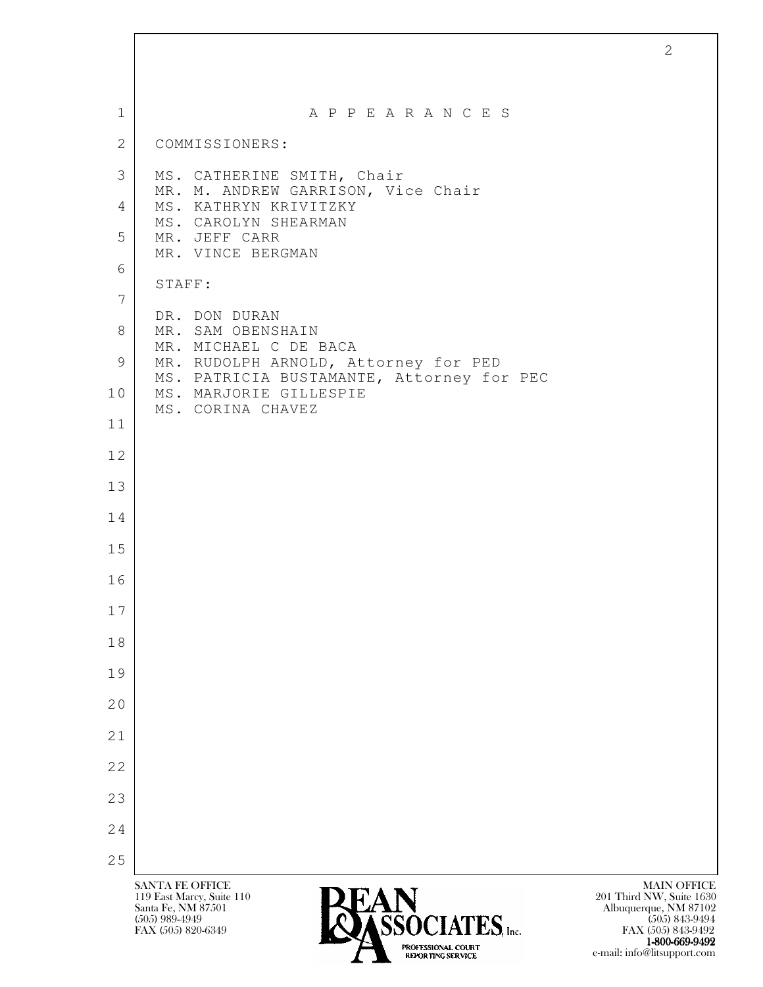| $\mathbf{1}$    | A P P E A R A N C E S                                               |                    |
|-----------------|---------------------------------------------------------------------|--------------------|
| 2               | COMMISSIONERS:                                                      |                    |
| 3               | MS. CATHERINE SMITH, Chair                                          |                    |
| 4               | MR. M. ANDREW GARRISON, Vice Chair<br>MS. KATHRYN KRIVITZKY         |                    |
| 5               | MS. CAROLYN SHEARMAN<br>MR. JEFF CARR                               |                    |
| 6               | MR. VINCE BERGMAN                                                   |                    |
| $7\phantom{.0}$ | STAFF:                                                              |                    |
| 8               | DR. DON DURAN<br>MR. SAM OBENSHAIN                                  |                    |
| 9               | MR. MICHAEL C DE BACA<br>MR. RUDOLPH ARNOLD, Attorney for PED       |                    |
| 10              | MS. PATRICIA BUSTAMANTE, Attorney for PEC<br>MS. MARJORIE GILLESPIE |                    |
| 11              | MS. CORINA CHAVEZ                                                   |                    |
| 12              |                                                                     |                    |
| 13              |                                                                     |                    |
| 14              |                                                                     |                    |
| 15              |                                                                     |                    |
| 16              |                                                                     |                    |
| 17              |                                                                     |                    |
| 18              |                                                                     |                    |
| 19              |                                                                     |                    |
|                 |                                                                     |                    |
| 20              |                                                                     |                    |
| 21              |                                                                     |                    |
| 22              |                                                                     |                    |
| 23              |                                                                     |                    |
| 24              |                                                                     |                    |
| 25              | <b>SANTA FE OFFICE</b>                                              | <b>MAIN OFFICE</b> |

1-800-669-9492 EXPORTING SERVICE e-mail: info@litsupport.com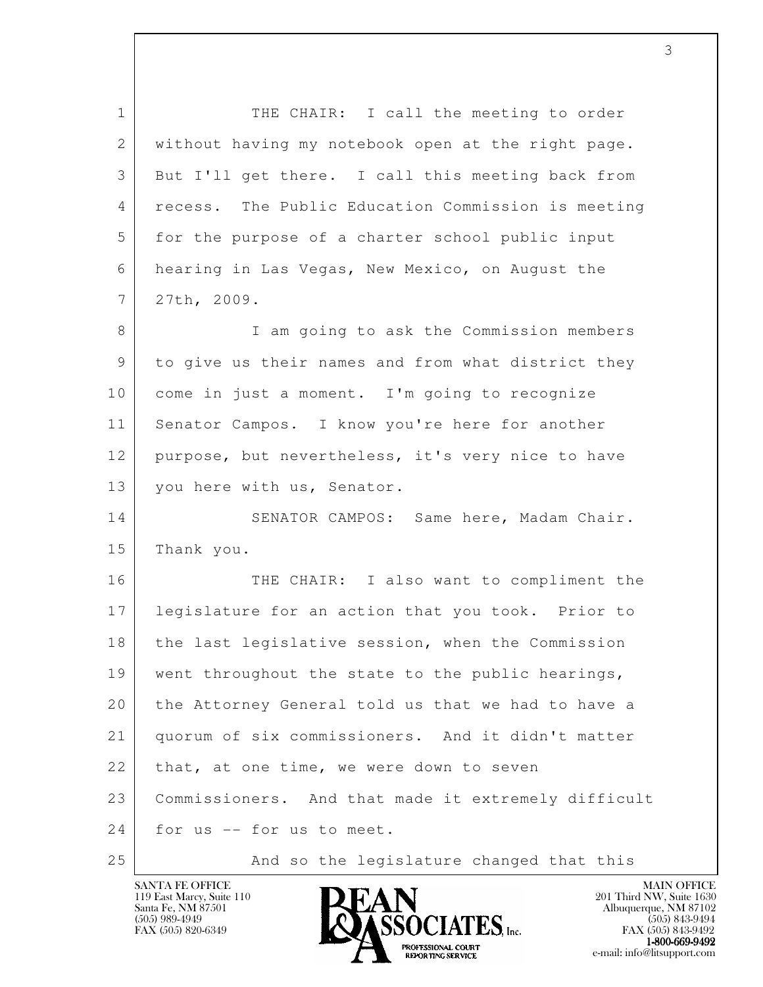| $\mathbf{1}$   | THE CHAIR: I call the meeting to order              |
|----------------|-----------------------------------------------------|
| 2              | without having my notebook open at the right page.  |
| 3              | But I'll get there. I call this meeting back from   |
| 4              | recess. The Public Education Commission is meeting  |
| 5              | for the purpose of a charter school public input    |
| 6              | hearing in Las Vegas, New Mexico, on August the     |
| $7\phantom{.}$ | 27th, 2009.                                         |
| 8              | I am going to ask the Commission members            |
| 9              | to give us their names and from what district they  |
| 10             | come in just a moment. I'm going to recognize       |
| 11             | Senator Campos. I know you're here for another      |
| 12             | purpose, but nevertheless, it's very nice to have   |
| 13             | you here with us, Senator.                          |
| 14             | SENATOR CAMPOS: Same here, Madam Chair.             |
| 15             | Thank you.                                          |
| 16             | THE CHAIR: I also want to compliment the            |
| 17             | legislature for an action that you took. Prior to   |
| 18             | the last legislative session, when the Commission   |
| 19             | went throughout the state to the public hearings,   |
| 20             | the Attorney General told us that we had to have a  |
| 21             | quorum of six commissioners. And it didn't matter   |
| 22             | that, at one time, we were down to seven            |
| 23             | Commissioners. And that made it extremely difficult |
| 24             | for us -- for us to meet.                           |
| 25             | And so the legislature changed that this            |

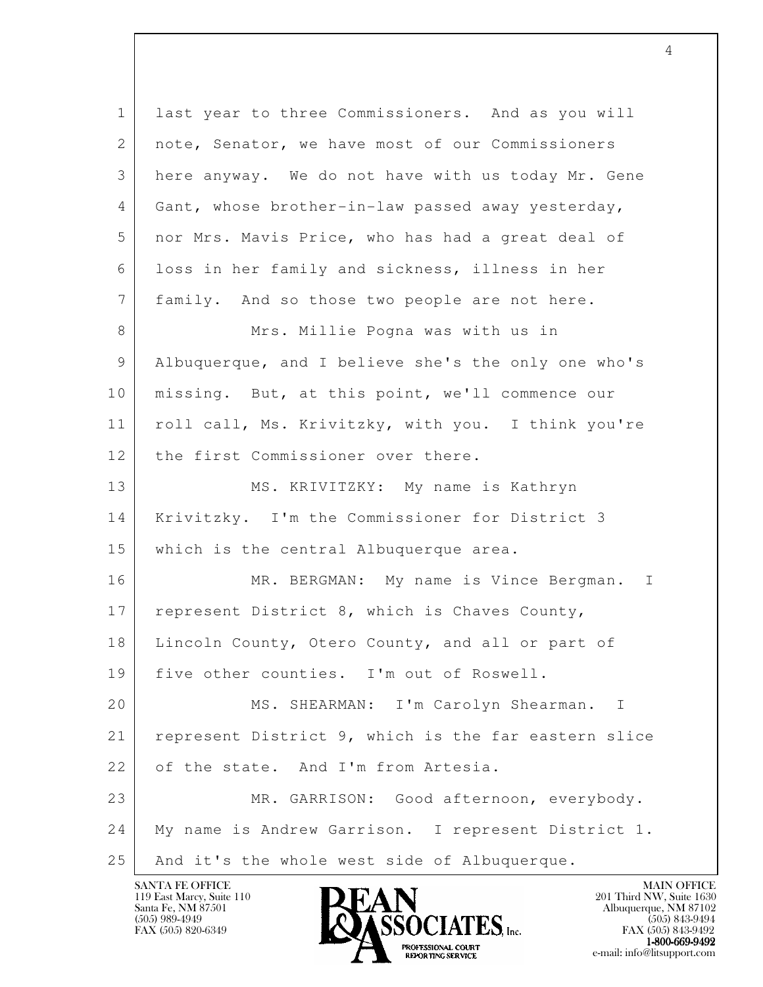l 1 last year to three Commissioners. And as you will 2 | note, Senator, we have most of our Commissioners 3 here anyway. We do not have with us today Mr. Gene 4 Gant, whose brother-in-law passed away yesterday, 5 nor Mrs. Mavis Price, who has had a great deal of 6 loss in her family and sickness, illness in her 7 family. And so those two people are not here. 8 Mrs. Millie Pogna was with us in 9 Albuquerque, and I believe she's the only one who's 10 | missing. But, at this point, we'll commence our 11 | roll call, Ms. Krivitzky, with you. I think you're 12 the first Commissioner over there. 13 MS. KRIVITZKY: My name is Kathryn 14 Krivitzky. I'm the Commissioner for District 3 15 which is the central Albuquerque area. 16 MR. BERGMAN: My name is Vince Bergman. I 17 represent District 8, which is Chaves County, 18 | Lincoln County, Otero County, and all or part of 19 five other counties. I'm out of Roswell. 20 MS. SHEARMAN: I'm Carolyn Shearman. I 21 represent District 9, which is the far eastern slice 22 of the state. And I'm from Artesia. 23 MR. GARRISON: Good afternoon, everybody. 24 My name is Andrew Garrison. I represent District 1. 25 | And it's the whole west side of Albuquerque.

4

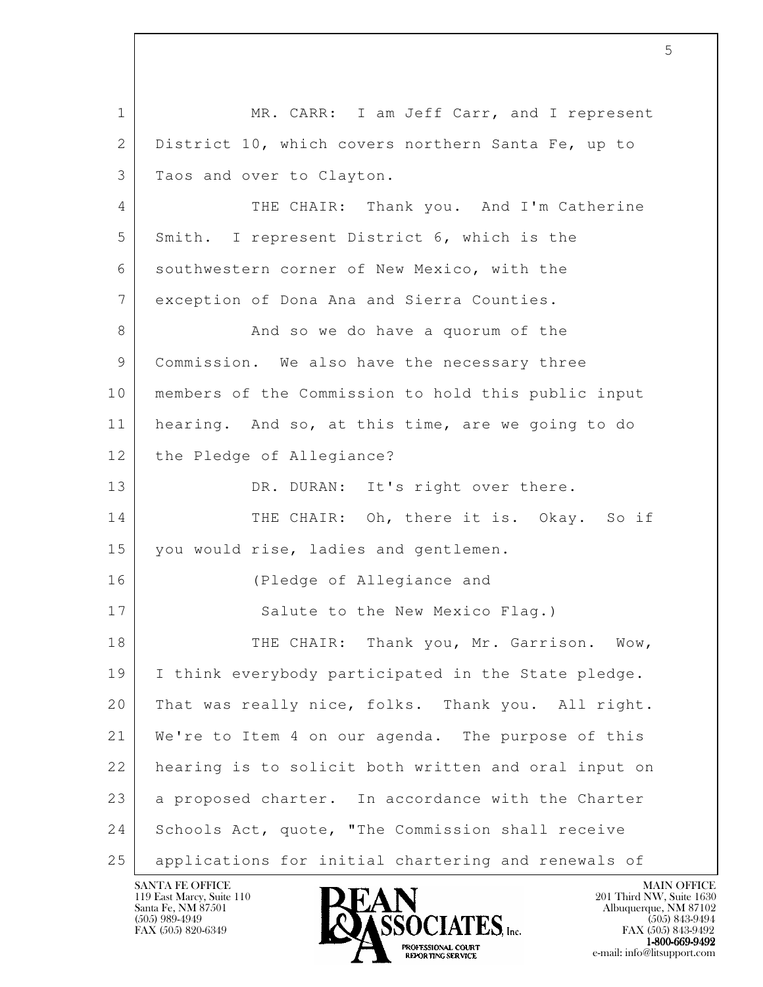l 1 | MR. CARR: I am Jeff Carr, and I represent 2 District 10, which covers northern Santa Fe, up to 3 Taos and over to Clayton. 4 THE CHAIR: Thank you. And I'm Catherine 5 Smith. I represent District 6, which is the 6 southwestern corner of New Mexico, with the 7 exception of Dona Ana and Sierra Counties. 8 And so we do have a quorum of the 9 Commission. We also have the necessary three 10 members of the Commission to hold this public input 11 hearing. And so, at this time, are we going to do 12 the Pledge of Allegiance? 13 DR. DURAN: It's right over there. 14 THE CHAIR: Oh, there it is. Okay. So if 15 | you would rise, ladies and gentlemen. 16 (Pledge of Allegiance and 17 Salute to the New Mexico Flag.) 18 THE CHAIR: Thank you, Mr. Garrison. Wow, 19 I think everybody participated in the State pledge. 20 That was really nice, folks. Thank you. All right. 21 We're to Item 4 on our agenda. The purpose of this 22 hearing is to solicit both written and oral input on 23 | a proposed charter. In accordance with the Charter 24 Schools Act, quote, "The Commission shall receive 25 applications for initial chartering and renewals of



FAX (505) 843-9492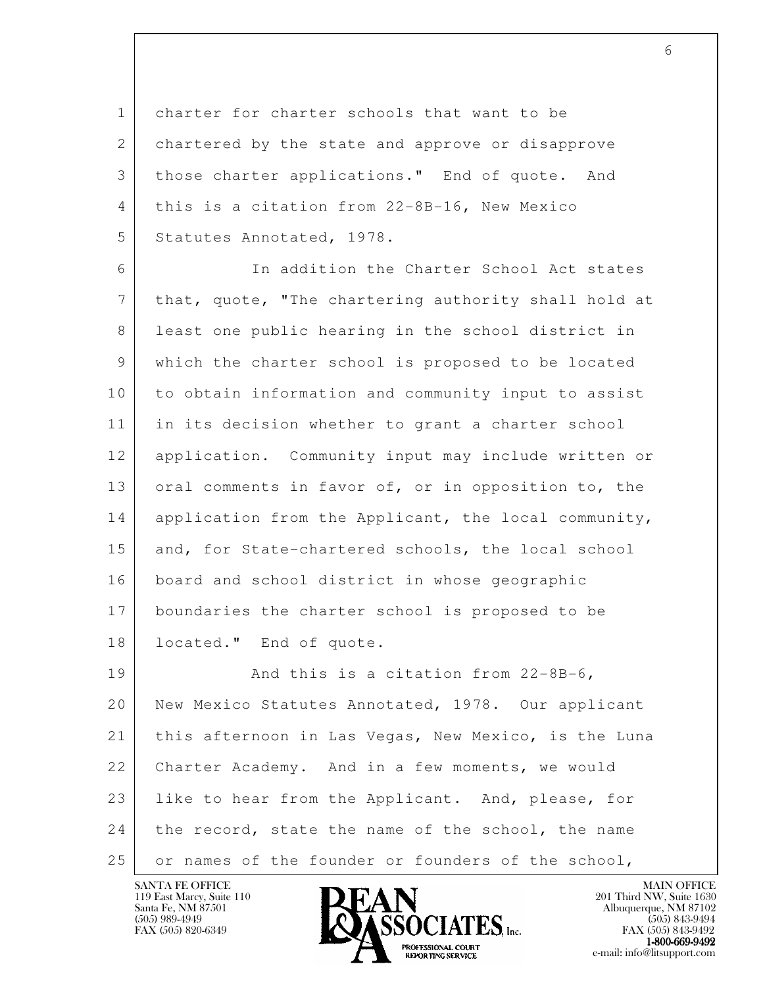1 charter for charter schools that want to be 2 chartered by the state and approve or disapprove 3 those charter applications." End of quote. And 4 this is a citation from 22-8B-16, New Mexico 5 Statutes Annotated, 1978.

 6 In addition the Charter School Act states 7 that, quote, "The chartering authority shall hold at 8 least one public hearing in the school district in 9 which the charter school is proposed to be located 10 to obtain information and community input to assist 11 in its decision whether to grant a charter school 12 application. Community input may include written or 13 oral comments in favor of, or in opposition to, the 14 application from the Applicant, the local community, 15 and, for State-chartered schools, the local school 16 board and school district in whose geographic 17 boundaries the charter school is proposed to be 18 located." End of quote.

l 19 | And this is a citation from 22-8B-6, 20 New Mexico Statutes Annotated, 1978. Our applicant 21 this afternoon in Las Vegas, New Mexico, is the Luna 22 Charter Academy. And in a few moments, we would 23 | like to hear from the Applicant. And, please, for 24 the record, state the name of the school, the name 25 or names of the founder or founders of the school,

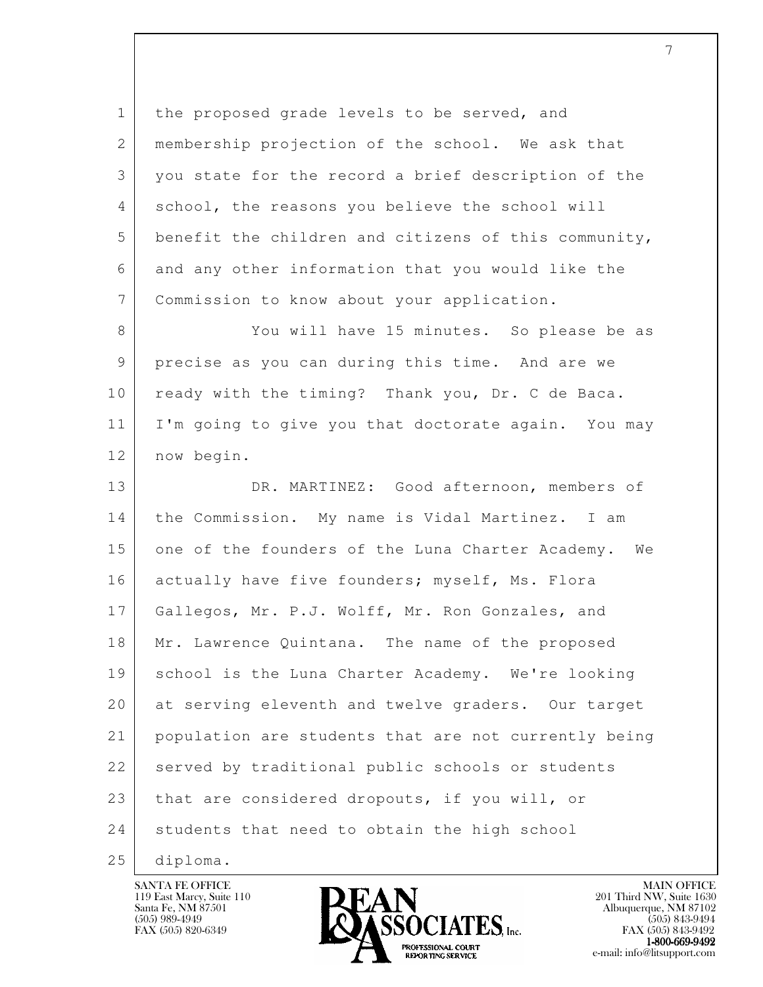l 1 the proposed grade levels to be served, and 2 | membership projection of the school. We ask that 3 you state for the record a brief description of the 4 school, the reasons you believe the school will 5 benefit the children and citizens of this community, 6 and any other information that you would like the 7 Commission to know about your application. 8 You will have 15 minutes. So please be as 9 precise as you can during this time. And are we 10 ready with the timing? Thank you, Dr. C de Baca. 11 I'm going to give you that doctorate again. You may 12 now begin. 13 DR. MARTINEZ: Good afternoon, members of 14 the Commission. My name is Vidal Martinez. I am 15 one of the founders of the Luna Charter Academy. We 16 actually have five founders; myself, Ms. Flora 17 Gallegos, Mr. P.J. Wolff, Mr. Ron Gonzales, and 18 | Mr. Lawrence Quintana. The name of the proposed 19 school is the Luna Charter Academy. We're looking 20 at serving eleventh and twelve graders. Our target 21 population are students that are not currently being 22 served by traditional public schools or students 23 that are considered dropouts, if you will, or 24 students that need to obtain the high school 25 diploma.

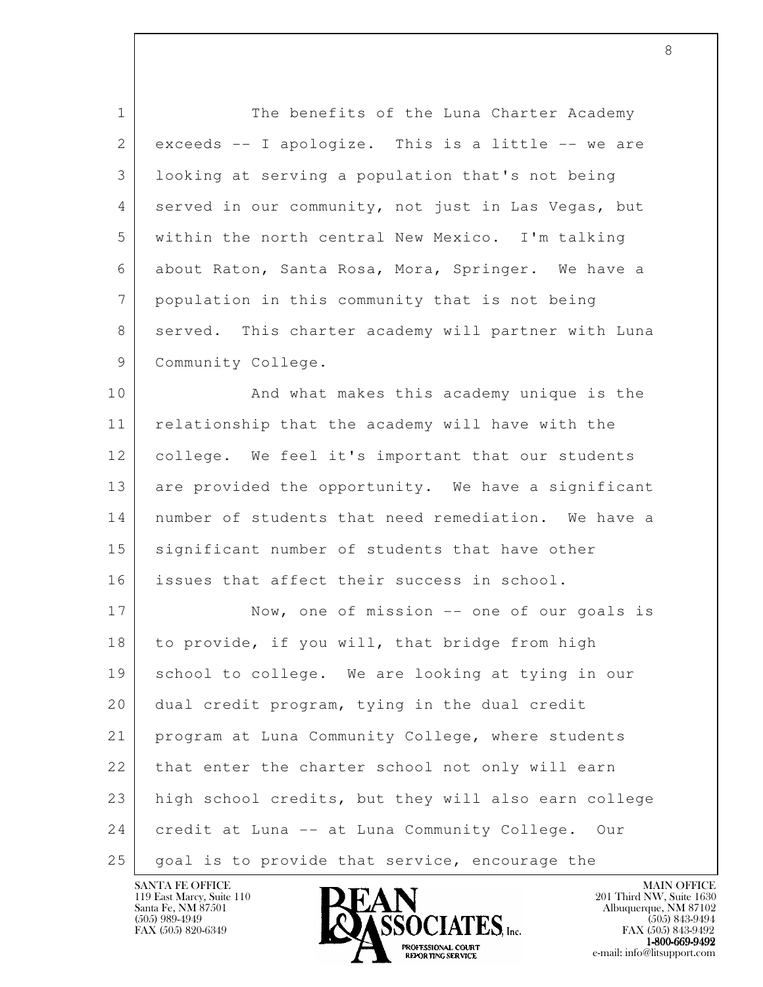1 The benefits of the Luna Charter Academy 2 exceeds -- I apologize. This is a little -- we are 3 looking at serving a population that's not being 4 served in our community, not just in Las Vegas, but 5 within the north central New Mexico. I'm talking 6 about Raton, Santa Rosa, Mora, Springer. We have a 7 population in this community that is not being 8 served. This charter academy will partner with Luna 9 Community College. 10 | And what makes this academy unique is the 11 relationship that the academy will have with the 12 college. We feel it's important that our students 13 are provided the opportunity. We have a significant

 14 number of students that need remediation. We have a 15 significant number of students that have other 16 issues that affect their success in school.

l 17 Now, one of mission -- one of our goals is 18 to provide, if you will, that bridge from high 19 school to college. We are looking at tying in our 20 dual credit program, tying in the dual credit 21 program at Luna Community College, where students 22 that enter the charter school not only will earn 23 high school credits, but they will also earn college 24 credit at Luna -- at Luna Community College. Our 25 | goal is to provide that service, encourage the

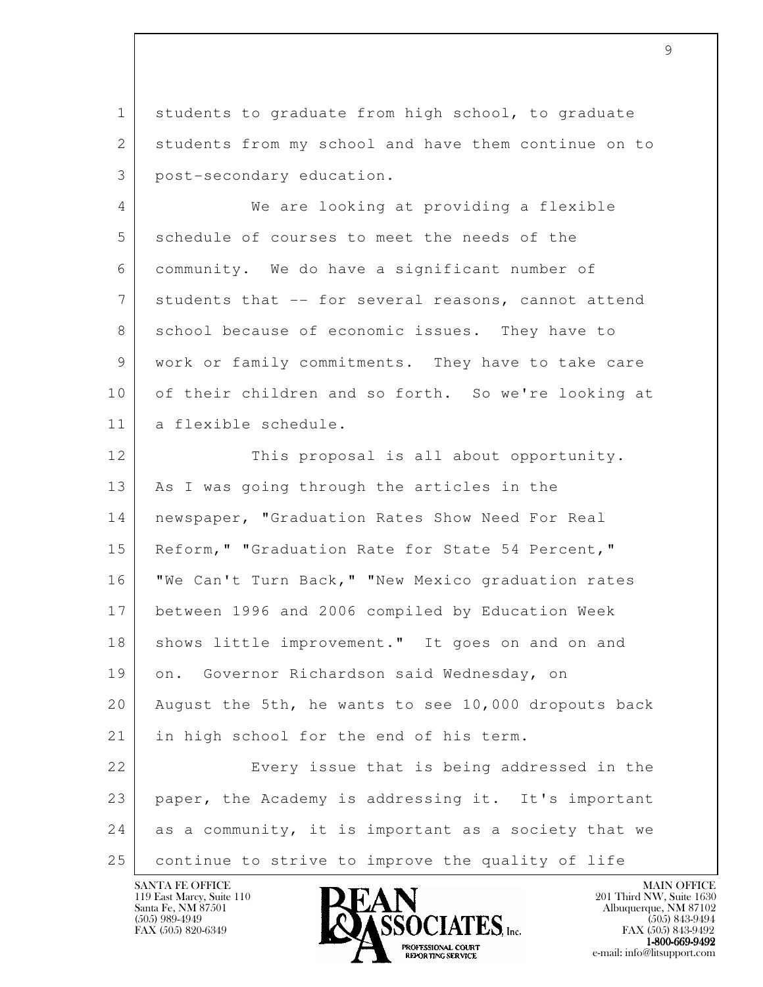1 students to graduate from high school, to graduate 2 students from my school and have them continue on to 3 post-secondary education.

 4 We are looking at providing a flexible 5 schedule of courses to meet the needs of the 6 community. We do have a significant number of 7 students that -- for several reasons, cannot attend 8 school because of economic issues. They have to 9 work or family commitments. They have to take care 10 of their children and so forth. So we're looking at 11 a flexible schedule.

l 12 This proposal is all about opportunity. 13 | As I was going through the articles in the 14 | newspaper, "Graduation Rates Show Need For Real 15 | Reform," "Graduation Rate for State 54 Percent," 16 "We Can't Turn Back," "New Mexico graduation rates 17 between 1996 and 2006 compiled by Education Week 18 | shows little improvement." It goes on and on and 19 on. Governor Richardson said Wednesday, on 20 August the 5th, he wants to see 10,000 dropouts back 21 in high school for the end of his term. 22 Every issue that is being addressed in the 23 paper, the Academy is addressing it. It's important 24 as a community, it is important as a society that we 25 continue to strive to improve the quality of life

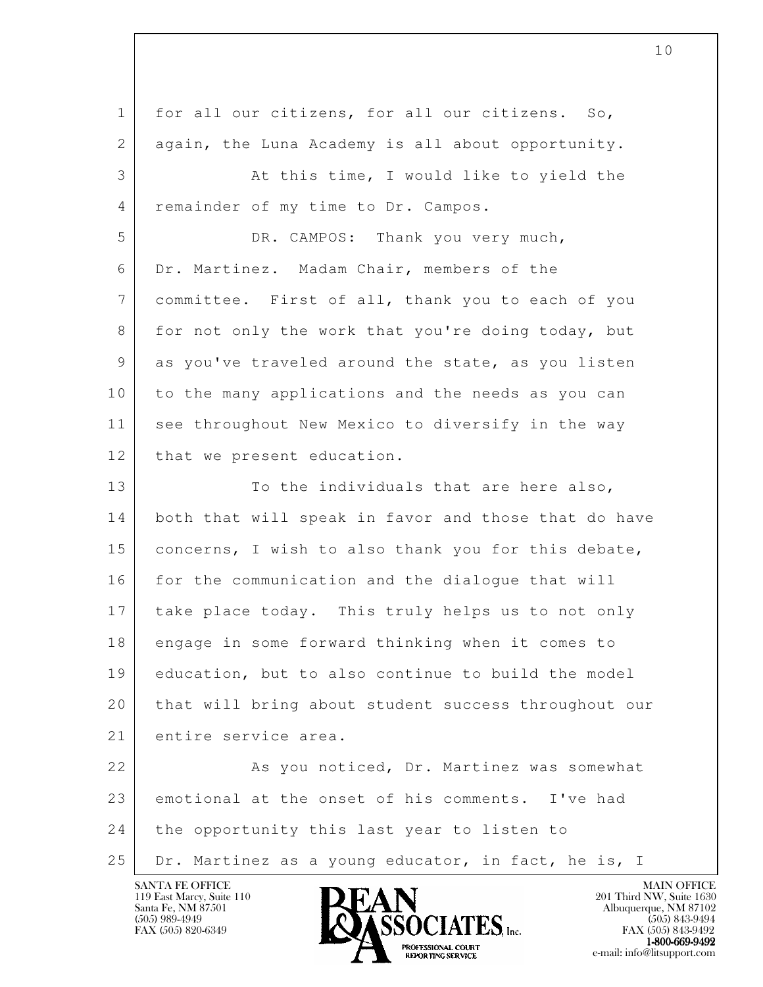l 1 for all our citizens, for all our citizens. So, 2 again, the Luna Academy is all about opportunity. 3 At this time, I would like to yield the 4 remainder of my time to Dr. Campos. 5 DR. CAMPOS: Thank you very much, 6 Dr. Martinez. Madam Chair, members of the 7 committee. First of all, thank you to each of you 8 for not only the work that you're doing today, but 9 as you've traveled around the state, as you listen 10 to the many applications and the needs as you can 11 see throughout New Mexico to diversify in the way 12 that we present education. 13 To the individuals that are here also, 14 both that will speak in favor and those that do have 15 | concerns, I wish to also thank you for this debate, 16 for the communication and the dialogue that will 17 take place today. This truly helps us to not only 18 engage in some forward thinking when it comes to 19 education, but to also continue to build the model 20 that will bring about student success throughout our 21 entire service area. 22 | Kas you noticed, Dr. Martinez was somewhat 23 emotional at the onset of his comments. I've had 24 the opportunity this last year to listen to 25 Dr. Martinez as a young educator, in fact, he is, I



FAX (505) 843-9492 1-800-669-9492<br>PROFESSIONAL COURT **EXPORTING SERVICE** EXPLORER THE REPORTING SERVICE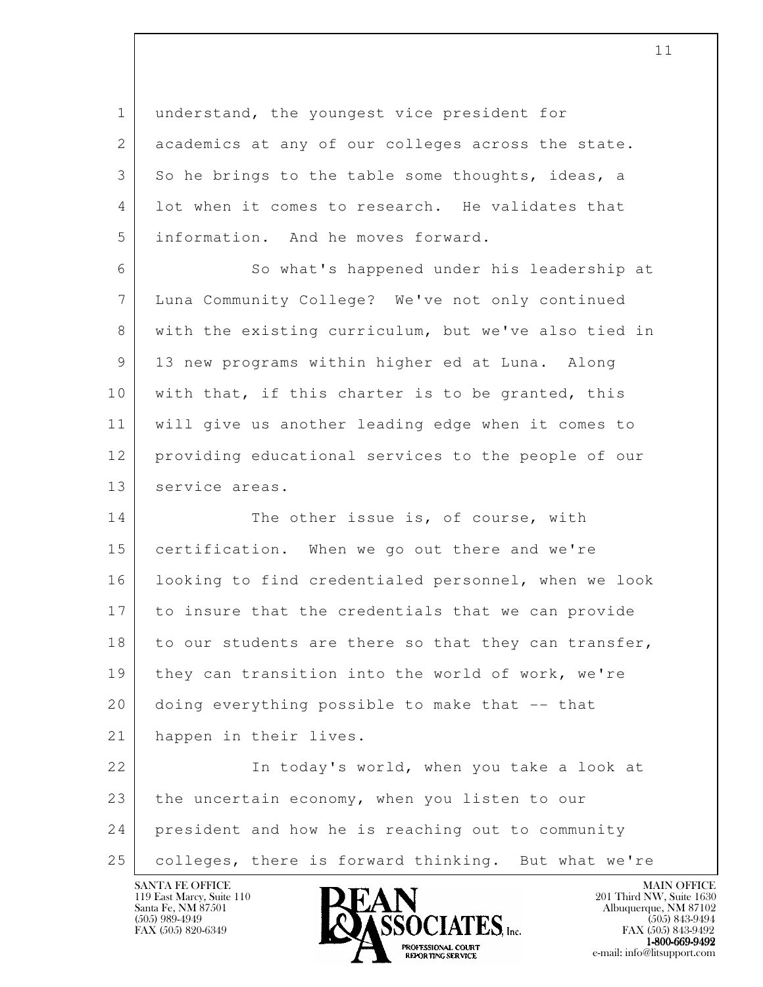1 understand, the youngest vice president for 2 academics at any of our colleges across the state. 3 So he brings to the table some thoughts, ideas, a 4 lot when it comes to research. He validates that 5 information. And he moves forward.

6 So what's happened under his leadership at 7 Luna Community College? We've not only continued 8 with the existing curriculum, but we've also tied in 9 13 new programs within higher ed at Luna. Along 10 | with that, if this charter is to be granted, this 11 will give us another leading edge when it comes to 12 providing educational services to the people of our 13 service areas.

14 The other issue is, of course, with 15 certification. When we go out there and we're 16 looking to find credentialed personnel, when we look 17 to insure that the credentials that we can provide 18 to our students are there so that they can transfer, 19 | they can transition into the world of work, we're 20 doing everything possible to make that -- that 21 happen in their lives.

l 22 | The today's world, when you take a look at 23 the uncertain economy, when you listen to our 24 president and how he is reaching out to community 25 colleges, there is forward thinking. But what we're

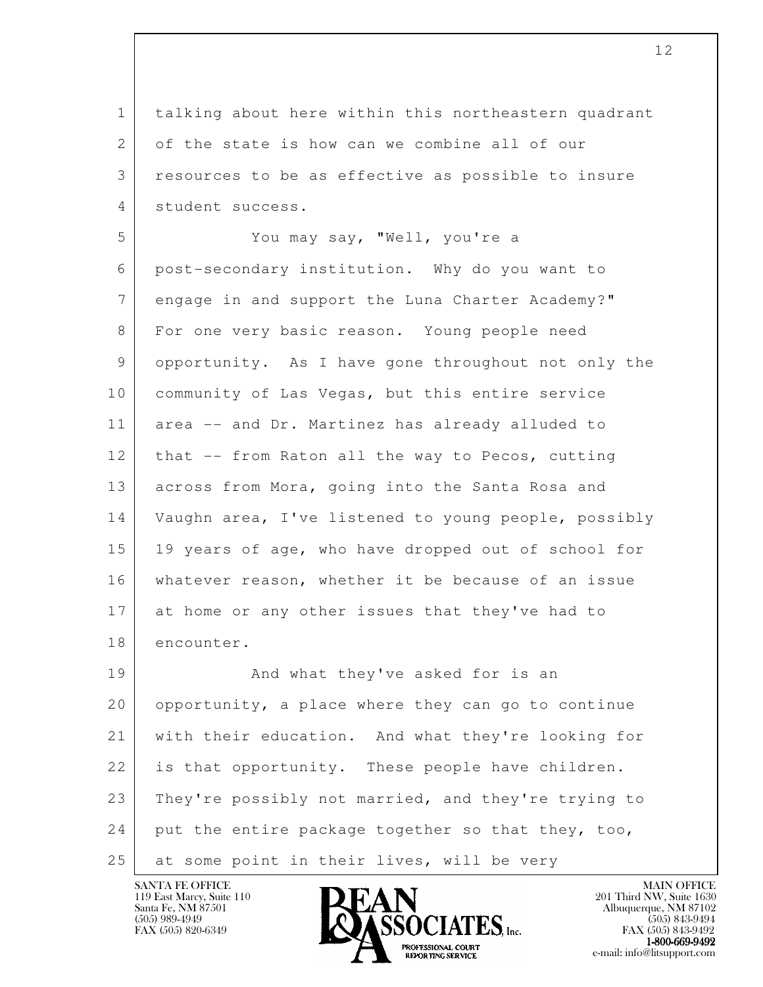1 talking about here within this northeastern quadrant 2 of the state is how can we combine all of our 3 resources to be as effective as possible to insure 4 student success.

 5 You may say, "Well, you're a 6 post-secondary institution. Why do you want to 7 engage in and support the Luna Charter Academy?" 8 For one very basic reason. Young people need 9 opportunity. As I have gone throughout not only the 10 | community of Las Vegas, but this entire service 11 area -- and Dr. Martinez has already alluded to 12 that -- from Raton all the way to Pecos, cutting 13 across from Mora, going into the Santa Rosa and 14 Vaughn area, I've listened to young people, possibly 15 19 years of age, who have dropped out of school for 16 whatever reason, whether it be because of an issue 17 at home or any other issues that they've had to 18 encounter.

l 19 | And what they've asked for is an 20 opportunity, a place where they can go to continue 21 with their education. And what they're looking for 22 is that opportunity. These people have children. 23 They're possibly not married, and they're trying to  $24$  put the entire package together so that they, too, 25 at some point in their lives, will be very

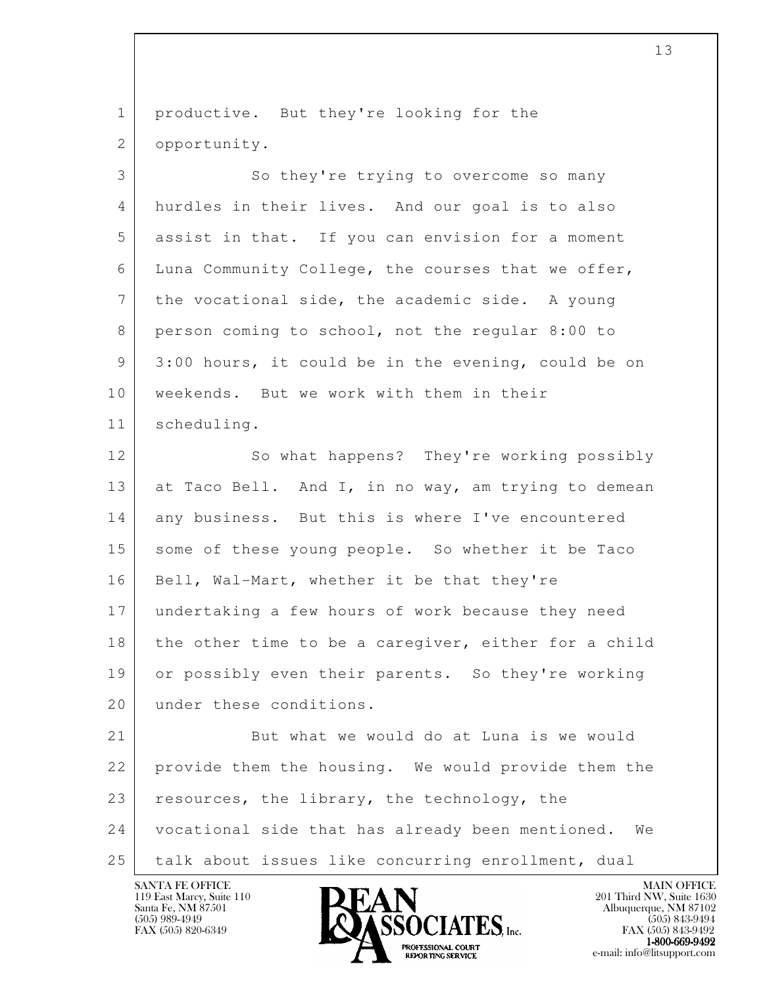l 1 productive. But they're looking for the 2 | opportunity. 3 So they're trying to overcome so many 4 hurdles in their lives. And our goal is to also 5 assist in that. If you can envision for a moment 6 Luna Community College, the courses that we offer, 7 the vocational side, the academic side. A young 8 person coming to school, not the regular 8:00 to 9 3:00 hours, it could be in the evening, could be on 10 | weekends. But we work with them in their 11 scheduling. 12 So what happens? They're working possibly 13 at Taco Bell. And I, in no way, am trying to demean 14 any business. But this is where I've encountered 15 some of these young people. So whether it be Taco 16 | Bell, Wal-Mart, whether it be that they're 17 undertaking a few hours of work because they need 18 the other time to be a caregiver, either for a child 19 or possibly even their parents. So they're working 20 under these conditions. 21 But what we would do at Luna is we would 22 provide them the housing. We would provide them the 23 resources, the library, the technology, the 24 vocational side that has already been mentioned. We 25 talk about issues like concurring enrollment, dual

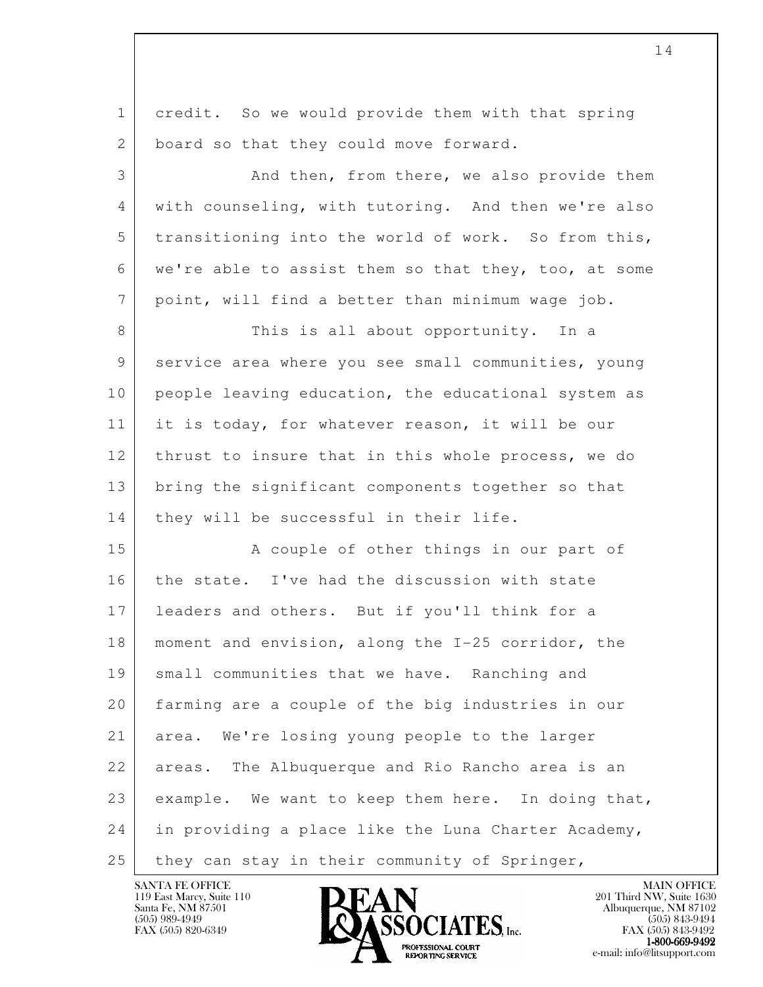l 1 credit. So we would provide them with that spring 2 board so that they could move forward. 3 And then, from there, we also provide them 4 with counseling, with tutoring. And then we're also 5 transitioning into the world of work. So from this, 6 we're able to assist them so that they, too, at some 7 point, will find a better than minimum wage job. 8 This is all about opportunity. In a 9 service area where you see small communities, young 10 people leaving education, the educational system as 11 it is today, for whatever reason, it will be our 12 thrust to insure that in this whole process, we do 13 bring the significant components together so that 14 | they will be successful in their life. 15 A couple of other things in our part of 16 the state. I've had the discussion with state 17 leaders and others. But if you'll think for a 18 | moment and envision, along the I-25 corridor, the 19 small communities that we have. Ranching and 20 farming are a couple of the big industries in our 21 area. We're losing young people to the larger 22 areas. The Albuquerque and Rio Rancho area is an 23 example. We want to keep them here. In doing that, 24 in providing a place like the Luna Charter Academy,  $25$  they can stay in their community of Springer,

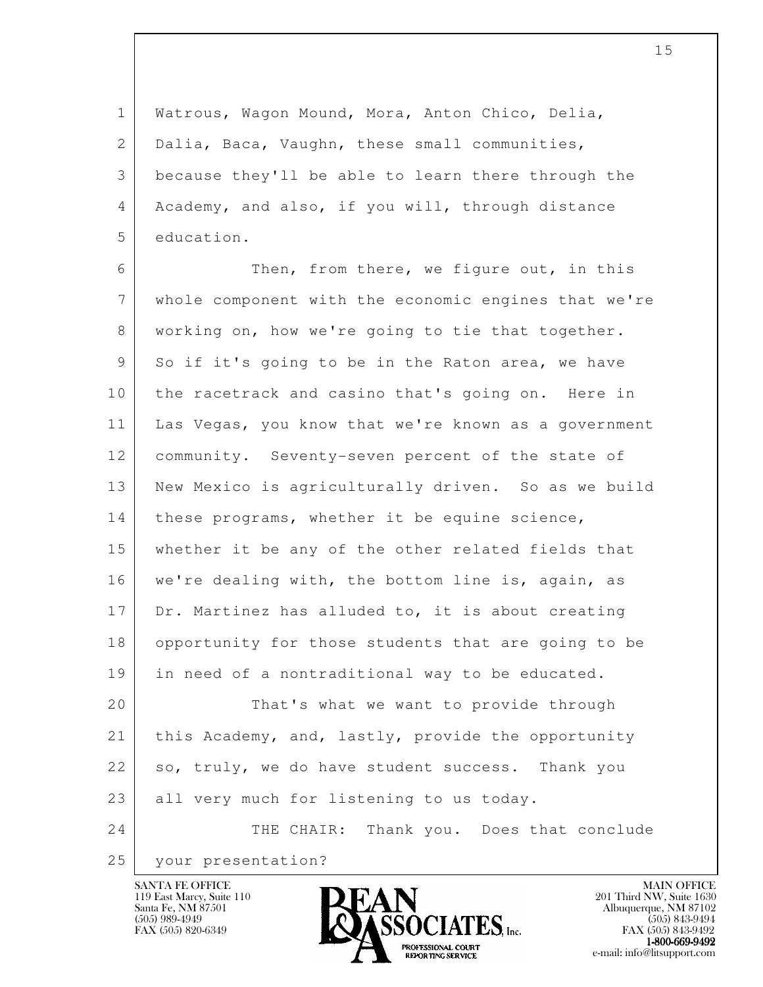1 Watrous, Wagon Mound, Mora, Anton Chico, Delia, 2 | Dalia, Baca, Vaughn, these small communities, 3 because they'll be able to learn there through the 4 Academy, and also, if you will, through distance 5 education.

6 Then, from there, we figure out, in this 7 whole component with the economic engines that we're 8 working on, how we're going to tie that together. 9 So if it's going to be in the Raton area, we have 10 the racetrack and casino that's going on. Here in 11 | Las Vegas, you know that we're known as a government 12 community. Seventy-seven percent of the state of 13 New Mexico is agriculturally driven. So as we build 14 | these programs, whether it be equine science, 15 whether it be any of the other related fields that 16 we're dealing with, the bottom line is, again, as 17 Dr. Martinez has alluded to, it is about creating 18 opportunity for those students that are going to be 19 in need of a nontraditional way to be educated. 20 That's what we want to provide through 21 | this Academy, and, lastly, provide the opportunity 22 so, truly, we do have student success. Thank you

 24 THE CHAIR: Thank you. Does that conclude 25 your presentation?

23 all very much for listening to us today.

119 East Marcy, Suite 110<br>Santa Fe, NM 87501

l

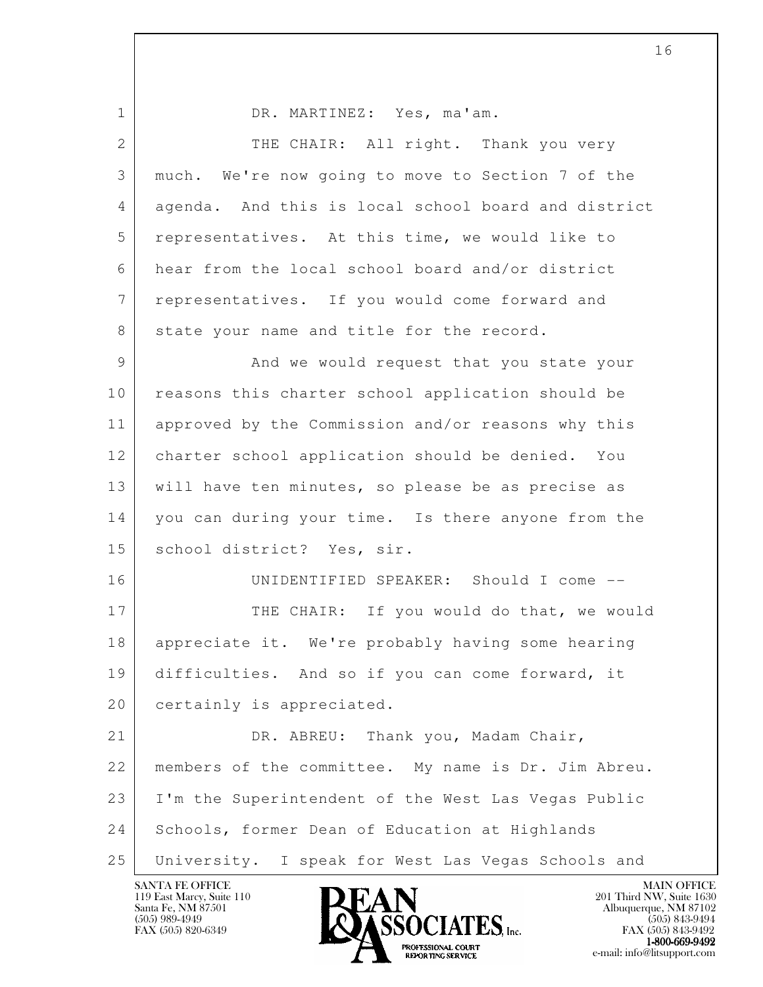l 1 DR. MARTINEZ: Yes, ma'am. 2 THE CHAIR: All right. Thank you very 3 much. We're now going to move to Section 7 of the 4 agenda. And this is local school board and district 5 representatives. At this time, we would like to 6 hear from the local school board and/or district 7 representatives. If you would come forward and 8 state your name and title for the record. 9 And we would request that you state your 10 | reasons this charter school application should be 11 approved by the Commission and/or reasons why this 12 charter school application should be denied. You 13 will have ten minutes, so please be as precise as 14 you can during your time. Is there anyone from the 15 | school district? Yes, sir. 16 UNIDENTIFIED SPEAKER: Should I come -- 17 THE CHAIR: If you would do that, we would 18 appreciate it. We're probably having some hearing 19 difficulties. And so if you can come forward, it 20 certainly is appreciated. 21 DR. ABREU: Thank you, Madam Chair, 22 members of the committee. My name is Dr. Jim Abreu. 23 I'm the Superintendent of the West Las Vegas Public 24 Schools, former Dean of Education at Highlands 25 University. I speak for West Las Vegas Schools and

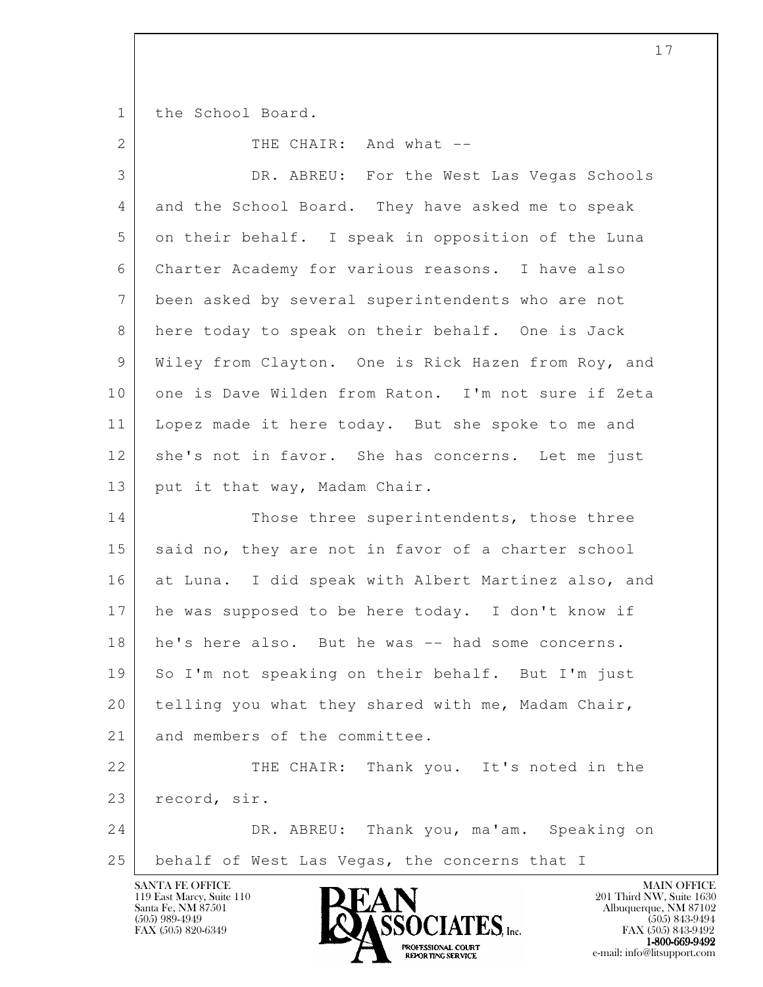1 the School Board.

2 THE CHAIR: And what --

| 3  | DR. ABREU: For the West Las Vegas Schools           |
|----|-----------------------------------------------------|
| 4  | and the School Board. They have asked me to speak   |
| 5  | on their behalf. I speak in opposition of the Luna  |
| 6  | Charter Academy for various reasons. I have also    |
| 7  | been asked by several superintendents who are not   |
| 8  | here today to speak on their behalf. One is Jack    |
| 9  | Wiley from Clayton. One is Rick Hazen from Roy, and |
| 10 | one is Dave Wilden from Raton. I'm not sure if Zeta |
| 11 | Lopez made it here today. But she spoke to me and   |
| 12 | she's not in favor. She has concerns. Let me just   |
| 13 | put it that way, Madam Chair.                       |
| 14 | Those three superintendents, those three            |
| 15 | said no, they are not in favor of a charter school  |
| 16 | at Luna. I did speak with Albert Martinez also, and |
| 17 | he was supposed to be here today. I don't know if   |
| 18 | he's here also. But he was -- had some concerns.    |
| 19 | So I'm not speaking on their behalf. But I'm just   |
| 20 | telling you what they shared with me, Madam Chair,  |
| 21 | and members of the committee.                       |
| 22 | THE CHAIR: Thank you. It's noted in the             |
| 23 | record, sir.                                        |
| 24 | DR. ABREU: Thank you, ma'am. Speaking on            |
| 25 | behalf of West Las Vegas, the concerns that I       |
|    | SANTA FE OFFICE<br><b>MAIN OFFICE</b>               |

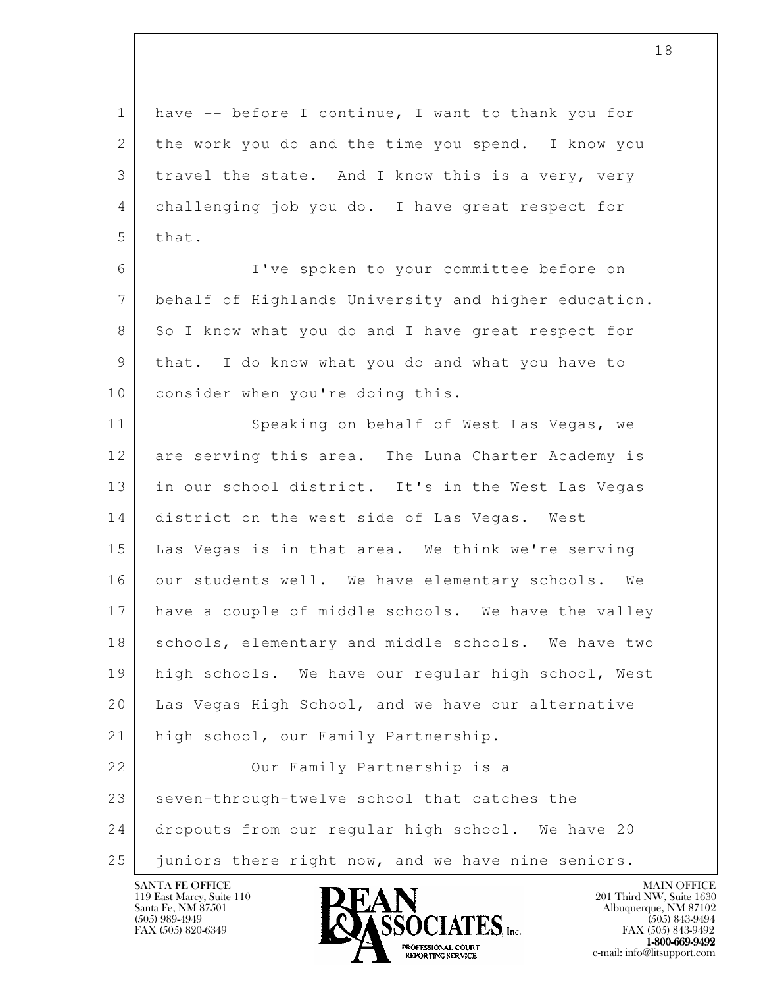1 have -- before I continue, I want to thank you for 2 the work you do and the time you spend. I know you 3 travel the state. And I know this is a very, very 4 challenging job you do. I have great respect for  $5$  that.

 6 I've spoken to your committee before on 7 behalf of Highlands University and higher education. 8 So I know what you do and I have great respect for 9 that. I do know what you do and what you have to 10 | consider when you're doing this.

l 11 Speaking on behalf of West Las Vegas, we 12 are serving this area. The Luna Charter Academy is 13 in our school district. It's in the West Las Vegas 14 district on the west side of Las Vegas. West 15 Las Vegas is in that area. We think we're serving 16 our students well. We have elementary schools. We 17 have a couple of middle schools. We have the valley 18 | schools, elementary and middle schools. We have two 19 high schools. We have our regular high school, West 20 Las Vegas High School, and we have our alternative 21 | high school, our Family Partnership. 22 | Cur Family Partnership is a 23 seven-through-twelve school that catches the 24 dropouts from our regular high school. We have 20

25 juniors there right now, and we have nine seniors.

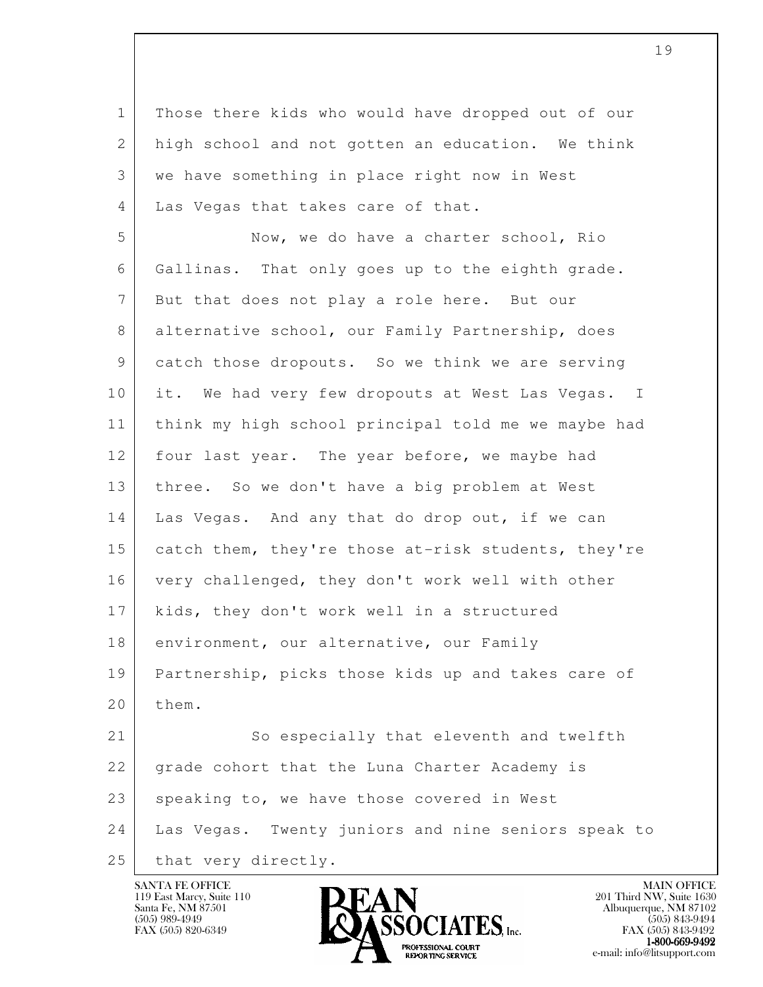l 1 Those there kids who would have dropped out of our 2 high school and not gotten an education. We think 3 we have something in place right now in West 4 | Las Vegas that takes care of that. 5 Now, we do have a charter school, Rio 6 Gallinas. That only goes up to the eighth grade. 7 But that does not play a role here. But our 8 alternative school, our Family Partnership, does 9 catch those dropouts. So we think we are serving 10 it. We had very few dropouts at West Las Vegas. I 11 think my high school principal told me we maybe had 12 four last year. The year before, we maybe had 13 three. So we don't have a big problem at West 14 Las Vegas. And any that do drop out, if we can 15 catch them, they're those at-risk students, they're 16 very challenged, they don't work well with other 17 kids, they don't work well in a structured 18 environment, our alternative, our Family 19 Partnership, picks those kids up and takes care of 20 them. 21 So especially that eleventh and twelfth 22 grade cohort that the Luna Charter Academy is 23 speaking to, we have those covered in West 24 Las Vegas. Twenty juniors and nine seniors speak to 25 | that very directly.

119 East Marcy, Suite 110<br>Santa Fe, NM 87501



FAX (505) 843-9492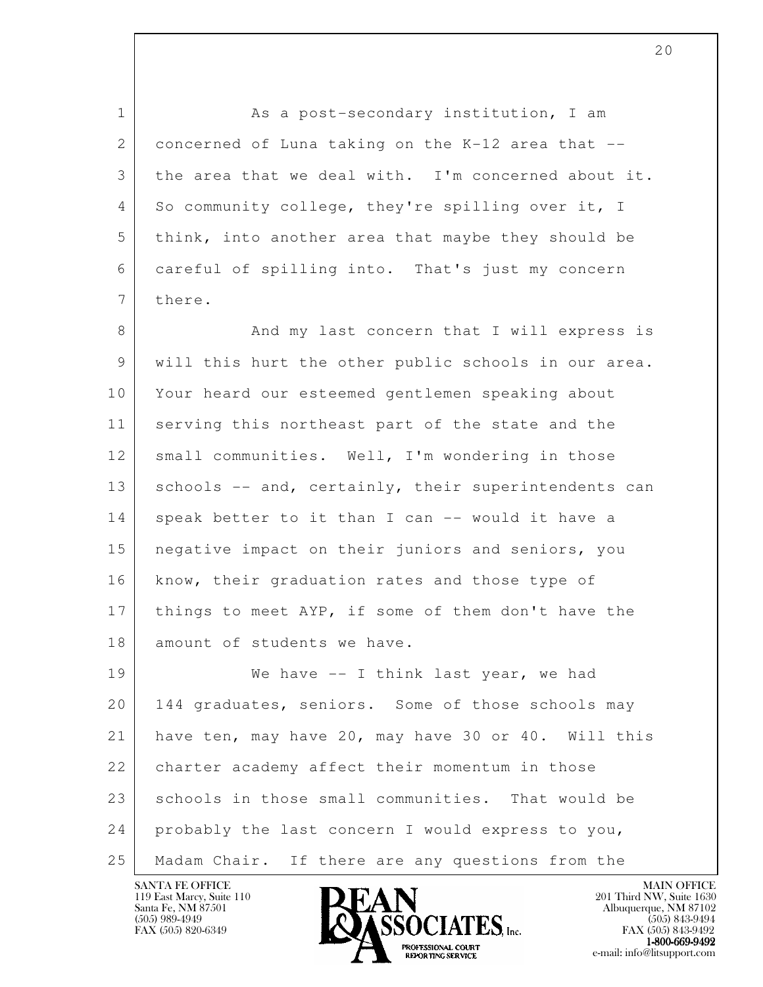l 1 As a post-secondary institution, I am 2 concerned of Luna taking on the K-12 area that  $-$ - 3 the area that we deal with. I'm concerned about it. 4 So community college, they're spilling over it, I 5 think, into another area that maybe they should be 6 careful of spilling into. That's just my concern 7 there. 8 And my last concern that I will express is 9 will this hurt the other public schools in our area. 10 Your heard our esteemed gentlemen speaking about 11 serving this northeast part of the state and the 12 small communities. Well, I'm wondering in those 13 | schools -- and, certainly, their superintendents can 14 speak better to it than I can -- would it have a 15 negative impact on their juniors and seniors, you 16 | know, their graduation rates and those type of 17 things to meet AYP, if some of them don't have the 18 amount of students we have. 19 We have -- I think last year, we had 20 | 144 graduates, seniors. Some of those schools may 21 have ten, may have 20, may have 30 or 40. Will this 22 | charter academy affect their momentum in those 23 schools in those small communities. That would be 24 probably the last concern I would express to you, 25 | Madam Chair. If there are any questions from the

119 East Marcy, Suite 110<br>Santa Fe, NM 87501

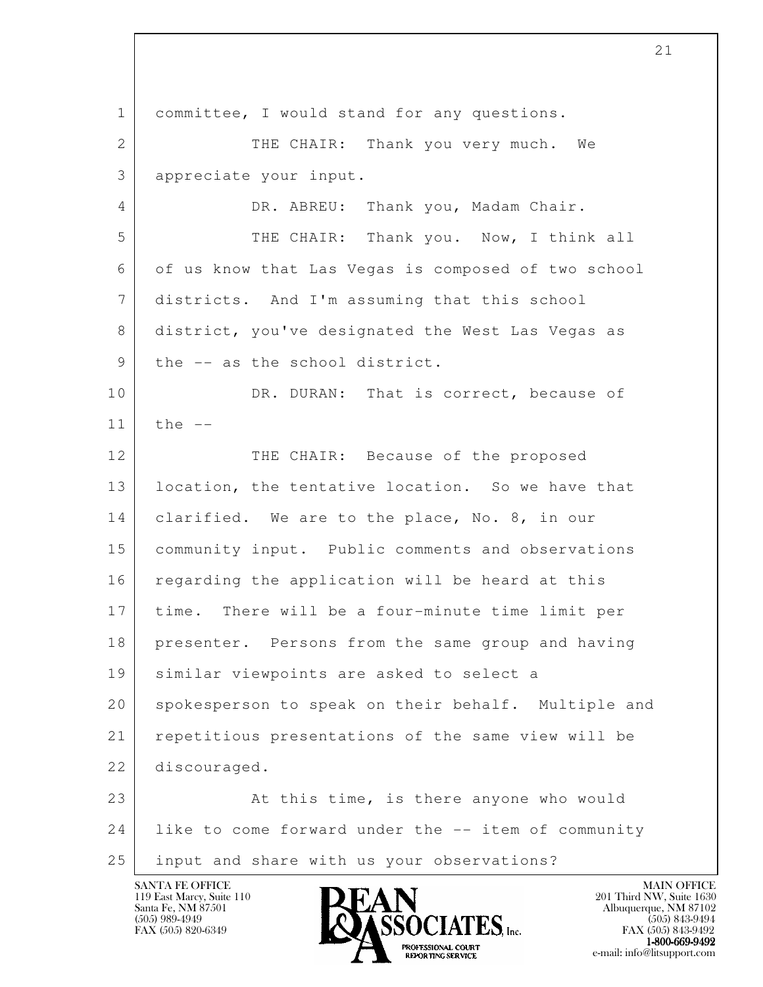l 1 committee, I would stand for any questions. 2 THE CHAIR: Thank you very much. We 3 appreciate your input. 4 DR. ABREU: Thank you, Madam Chair. 5 THE CHAIR: Thank you. Now, I think all 6 of us know that Las Vegas is composed of two school 7 districts. And I'm assuming that this school 8 district, you've designated the West Las Vegas as 9 | the -- as the school district. 10 DR. DURAN: That is correct, because of  $11$  the  $-$ 12 THE CHAIR: Because of the proposed 13 | location, the tentative location. So we have that 14 | clarified. We are to the place, No. 8, in our 15 community input. Public comments and observations 16 regarding the application will be heard at this 17 time. There will be a four-minute time limit per 18 presenter. Persons from the same group and having 19 similar viewpoints are asked to select a 20 spokesperson to speak on their behalf. Multiple and 21 repetitious presentations of the same view will be 22 discouraged. 23 At this time, is there anyone who would 24 like to come forward under the -- item of community 25 input and share with us your observations?

119 East Marcy, Suite 110<br>Santa Fe, NM 87501



FAX (505) 843-9492  $1-800-669-9492$ <br>PROFESSIONAL COURT **EXPORTING SERVICE** EXPLORER THE REPORTING SERVICE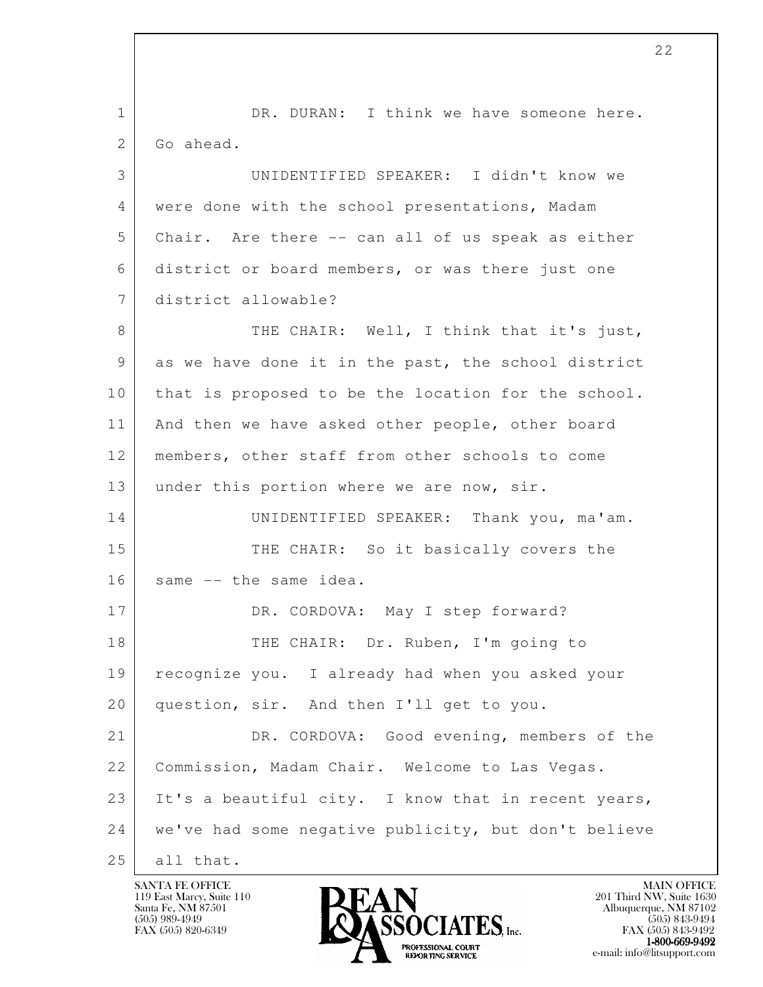l 1 | DR. DURAN: I think we have someone here. 2 Go ahead. 3 UNIDENTIFIED SPEAKER: I didn't know we 4 were done with the school presentations, Madam 5 Chair. Are there -- can all of us speak as either 6 district or board members, or was there just one 7 district allowable? 8 THE CHAIR: Well, I think that it's just, 9 as we have done it in the past, the school district 10 | that is proposed to be the location for the school. 11 | And then we have asked other people, other board 12 members, other staff from other schools to come 13 under this portion where we are now, sir. 14 UNIDENTIFIED SPEAKER: Thank you, ma'am. 15 THE CHAIR: So it basically covers the 16 same -- the same idea. 17 DR. CORDOVA: May I step forward? 18 THE CHAIR: Dr. Ruben, I'm going to 19 recognize you. I already had when you asked your 20 question, sir. And then I'll get to you. 21 DR. CORDOVA: Good evening, members of the 22 Commission, Madam Chair. Welcome to Las Vegas. 23 It's a beautiful city. I know that in recent years, 24 we've had some negative publicity, but don't believe 25 all that.

119 East Marcy, Suite 110<br>Santa Fe, NM 87501

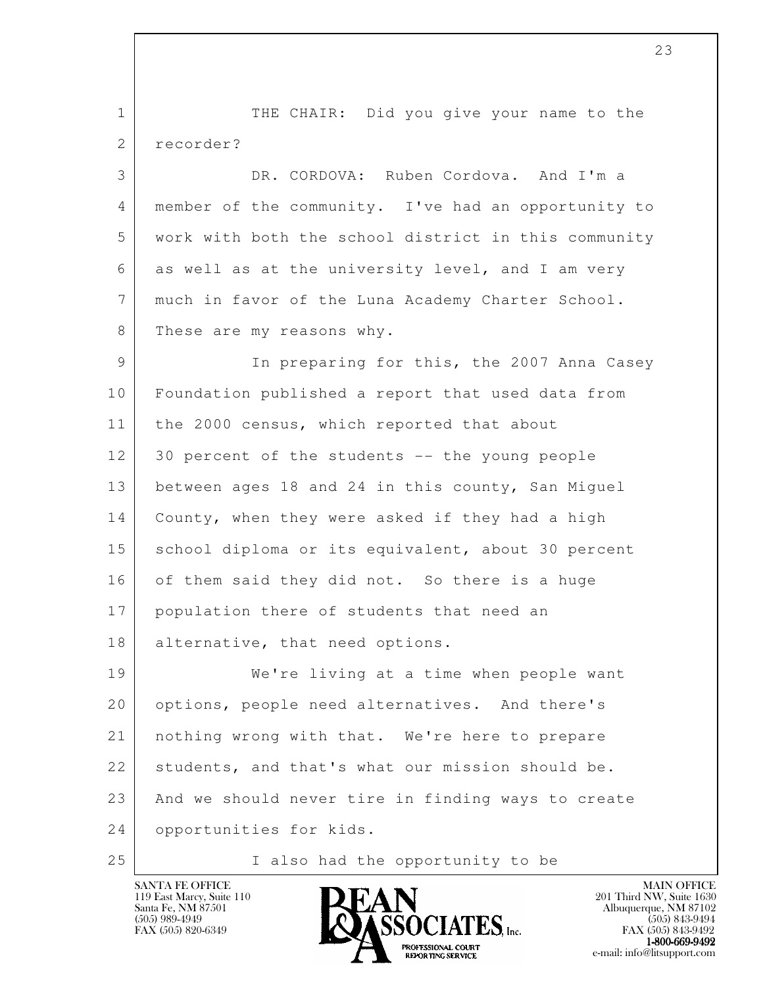l 1 THE CHAIR: Did you give your name to the 2 recorder? 3 DR. CORDOVA: Ruben Cordova. And I'm a 4 member of the community. I've had an opportunity to 5 work with both the school district in this community 6 as well as at the university level, and I am very 7 much in favor of the Luna Academy Charter School. 8 These are my reasons why. 9 In preparing for this, the 2007 Anna Casey 10 Foundation published a report that used data from 11 | the 2000 census, which reported that about 12 30 percent of the students -- the young people 13 between ages 18 and 24 in this county, San Miguel 14 County, when they were asked if they had a high 15 school diploma or its equivalent, about 30 percent 16 of them said they did not. So there is a huge 17 population there of students that need an 18 alternative, that need options. 19 We're living at a time when people want 20 options, people need alternatives. And there's 21 nothing wrong with that. We're here to prepare 22 students, and that's what our mission should be. 23 And we should never tire in finding ways to create 24 opportunities for kids. 25 | Talso had the opportunity to be



FAX (505) 843-9492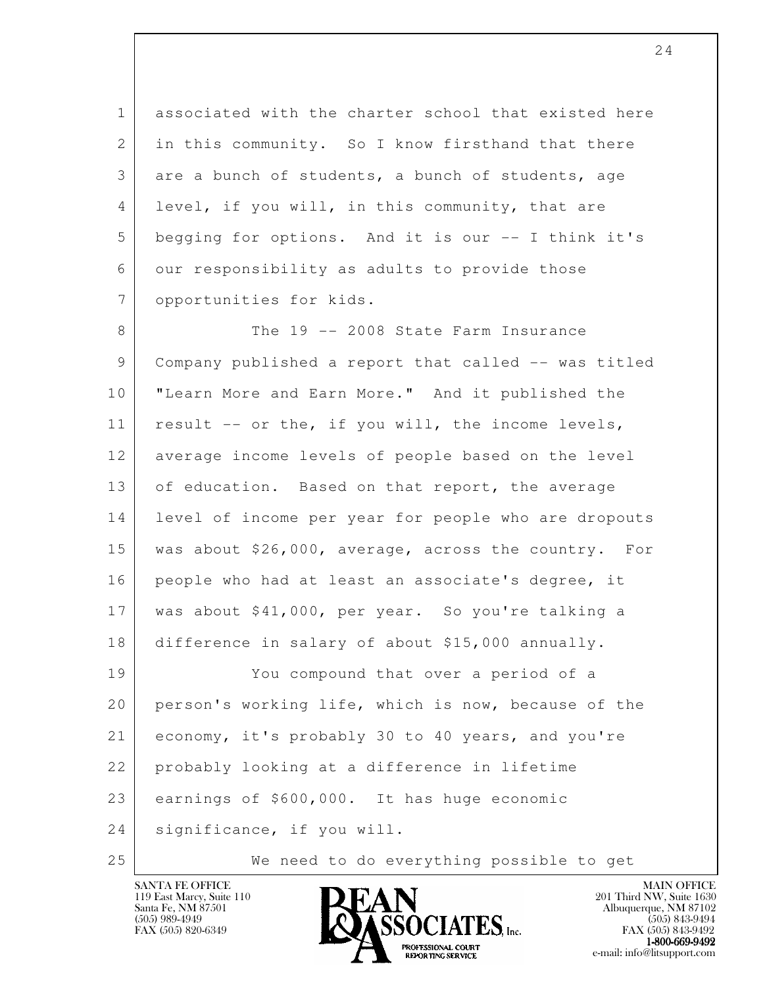1 associated with the charter school that existed here 2 in this community. So I know firsthand that there 3 are a bunch of students, a bunch of students, age 4 level, if you will, in this community, that are 5 begging for options. And it is our -- I think it's 6 our responsibility as adults to provide those 7 opportunities for kids.

8 The 19 -- 2008 State Farm Insurance 9 Company published a report that called -- was titled 10 "Learn More and Earn More." And it published the 11 result -- or the, if you will, the income levels, 12 average income levels of people based on the level 13 of education. Based on that report, the average 14 level of income per year for people who are dropouts 15 was about \$26,000, average, across the country. For 16 people who had at least an associate's degree, it 17 was about \$41,000, per year. So you're talking a 18 difference in salary of about \$15,000 annually. 19 You compound that over a period of a 20 person's working life, which is now, because of the 21 economy, it's probably 30 to 40 years, and you're 22 probably looking at a difference in lifetime

l 23 earnings of \$600,000. It has huge economic

 24 significance, if you will.

25 We need to do everything possible to get

119 East Marcy, Suite 110<br>Santa Fe, NM 87501



FAX (505) 843-9492 1-800-669-9492<br>PROFESSIONAL COURT **EXPORTING SERVICE** EXPLORER THE REPORTING SERVICE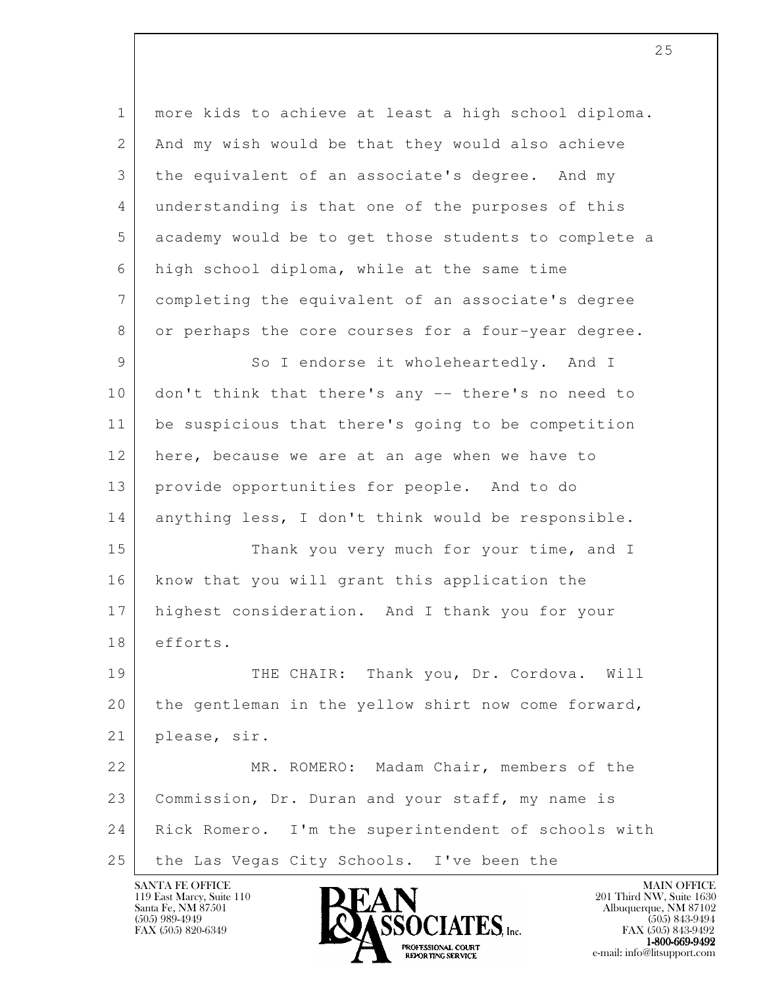1 more kids to achieve at least a high school diploma. 2 | And my wish would be that they would also achieve 3 the equivalent of an associate's degree. And my 4 understanding is that one of the purposes of this 5 academy would be to get those students to complete a 6 high school diploma, while at the same time 7 completing the equivalent of an associate's degree 8 or perhaps the core courses for a four-year degree. 9 So I endorse it wholeheartedly. And I 10 don't think that there's any -- there's no need to

12 here, because we are at an age when we have to 13 provide opportunities for people. And to do 14 anything less, I don't think would be responsible.

11 be suspicious that there's going to be competition

15 Thank you very much for your time, and I 16 know that you will grant this application the 17 highest consideration. And I thank you for your 18 efforts.

19 THE CHAIR: Thank you, Dr. Cordova. Will 20 the gentleman in the yellow shirt now come forward, 21 please, sir.

l 22 MR. ROMERO: Madam Chair, members of the 23 Commission, Dr. Duran and your staff, my name is 24 Rick Romero. I'm the superintendent of schools with 25 the Las Vegas City Schools. I've been the

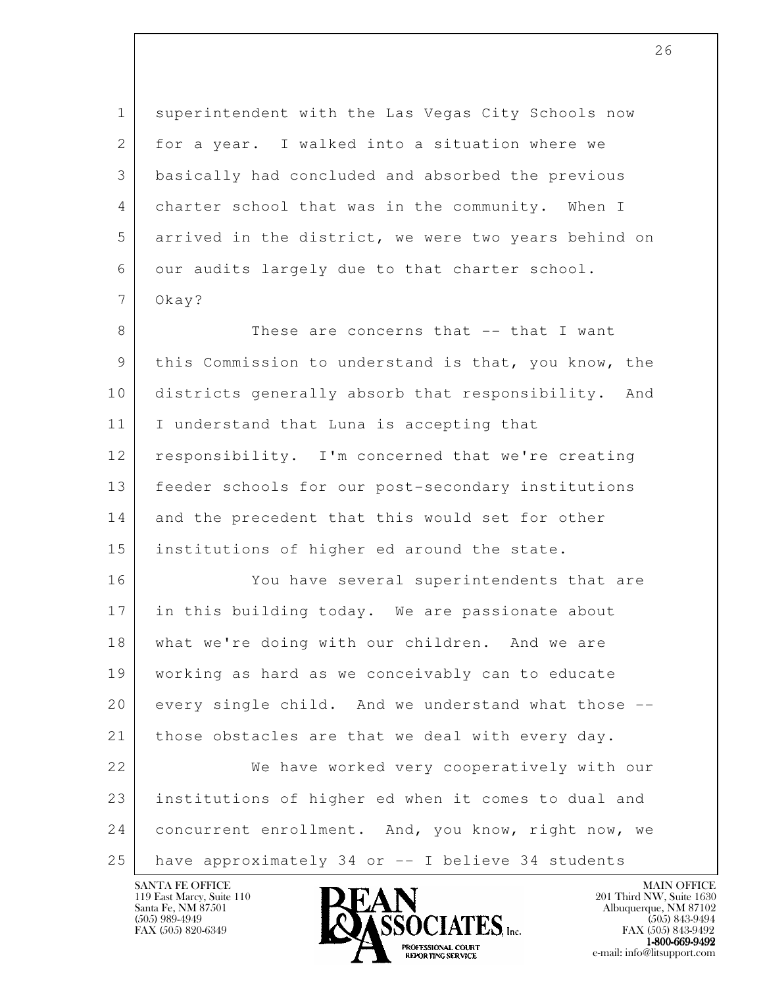l 1 superintendent with the Las Vegas City Schools now 2 for a year. I walked into a situation where we 3 basically had concluded and absorbed the previous 4 charter school that was in the community. When I 5 arrived in the district, we were two years behind on 6 our audits largely due to that charter school. 7 Okay? 8 These are concerns that -- that I want 9 this Commission to understand is that, you know, the 10 districts generally absorb that responsibility. And 11 | I understand that Luna is accepting that 12 responsibility. I'm concerned that we're creating 13 feeder schools for our post-secondary institutions 14 and the precedent that this would set for other 15 institutions of higher ed around the state. 16 You have several superintendents that are 17 in this building today. We are passionate about 18 what we're doing with our children. And we are 19 working as hard as we conceivably can to educate 20 every single child. And we understand what those -- 21 those obstacles are that we deal with every day. 22 We have worked very cooperatively with our 23 institutions of higher ed when it comes to dual and 24 concurrent enrollment. And, you know, right now, we 25 have approximately 34 or -- I believe 34 students

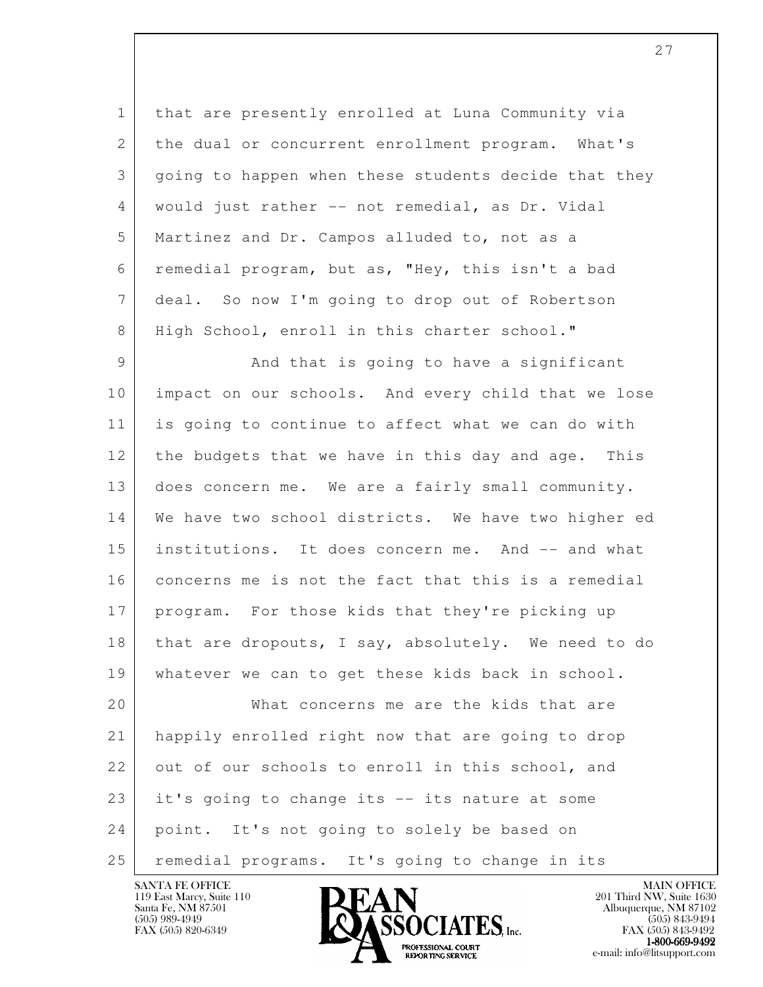1 that are presently enrolled at Luna Community via 2 | the dual or concurrent enrollment program. What's 3 going to happen when these students decide that they 4 would just rather -- not remedial, as Dr. Vidal 5 Martinez and Dr. Campos alluded to, not as a 6 remedial program, but as, "Hey, this isn't a bad 7 deal. So now I'm going to drop out of Robertson 8 | High School, enroll in this charter school."

9 And that is going to have a significant 10 impact on our schools. And every child that we lose 11 is going to continue to affect what we can do with 12 the budgets that we have in this day and age. This 13 does concern me. We are a fairly small community. 14 We have two school districts. We have two higher ed 15 institutions. It does concern me. And -- and what 16 concerns me is not the fact that this is a remedial 17 program. For those kids that they're picking up 18 | that are dropouts, I say, absolutely. We need to do 19 whatever we can to get these kids back in school. 20 What concerns me are the kids that are 21 happily enrolled right now that are going to drop 22 out of our schools to enroll in this school, and 23 it's going to change its -- its nature at some

 24 point. It's not going to solely be based on

25 remedial programs. It's going to change in its

119 East Marcy, Suite 110<br>Santa Fe, NM 87501

l



FAX (505) 843-9492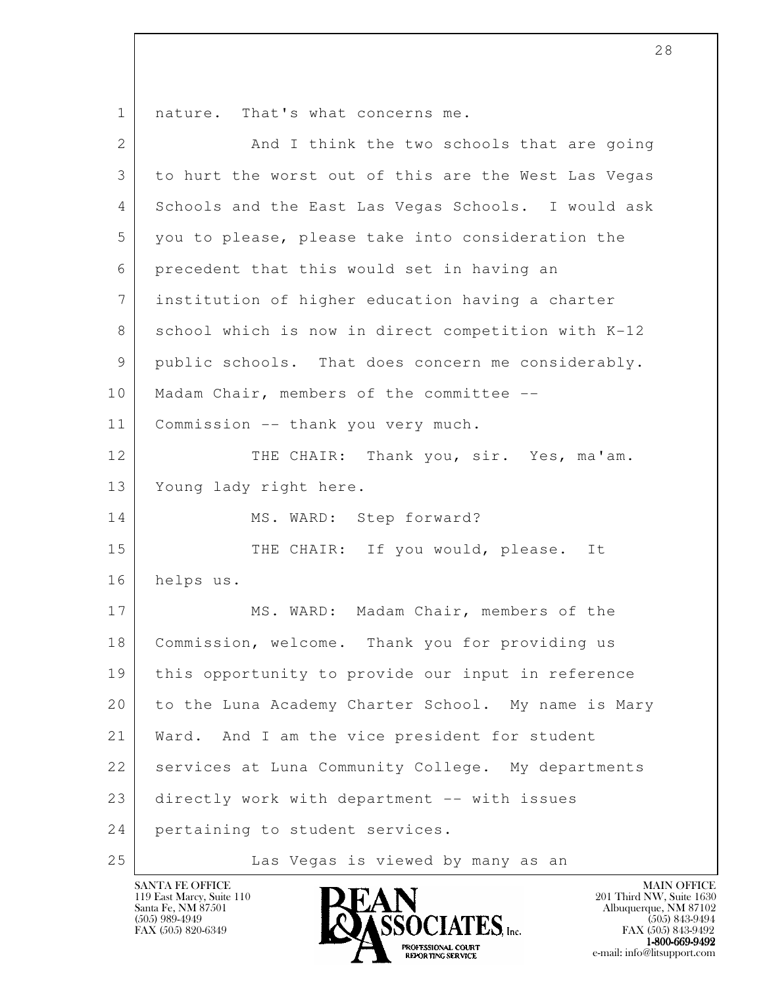1 | nature. That's what concerns me.

| $\overline{2}$ | And I think the two schools that are going           |
|----------------|------------------------------------------------------|
| 3              | to hurt the worst out of this are the West Las Vegas |
| 4              | Schools and the East Las Vegas Schools. I would ask  |
| 5              | you to please, please take into consideration the    |
| 6              | precedent that this would set in having an           |
| $7\phantom{.}$ | institution of higher education having a charter     |
| 8              | school which is now in direct competition with K-12  |
| 9              | public schools. That does concern me considerably.   |
| 10             | Madam Chair, members of the committee --             |
| 11             | Commission -- thank you very much.                   |
| 12             | THE CHAIR: Thank you, sir. Yes, ma'am.               |
| 13             | Young lady right here.                               |
| 14             | MS. WARD: Step forward?                              |
| 15             | THE CHAIR: If you would, please. It                  |
| 16             | helps us.                                            |
| 17             | MS. WARD: Madam Chair, members of the                |
| 18             | Commission, welcome. Thank you for providing us      |
| 19             | this opportunity to provide our input in reference   |
| 20             | to the Luna Academy Charter School. My name is Mary  |
| 21             | And I am the vice president for student<br>Ward.     |
| 22             | services at Luna Community College. My departments   |
| 23             | directly work with department -- with issues         |
| 24             | pertaining to student services.                      |
| 25             | Las Vegas is viewed by many as an                    |



e-mail: info@litsupport.com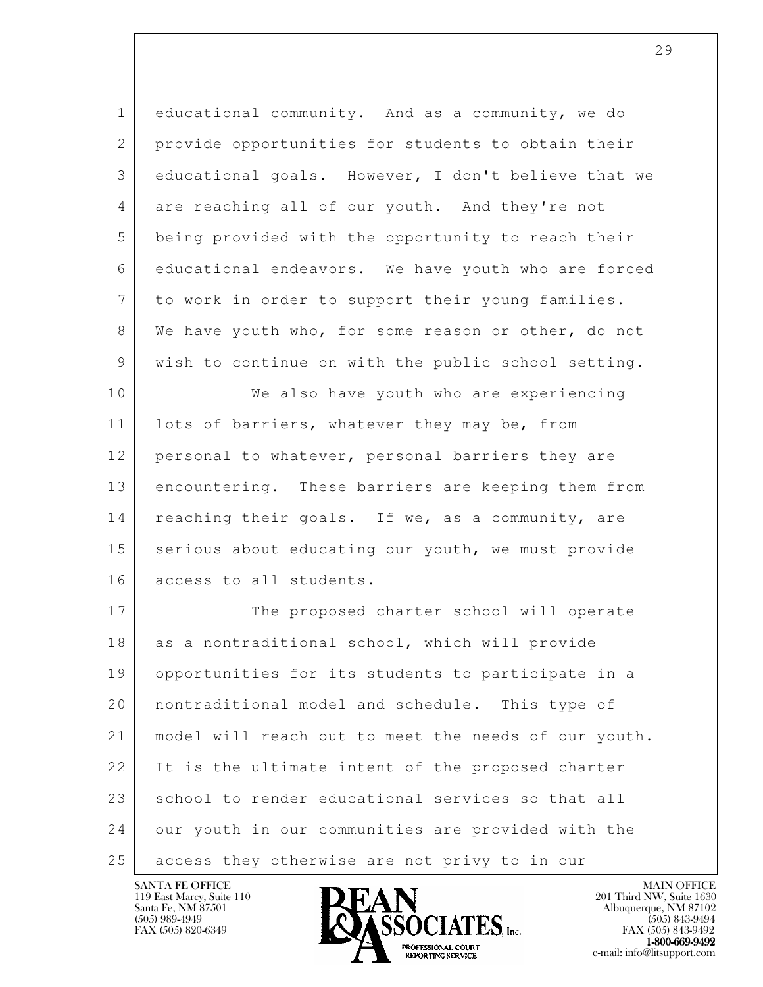1 educational community. And as a community, we do 2 provide opportunities for students to obtain their 3 educational goals. However, I don't believe that we 4 are reaching all of our youth. And they're not 5 being provided with the opportunity to reach their 6 educational endeavors. We have youth who are forced 7 to work in order to support their young families. 8 We have youth who, for some reason or other, do not 9 wish to continue on with the public school setting.

10 | We also have youth who are experiencing 11 | lots of barriers, whatever they may be, from 12 personal to whatever, personal barriers they are 13 encountering. These barriers are keeping them from 14 | reaching their goals. If we, as a community, are 15 serious about educating our youth, we must provide 16 access to all students.

l 17 The proposed charter school will operate 18 as a nontraditional school, which will provide 19 opportunities for its students to participate in a 20 nontraditional model and schedule. This type of 21 model will reach out to meet the needs of our youth. 22 It is the ultimate intent of the proposed charter 23 school to render educational services so that all 24 our youth in our communities are provided with the 25 access they otherwise are not privy to in our

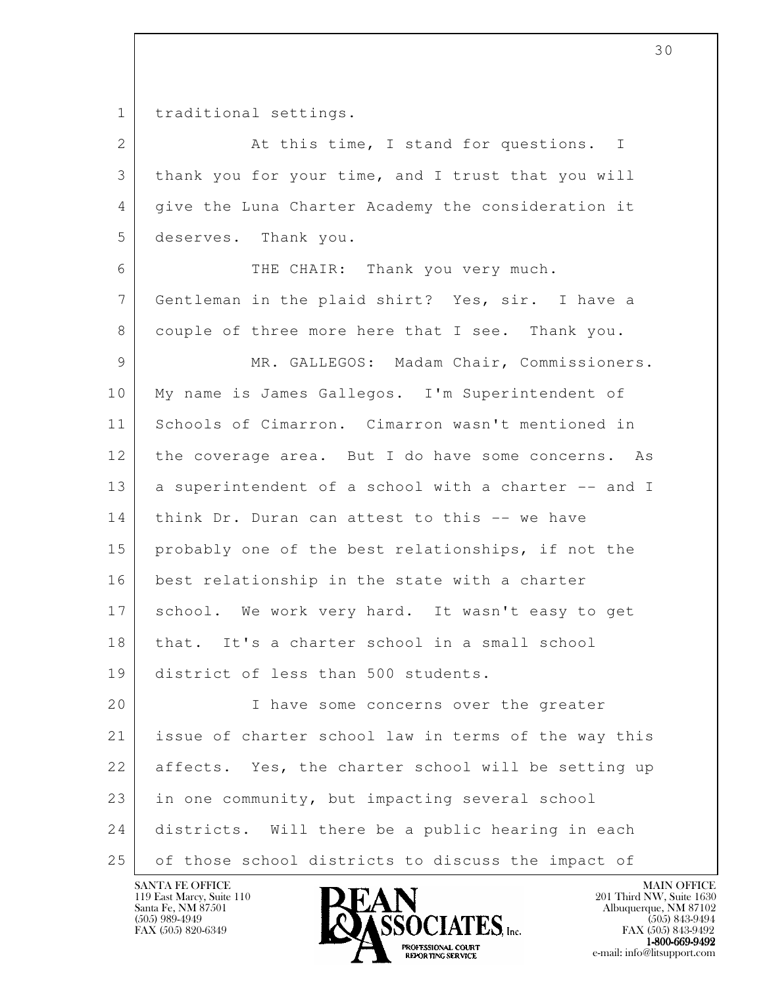1 traditional settings.

| $\overline{2}$ | At this time, I stand for questions. I               |
|----------------|------------------------------------------------------|
| 3              | thank you for your time, and I trust that you will   |
| 4              | give the Luna Charter Academy the consideration it   |
| 5              | deserves. Thank you.                                 |
| 6              | THE CHAIR: Thank you very much.                      |
| 7              | Gentleman in the plaid shirt? Yes, sir. I have a     |
| 8              | couple of three more here that I see. Thank you.     |
| 9              | MR. GALLEGOS: Madam Chair, Commissioners.            |
| 10             | My name is James Gallegos. I'm Superintendent of     |
| 11             | Schools of Cimarron. Cimarron wasn't mentioned in    |
| 12             | the coverage area. But I do have some concerns. As   |
| 13             | a superintendent of a school with a charter -- and I |
| 14             | think Dr. Duran can attest to this -- we have        |
| 15             | probably one of the best relationships, if not the   |
| 16             | best relationship in the state with a charter        |
| 17             | school. We work very hard. It wasn't easy to get     |
| 18             | that. It's a charter school in a small school        |
| 19             | district of less than 500 students.                  |
| 20             | I have some concerns over the greater                |
| 21             | issue of charter school law in terms of the way this |
| 22             | affects. Yes, the charter school will be setting up  |
| 23             | in one community, but impacting several school       |
| 24             | districts. Will there be a public hearing in each    |
| 25             | of those school districts to discuss the impact of   |

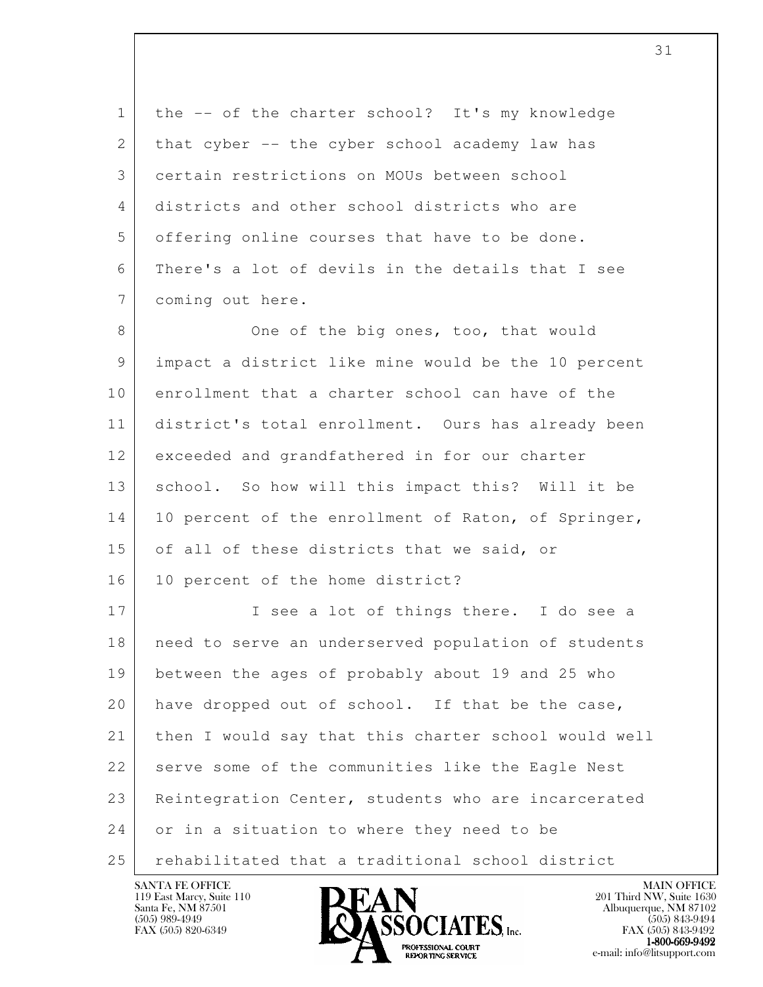| $\mathbf{1}$   | the -- of the charter school? It's my knowledge      |
|----------------|------------------------------------------------------|
| $\mathbf{2}$   | that cyber -- the cyber school academy law has       |
| 3              | certain restrictions on MOUs between school          |
| 4              | districts and other school districts who are         |
| 5              | offering online courses that have to be done.        |
| 6              | There's a lot of devils in the details that I see    |
| $7\phantom{.}$ | coming out here.                                     |
| 8              | One of the big ones, too, that would                 |
| 9              | impact a district like mine would be the 10 percent  |
| 10             | enrollment that a charter school can have of the     |
| 11             | district's total enrollment. Ours has already been   |
| 12             | exceeded and grandfathered in for our charter        |
| 13             | school. So how will this impact this? Will it be     |
| 14             | 10 percent of the enrollment of Raton, of Springer,  |
| 15             | of all of these districts that we said, or           |
| 16             | 10 percent of the home district?                     |
| 17             | I see a lot of things there. I do see a              |
| 18             | need to serve an underserved population of students  |
| 19             | between the ages of probably about 19 and 25 who     |
| 20             | have dropped out of school. If that be the case,     |
| 21             | then I would say that this charter school would well |
| 22             | serve some of the communities like the Eagle Nest    |
| 23             | Reintegration Center, students who are incarcerated  |
| 24             | or in a situation to where they need to be           |
| 25             | rehabilitated that a traditional school district     |

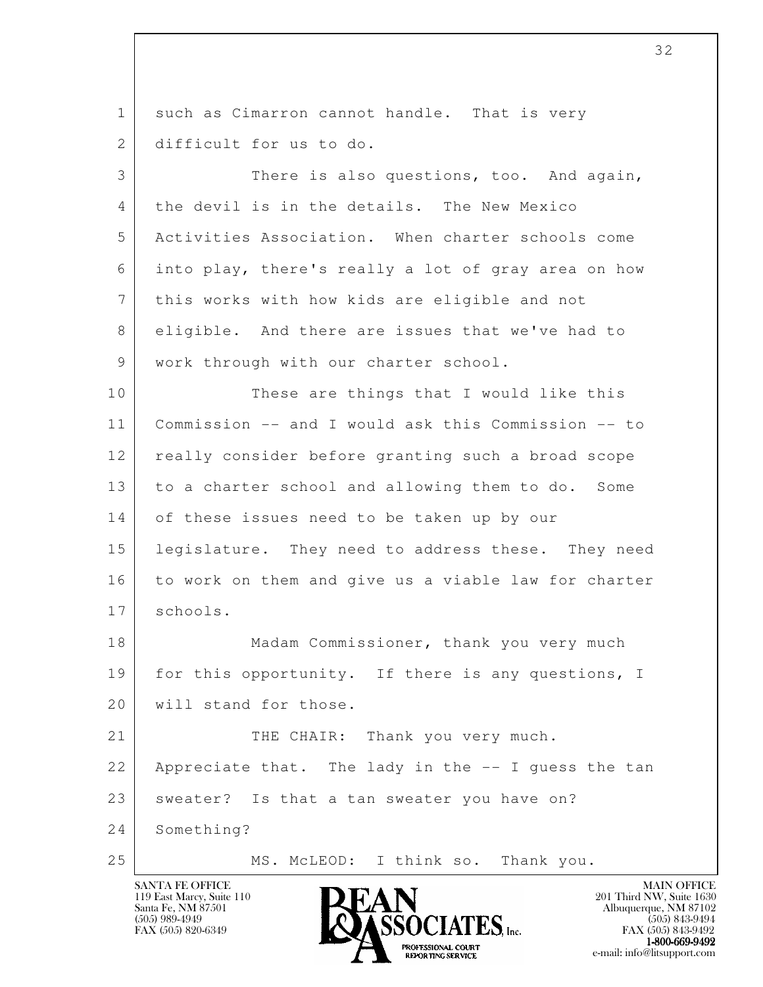l 1 such as Cimarron cannot handle. That is very 2 difficult for us to do. 3 There is also questions, too. And again, 4 | the devil is in the details. The New Mexico 5 Activities Association. When charter schools come 6 into play, there's really a lot of gray area on how 7 this works with how kids are eligible and not 8 eligible. And there are issues that we've had to 9 | work through with our charter school. 10 These are things that I would like this 11 Commission -- and I would ask this Commission -- to 12 really consider before granting such a broad scope 13 to a charter school and allowing them to do. Some 14 of these issues need to be taken up by our 15 legislature. They need to address these. They need 16 to work on them and give us a viable law for charter 17 schools. 18 Madam Commissioner, thank you very much 19 for this opportunity. If there is any questions, I 20 will stand for those. 21 THE CHAIR: Thank you very much. 22 Appreciate that. The lady in the -- I guess the tan 23 | sweater? Is that a tan sweater you have on? 24 Something? 25 MS. McLEOD: I think so. Thank you.

119 East Marcy, Suite 110<br>Santa Fe, NM 87501

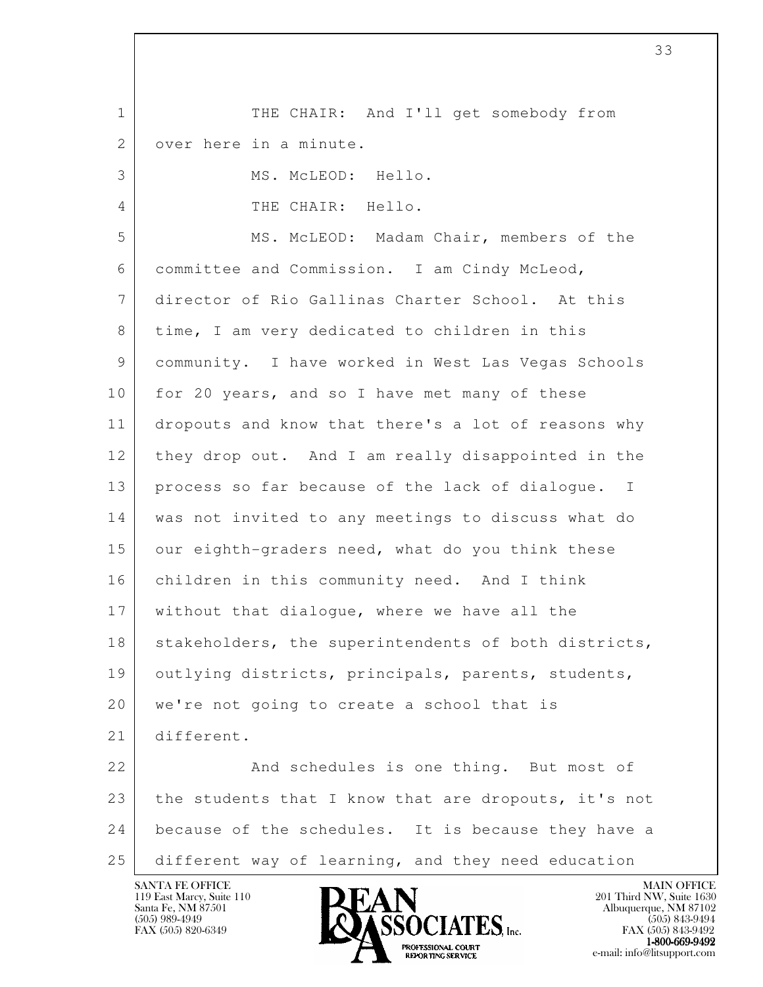l 1 THE CHAIR: And I'll get somebody from 2 over here in a minute. 3 MS. McLEOD: Hello. 4 THE CHAIR: Hello. 5 | MS. McLEOD: Madam Chair, members of the 6 committee and Commission. I am Cindy McLeod, 7 director of Rio Gallinas Charter School. At this 8 time, I am very dedicated to children in this 9 community. I have worked in West Las Vegas Schools 10 for 20 years, and so I have met many of these 11 dropouts and know that there's a lot of reasons why 12 they drop out. And I am really disappointed in the 13 process so far because of the lack of dialogue. I 14 was not invited to any meetings to discuss what do 15 our eighth-graders need, what do you think these 16 children in this community need. And I think 17 without that dialogue, where we have all the 18 | stakeholders, the superintendents of both districts, 19 outlying districts, principals, parents, students, 20 | we're not going to create a school that is 21 different. 22 And schedules is one thing. But most of 23 the students that I know that are dropouts, it's not 24 because of the schedules. It is because they have a 25 different way of learning, and they need education

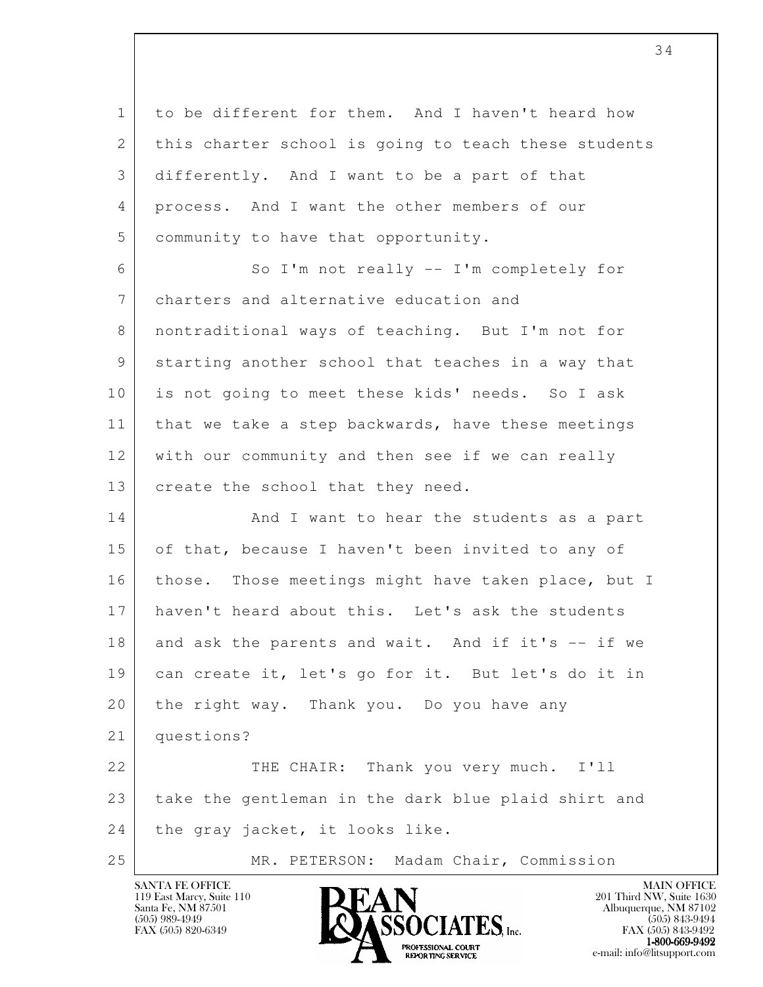l 1 to be different for them. And I haven't heard how 2 | this charter school is going to teach these students 3 differently. And I want to be a part of that 4 process. And I want the other members of our 5 community to have that opportunity. 6 So I'm not really -- I'm completely for 7 charters and alternative education and 8 nontraditional ways of teaching. But I'm not for 9 starting another school that teaches in a way that 10 is not going to meet these kids' needs. So I ask 11 | that we take a step backwards, have these meetings 12 with our community and then see if we can really 13 | create the school that they need. 14 And I want to hear the students as a part 15 of that, because I haven't been invited to any of 16 | those. Those meetings might have taken place, but I 17 haven't heard about this. Let's ask the students 18 | and ask the parents and wait. And if it's -- if we 19 can create it, let's go for it. But let's do it in 20 the right way. Thank you. Do you have any 21 questions? 22 THE CHAIR: Thank you very much. I'll 23 take the gentleman in the dark blue plaid shirt and 24 the gray jacket, it looks like. 25 | MR. PETERSON: Madam Chair, Commission

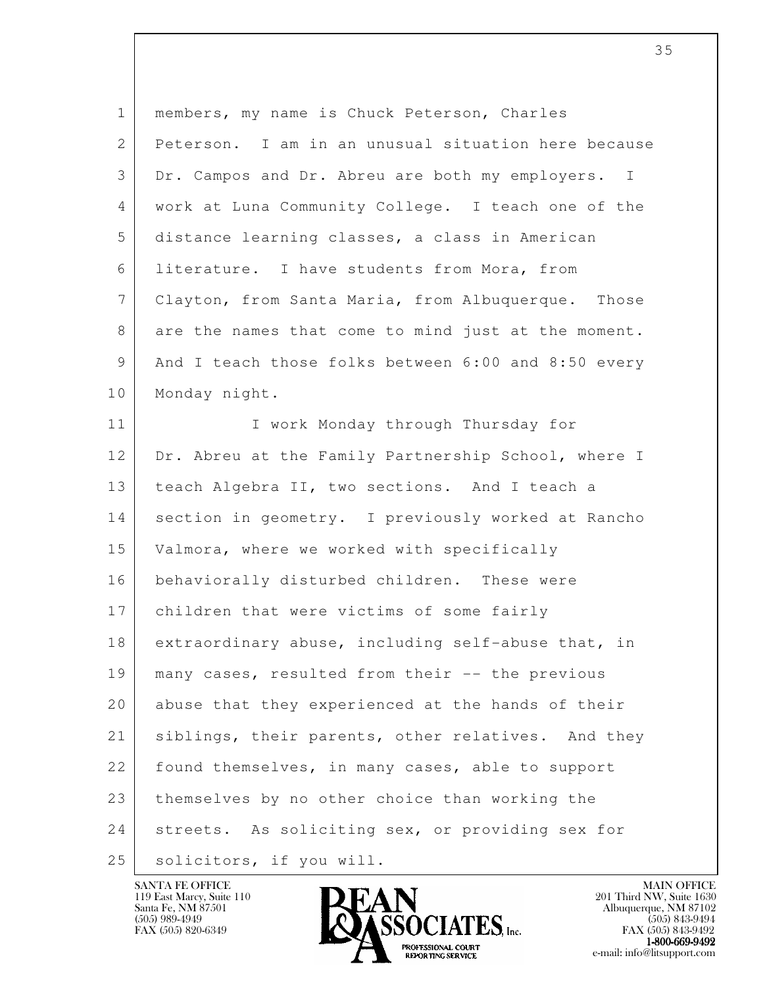| $\mathbf{1}$ | members, my name is Chuck Peterson, Charles         |
|--------------|-----------------------------------------------------|
| 2            | Peterson. I am in an unusual situation here because |
| 3            | Dr. Campos and Dr. Abreu are both my employers. I   |
| 4            | work at Luna Community College. I teach one of the  |
| 5            | distance learning classes, a class in American      |
| 6            | literature. I have students from Mora, from         |
| 7            | Clayton, from Santa Maria, from Albuquerque. Those  |
| 8            | are the names that come to mind just at the moment. |
| 9            | And I teach those folks between 6:00 and 8:50 every |
| 10           | Monday night.                                       |
| 11           | I work Monday through Thursday for                  |
| 12           | Dr. Abreu at the Family Partnership School, where I |
| 13           | teach Algebra II, two sections. And I teach a       |
| 14           | section in geometry. I previously worked at Rancho  |
| 15           | Valmora, where we worked with specifically          |
| 16           | behaviorally disturbed children. These were         |
| 17           | children that were victims of some fairly           |
| 18           | extraordinary abuse, including self-abuse that, in  |
| 19           | many cases, resulted from their -- the previous     |
| 20           | abuse that they experienced at the hands of their   |
| 21           | siblings, their parents, other relatives. And they  |
| 22           | found themselves, in many cases, able to support    |
| 23           | themselves by no other choice than working the      |
| 24           | streets. As soliciting sex, or providing sex for    |
| 25           | solicitors, if you will.                            |

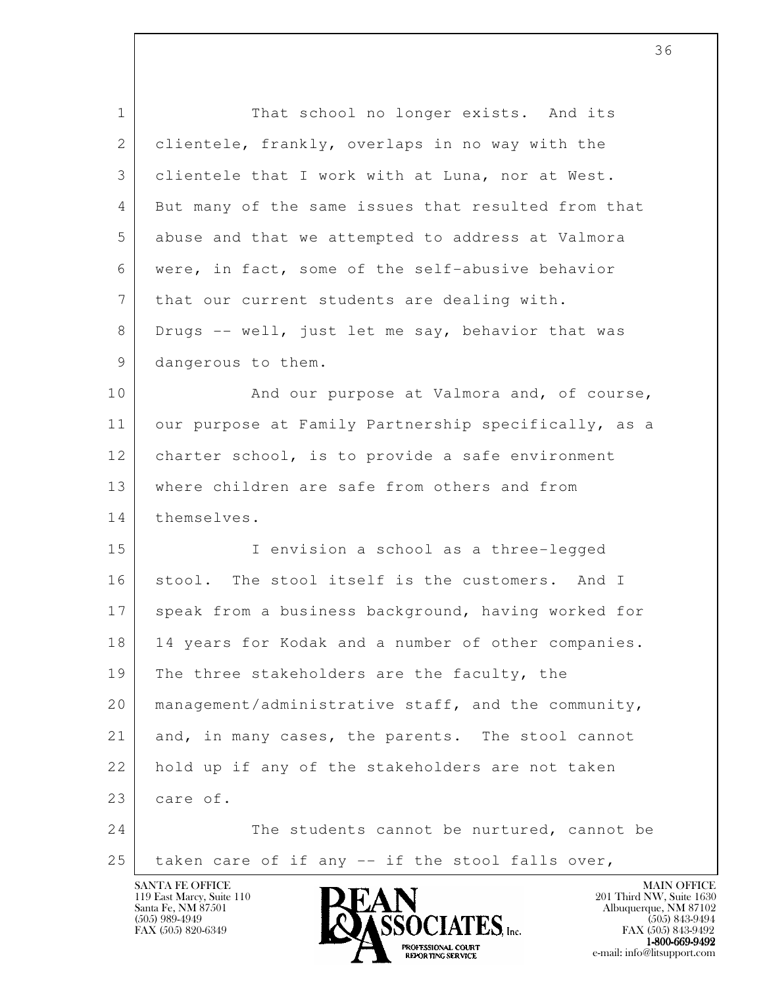| $\mathbf{1}$ | That school no longer exists. And its                |
|--------------|------------------------------------------------------|
| 2            | clientele, frankly, overlaps in no way with the      |
| 3            | clientele that I work with at Luna, nor at West.     |
| 4            | But many of the same issues that resulted from that  |
| 5            | abuse and that we attempted to address at Valmora    |
| 6            | were, in fact, some of the self-abusive behavior     |
| 7            | that our current students are dealing with.          |
| 8            | Drugs -- well, just let me say, behavior that was    |
| 9            | dangerous to them.                                   |
| 10           | And our purpose at Valmora and, of course,           |
| 11           | our purpose at Family Partnership specifically, as a |
| 12           | charter school, is to provide a safe environment     |
| 13           | where children are safe from others and from         |
| 14           | themselves.                                          |
| 15           | I envision a school as a three-legged                |
| 16           | stool. The stool itself is the customers. And I      |
| 17           | speak from a business background, having worked for  |
| 18           | 14 years for Kodak and a number of other companies.  |
| 19           | The three stakeholders are the faculty, the          |
| 20           | management/administrative staff, and the community,  |
| 21           | and, in many cases, the parents. The stool cannot    |
| 22           | hold up if any of the stakeholders are not taken     |
| 23           | care of.                                             |
| 24           | The students cannot be nurtured, cannot be           |
| 25           | taken care of if any -- if the stool falls over,     |
|              |                                                      |

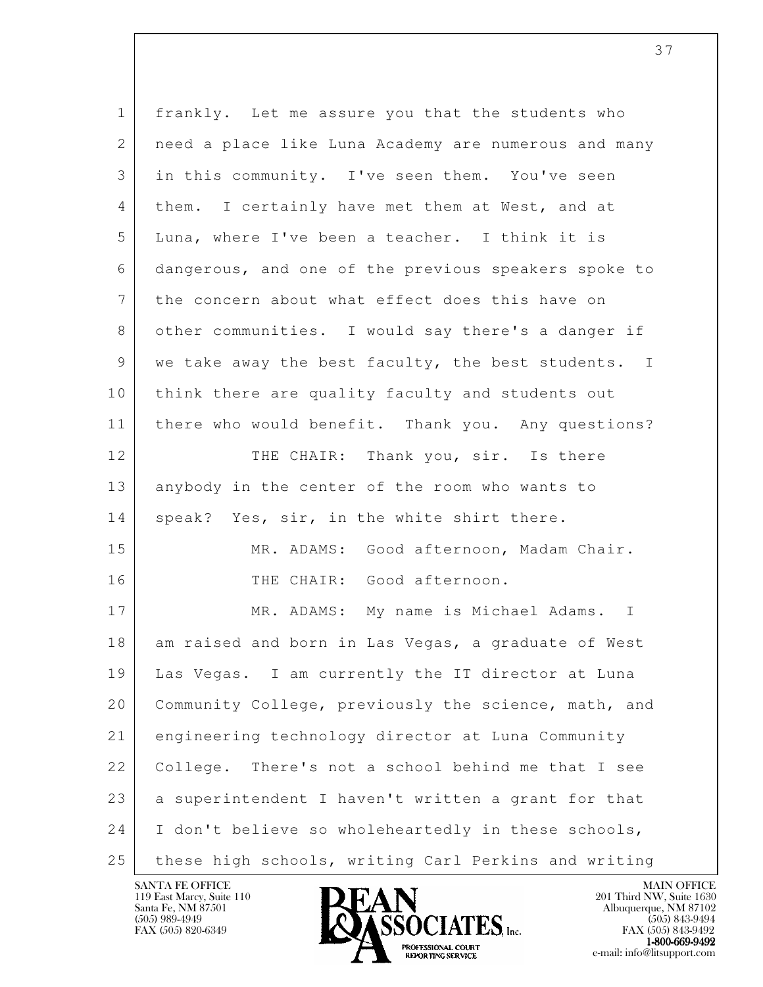| $\mathbf{1}$ | frankly. Let me assure you that the students who     |
|--------------|------------------------------------------------------|
| 2            | need a place like Luna Academy are numerous and many |
| 3            | in this community. I've seen them. You've seen       |
| 4            | them. I certainly have met them at West, and at      |
| 5            | Luna, where I've been a teacher. I think it is       |
| 6            | dangerous, and one of the previous speakers spoke to |
| 7            | the concern about what effect does this have on      |
| 8            | other communities. I would say there's a danger if   |
| 9            | we take away the best faculty, the best students. I  |
| 10           | think there are quality faculty and students out     |
| 11           | there who would benefit. Thank you. Any questions?   |
| 12           | THE CHAIR: Thank you, sir. Is there                  |
| 13           | anybody in the center of the room who wants to       |
| 14           | speak? Yes, sir, in the white shirt there.           |
| 15           | MR. ADAMS: Good afternoon, Madam Chair.              |
| 16           | THE CHAIR: Good afternoon.                           |
| 17           | MR. ADAMS: My name is Michael Adams. I               |
| 18           | am raised and born in Las Vegas, a graduate of West  |
| 19           | Las Vegas. I am currently the IT director at Luna    |
| 20           | Community College, previously the science, math, and |
| 21           | engineering technology director at Luna Community    |
| 22           | College. There's not a school behind me that I see   |
| 23           | a superintendent I haven't written a grant for that  |
| 24           | I don't believe so wholeheartedly in these schools,  |
| 25           | these high schools, writing Carl Perkins and writing |

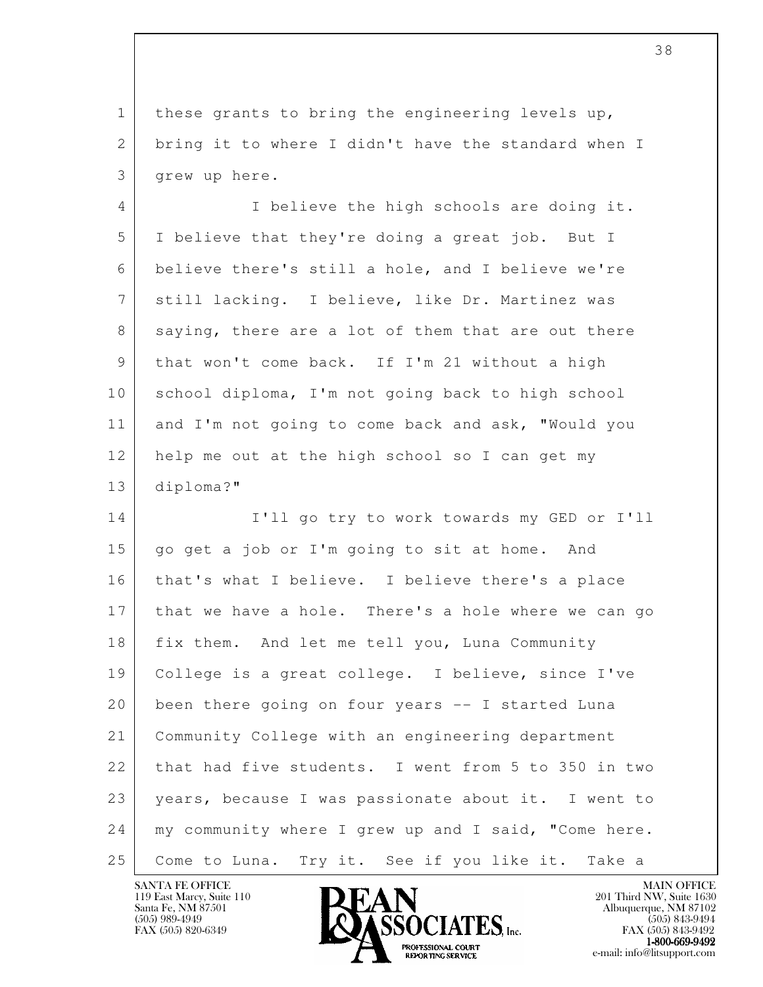1 these grants to bring the engineering levels up, 2 bring it to where I didn't have the standard when I 3 grew up here.

 4 I believe the high schools are doing it. 5 I believe that they're doing a great job. But I 6 believe there's still a hole, and I believe we're 7 still lacking. I believe, like Dr. Martinez was 8 saying, there are a lot of them that are out there 9 that won't come back. If I'm 21 without a high 10 school diploma, I'm not going back to high school 11 and I'm not going to come back and ask, "Would you 12 help me out at the high school so I can get my 13 diploma?"

l 14 I'll go try to work towards my GED or I'll 15 go get a job or I'm going to sit at home. And 16 that's what I believe. I believe there's a place 17 that we have a hole. There's a hole where we can go 18 fix them. And let me tell you, Luna Community 19 College is a great college. I believe, since I've 20 been there going on four years -- I started Luna 21 Community College with an engineering department 22 that had five students. I went from 5 to 350 in two 23 years, because I was passionate about it. I went to 24 | my community where I grew up and I said, "Come here. 25 | Come to Luna. Try it. See if you like it. Take a

119 East Marcy, Suite 110<br>Santa Fe, NM 87501



FAX (505) 843-9492 **EXPORTING SERVICE** EXPLORER THE REPORTING SERVICE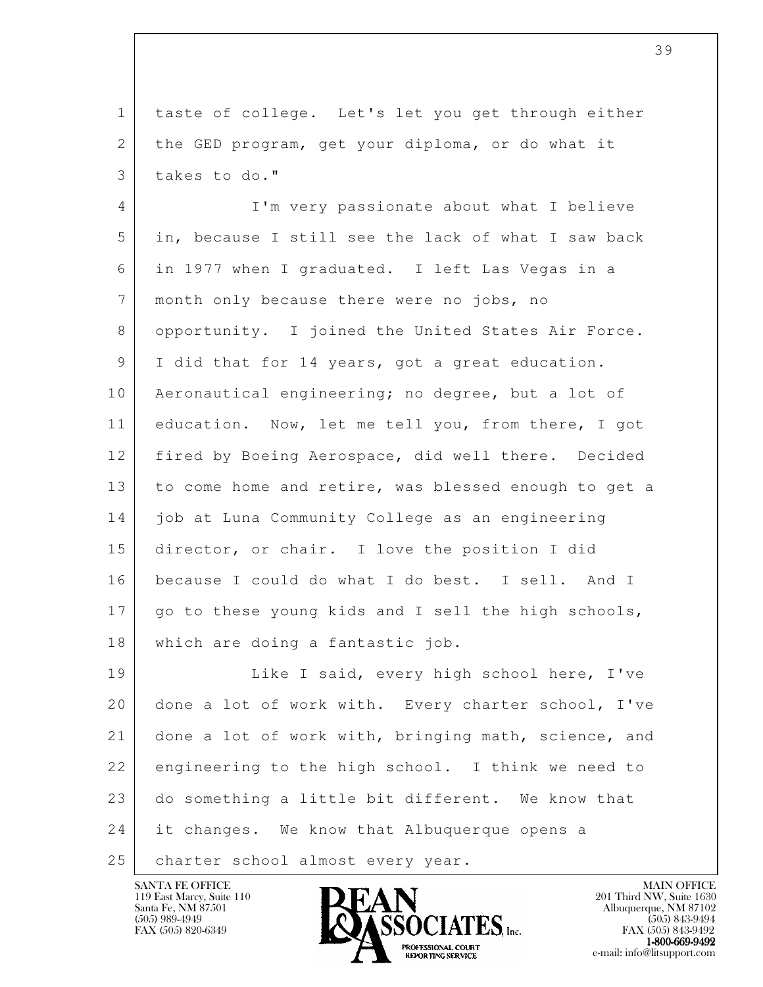1 taste of college. Let's let you get through either 2 the GED program, get your diploma, or do what it 3 takes to do."

 4 I'm very passionate about what I believe 5 in, because I still see the lack of what I saw back 6 in 1977 when I graduated. I left Las Vegas in a 7 month only because there were no jobs, no 8 opportunity. I joined the United States Air Force. 9 | I did that for 14 years, got a great education. 10 Aeronautical engineering; no degree, but a lot of 11 education. Now, let me tell you, from there, I got 12 fired by Boeing Aerospace, did well there. Decided 13 to come home and retire, was blessed enough to get a 14 job at Luna Community College as an engineering 15 director, or chair. I love the position I did 16 because I could do what I do best. I sell. And I 17 | go to these young kids and I sell the high schools, 18 which are doing a fantastic job.

l 19 Like I said, every high school here, I've 20 done a lot of work with. Every charter school, I've 21 done a lot of work with, bringing math, science, and 22 engineering to the high school. I think we need to 23 do something a little bit different. We know that 24 it changes. We know that Albuquerque opens a 25 | charter school almost every year.

119 East Marcy, Suite 110<br>Santa Fe, NM 87501

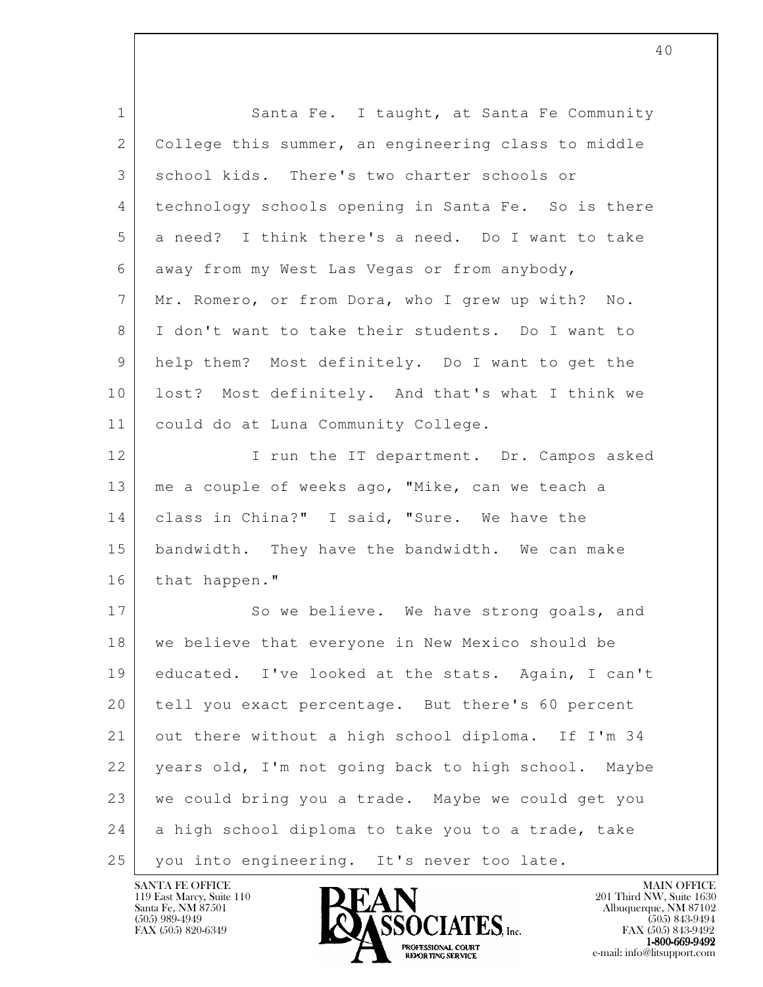| $\mathbf{1}$ | Santa Fe. I taught, at Santa Fe Community           |
|--------------|-----------------------------------------------------|
| 2            | College this summer, an engineering class to middle |
| 3            | school kids. There's two charter schools or         |
| 4            | technology schools opening in Santa Fe. So is there |
| 5            | a need? I think there's a need. Do I want to take   |
| 6            | away from my West Las Vegas or from anybody,        |
| 7            | Mr. Romero, or from Dora, who I grew up with? No.   |
| 8            | I don't want to take their students. Do I want to   |
| 9            | help them? Most definitely. Do I want to get the    |
| 10           | lost? Most definitely. And that's what I think we   |
| 11           | could do at Luna Community College.                 |
| 12           | I run the IT department. Dr. Campos asked           |
| 13           | me a couple of weeks ago, "Mike, can we teach a     |
| 14           | class in China?" I said, "Sure. We have the         |
| 15           | bandwidth. They have the bandwidth. We can make     |
| 16           | that happen."                                       |
| 17           | So we believe. We have strong goals, and            |
| 18           | we believe that everyone in New Mexico should be    |
| 19           | educated. I've looked at the stats. Again, I can't  |
| 20           | tell you exact percentage. But there's 60 percent   |
| 21           | out there without a high school diploma. If I'm 34  |
| 22           | years old, I'm not going back to high school. Maybe |
| 23           | we could bring you a trade. Maybe we could get you  |
| 24           | a high school diploma to take you to a trade, take  |
| 25           | you into engineering. It's never too late.          |

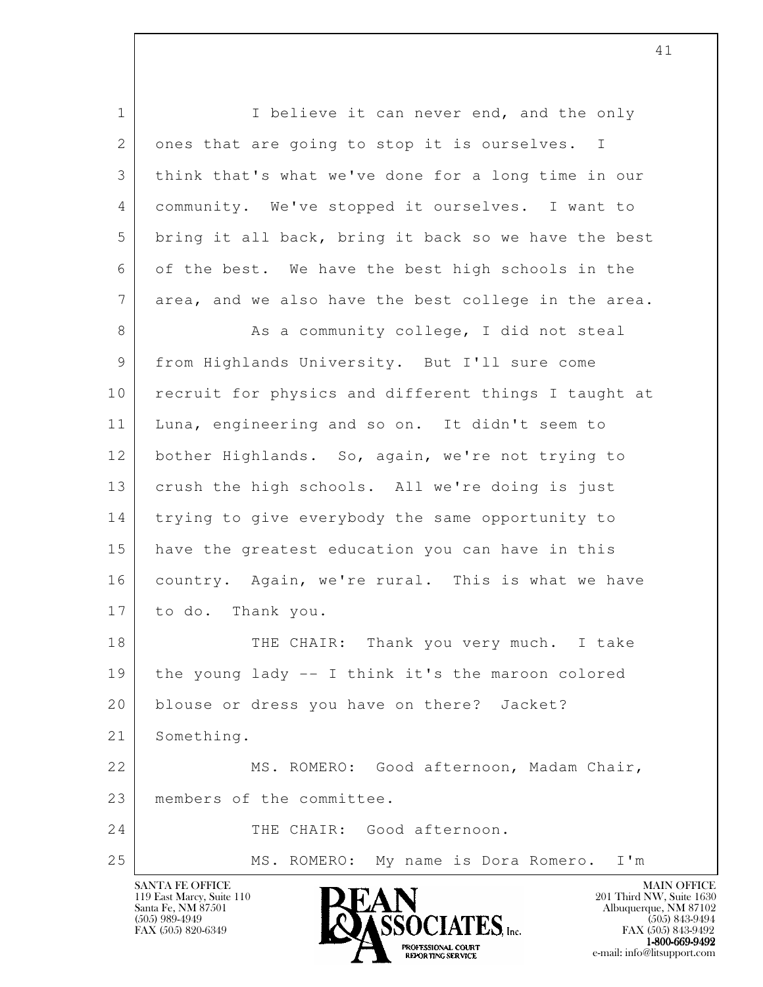l 1 I believe it can never end, and the only 2 ones that are going to stop it is ourselves. I 3 think that's what we've done for a long time in our 4 community. We've stopped it ourselves. I want to 5 bring it all back, bring it back so we have the best 6 of the best. We have the best high schools in the 7 area, and we also have the best college in the area. 8 As a community college, I did not steal 9 from Highlands University. But I'll sure come 10 recruit for physics and different things I taught at 11 Luna, engineering and so on. It didn't seem to 12 bother Highlands. So, again, we're not trying to 13 crush the high schools. All we're doing is just 14 trying to give everybody the same opportunity to 15 have the greatest education you can have in this 16 country. Again, we're rural. This is what we have 17 to do. Thank you. 18 THE CHAIR: Thank you very much. I take 19 the young lady -- I think it's the maroon colored 20 blouse or dress you have on there? Jacket? 21 Something. 22 | MS. ROMERO: Good afternoon, Madam Chair, 23 members of the committee. 24 THE CHAIR: Good afternoon. 25 | MS. ROMERO: My name is Dora Romero. I'm

119 East Marcy, Suite 110<br>Santa Fe, NM 87501

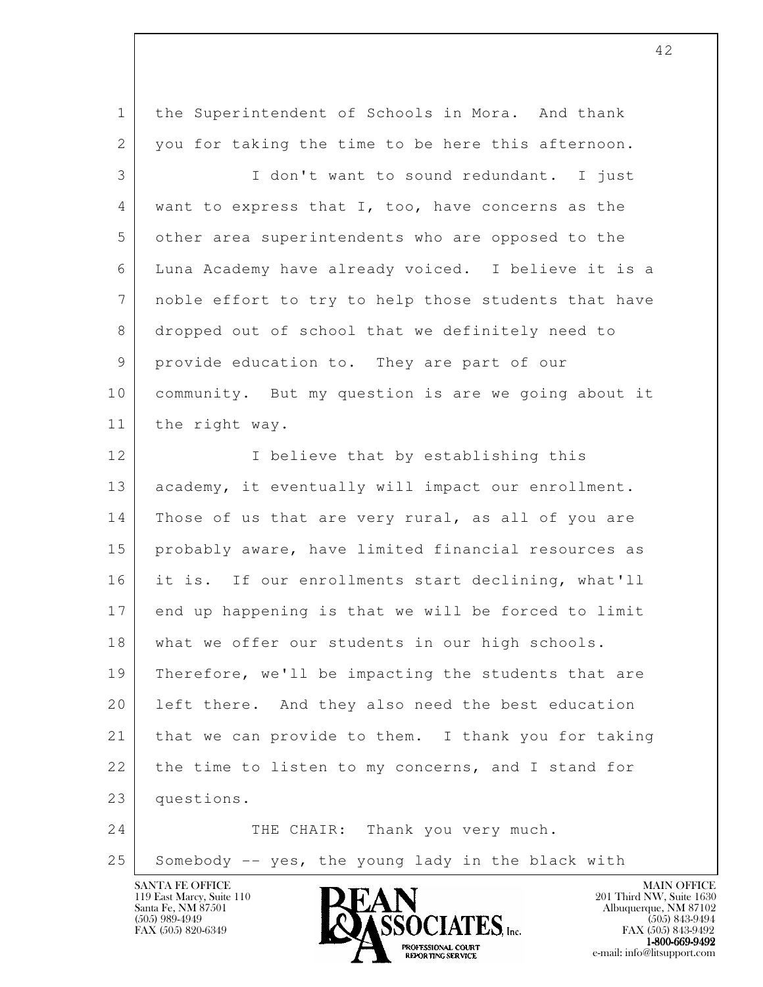| $\mathbf 1$    | the Superintendent of Schools in Mora. And thank     |
|----------------|------------------------------------------------------|
| $\overline{2}$ | you for taking the time to be here this afternoon.   |
| 3              | I don't want to sound redundant. I just              |
| 4              | want to express that I, too, have concerns as the    |
| 5              | other area superintendents who are opposed to the    |
| 6              | Luna Academy have already voiced. I believe it is a  |
| 7              | noble effort to try to help those students that have |
| 8              | dropped out of school that we definitely need to     |
| 9              | provide education to. They are part of our           |
| 10             | community. But my question is are we going about it  |
| 11             | the right way.                                       |
| 12             | I believe that by establishing this                  |
| 13             | academy, it eventually will impact our enrollment.   |
| 14             | Those of us that are very rural, as all of you are   |
| 15             | probably aware, have limited financial resources as  |
| 16             | it is. If our enrollments start declining, what'll   |
| 17             | end up happening is that we will be forced to limit  |
| 18             | what we offer our students in our high schools.      |
| 19             | Therefore, we'll be impacting the students that are  |
| 20             | left there. And they also need the best education    |
| 21             | that we can provide to them. I thank you for taking  |
| 22             | the time to listen to my concerns, and I stand for   |
| 23             | questions.                                           |
| 24             | THE CHAIR: Thank you very much.                      |
| 25             | Somebody -- yes, the young lady in the black with    |

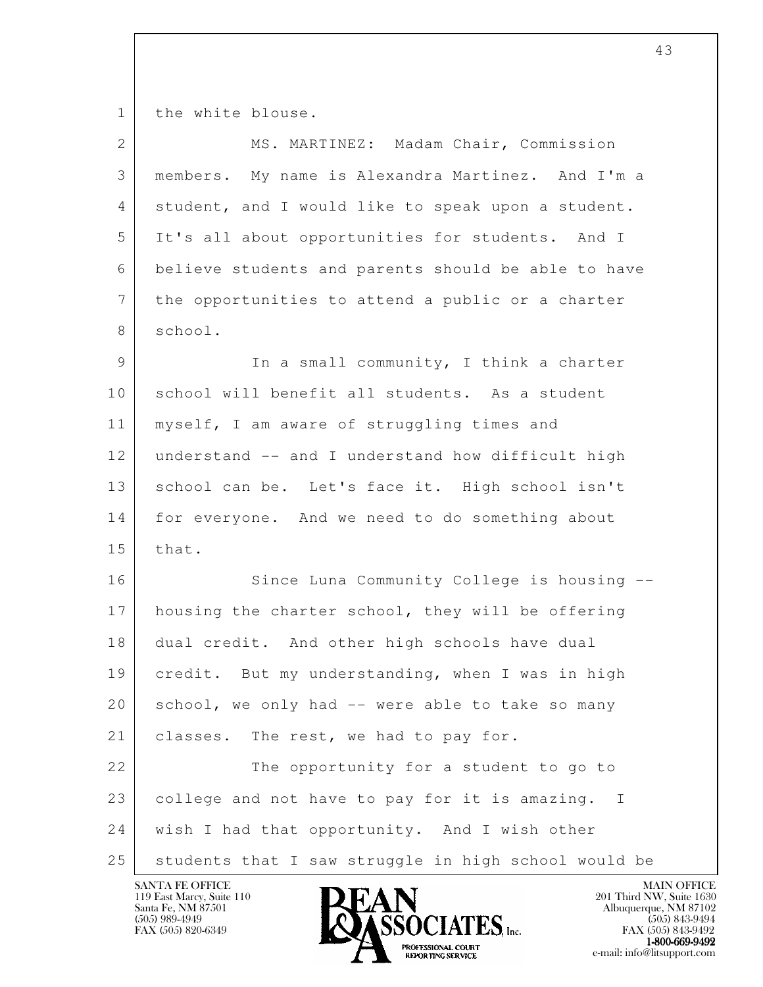1 the white blouse.

| $\overline{2}$  | MS. MARTINEZ: Madam Chair, Commission                          |
|-----------------|----------------------------------------------------------------|
| 3               | members. My name is Alexandra Martinez. And I'm a              |
| 4               | student, and I would like to speak upon a student.             |
| 5               | It's all about opportunities for students. And I               |
| 6               | believe students and parents should be able to have            |
| $7\phantom{.0}$ | the opportunities to attend a public or a charter              |
| 8               | school.                                                        |
| 9               | In a small community, I think a charter                        |
| 10              | school will benefit all students. As a student                 |
| 11              | myself, I am aware of struggling times and                     |
| 12              | understand -- and I understand how difficult high              |
| 13              | school can be. Let's face it. High school isn't                |
| 14              | for everyone. And we need to do something about                |
| 15              | that.                                                          |
| 16              | Since Luna Community College is housing --                     |
| 17              | housing the charter school, they will be offering              |
| 18              | dual credit. And other high schools have dual                  |
| 19              | credit. But my understanding, when I was in high               |
| 20              | school, we only had -- were able to take so many               |
| 21              | classes. The rest, we had to pay for.                          |
| 22              | The opportunity for a student to go to                         |
| 23              | college and not have to pay for it is amazing.<br>$\mathbf{I}$ |
| 24              | wish I had that opportunity. And I wish other                  |
| 25              | students that I saw struggle in high school would be           |

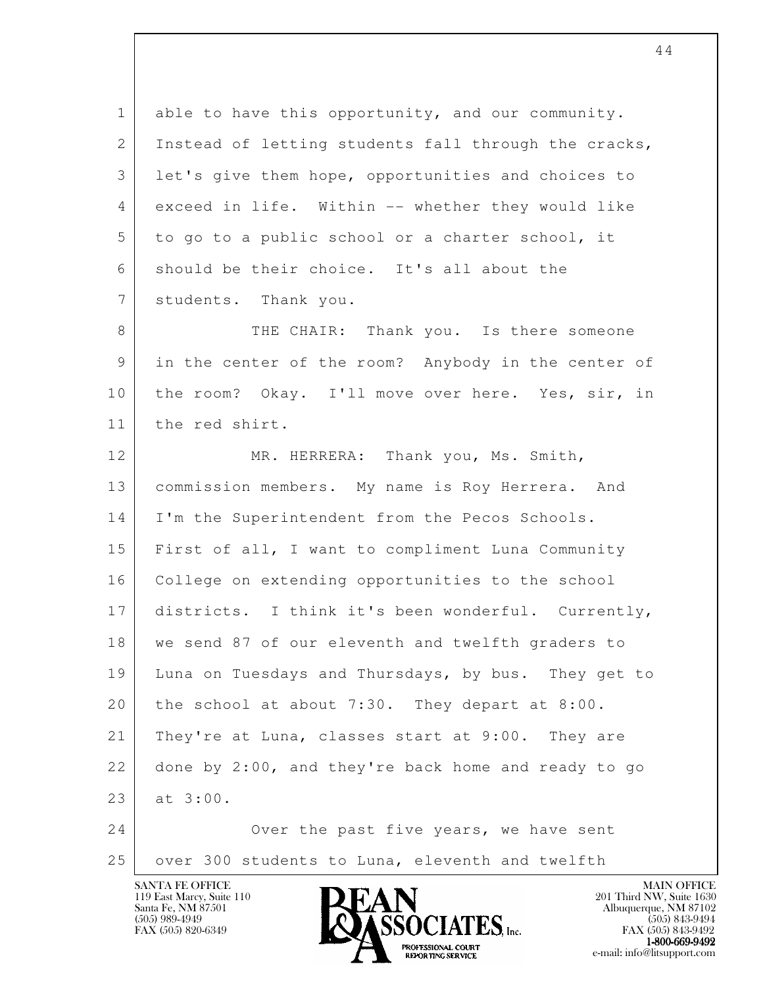1 able to have this opportunity, and our community. 2 Instead of letting students fall through the cracks, 3 let's give them hope, opportunities and choices to 4 exceed in life. Within -- whether they would like 5 to go to a public school or a charter school, it 6 should be their choice. It's all about the 7 students. Thank you. 8 THE CHAIR: Thank you. Is there someone

 9 in the center of the room? Anybody in the center of 10 | the room? Okay. I'll move over here. Yes, sir, in 11 the red shirt.

l 12 MR. HERRERA: Thank you, Ms. Smith, 13 commission members. My name is Roy Herrera. And 14 | I'm the Superintendent from the Pecos Schools. 15 First of all, I want to compliment Luna Community 16 College on extending opportunities to the school 17 districts. I think it's been wonderful. Currently, 18 we send 87 of our eleventh and twelfth graders to 19 Luna on Tuesdays and Thursdays, by bus. They get to 20 the school at about 7:30. They depart at  $8:00$ . 21 | They're at Luna, classes start at 9:00. They are 22 done by 2:00, and they're back home and ready to go 23 at 3:00. 24 Over the past five years, we have sent

25 over 300 students to Luna, eleventh and twelfth

119 East Marcy, Suite 110<br>Santa Fe, NM 87501

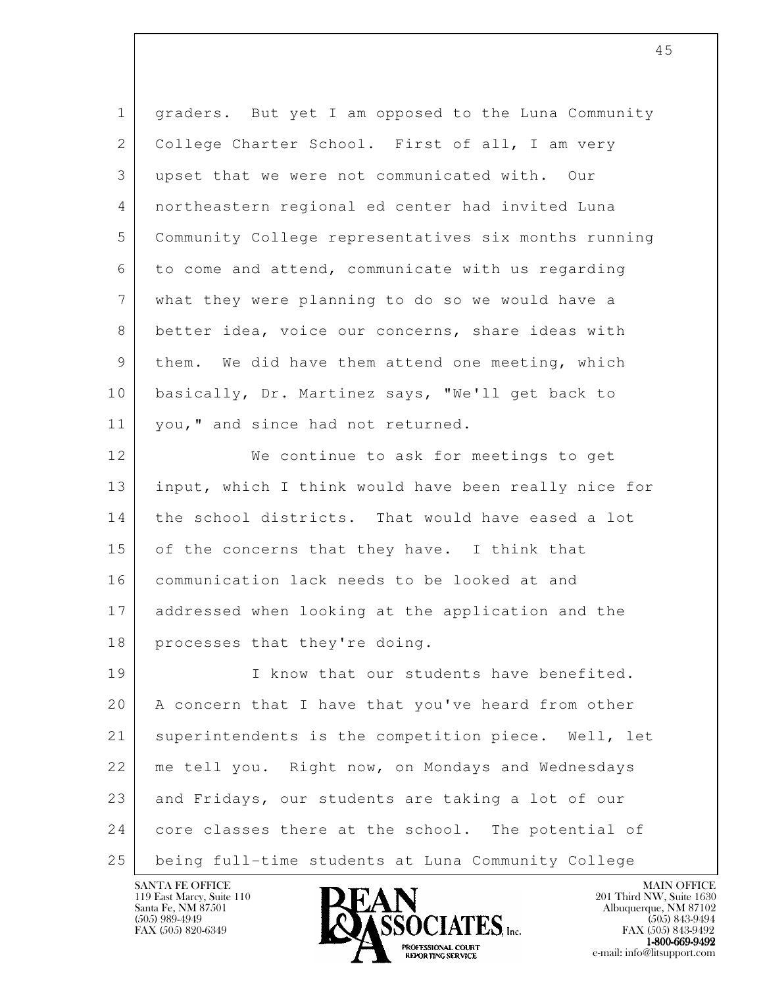| $\mathbf{1}$ | graders. But yet I am opposed to the Luna Community  |
|--------------|------------------------------------------------------|
| 2            | College Charter School. First of all, I am very      |
| 3            | upset that we were not communicated with. Our        |
| 4            | northeastern regional ed center had invited Luna     |
| 5            | Community College representatives six months running |
| 6            | to come and attend, communicate with us regarding    |
| 7            | what they were planning to do so we would have a     |
| 8            | better idea, voice our concerns, share ideas with    |
| 9            | them. We did have them attend one meeting, which     |
| 10           | basically, Dr. Martinez says, "We'll get back to     |
| 11           | you," and since had not returned.                    |
| 12           | We continue to ask for meetings to get               |
| 13           | input, which I think would have been really nice for |
| 14           | the school districts. That would have eased a lot    |
| 15           | of the concerns that they have. I think that         |
| 16           | communication lack needs to be looked at and         |
| 17           | addressed when looking at the application and the    |
| 18           | processes that they're doing.                        |
| 19           | I know that our students have benefited.             |
| 20           | A concern that I have that you've heard from other   |
| 21           | superintendents is the competition piece. Well, let  |
| 22           | me tell you. Right now, on Mondays and Wednesdays    |
| 23           | and Fridays, our students are taking a lot of our    |
| 24           | core classes there at the school. The potential of   |
| 25           | being full-time students at Luna Community College   |

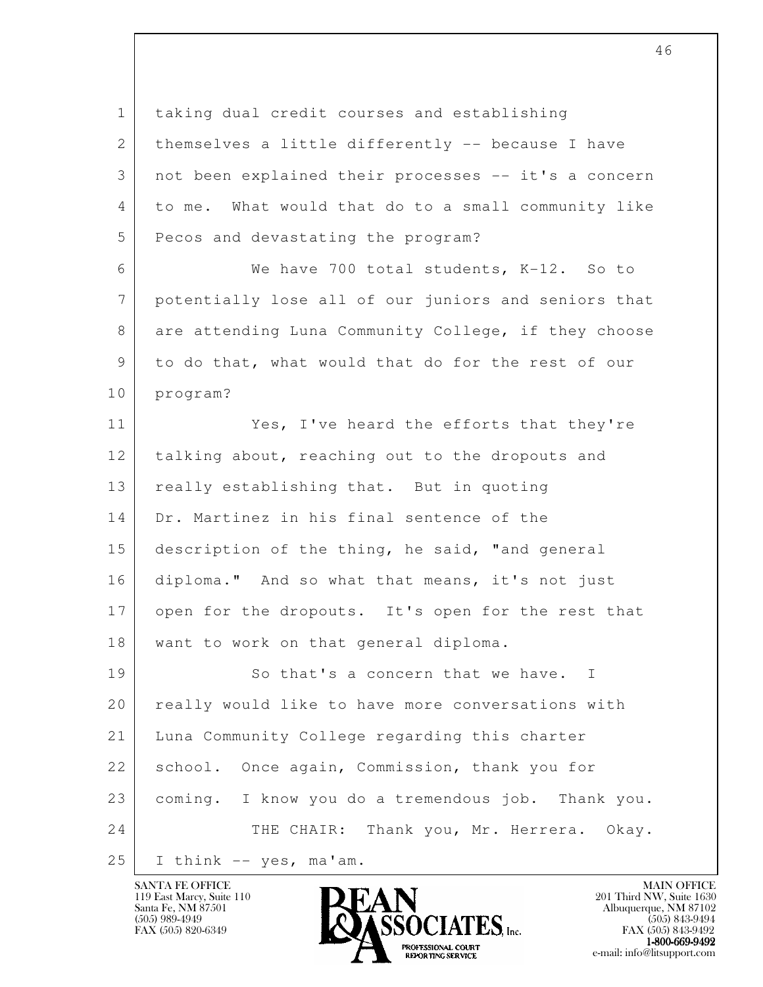l 1 taking dual credit courses and establishing 2 | themselves a little differently -- because I have 3 not been explained their processes -- it's a concern 4 to me. What would that do to a small community like 5 Pecos and devastating the program? 6 We have 700 total students, K-12. So to 7 potentially lose all of our juniors and seniors that 8 are attending Luna Community College, if they choose 9 to do that, what would that do for the rest of our 10 program? 11 Yes, I've heard the efforts that they're 12 talking about, reaching out to the dropouts and 13 really establishing that. But in quoting 14 Dr. Martinez in his final sentence of the 15 description of the thing, he said, "and general 16 diploma." And so what that means, it's not just 17 open for the dropouts. It's open for the rest that 18 | want to work on that general diploma. 19 So that's a concern that we have. I 20 really would like to have more conversations with 21 Luna Community College regarding this charter 22 | school. Once again, Commission, thank you for 23 coming. I know you do a tremendous job. Thank you. 24 THE CHAIR: Thank you, Mr. Herrera. Okay.  $25$  I think -- yes, ma'am.

119 East Marcy, Suite 110<br>Santa Fe, NM 87501

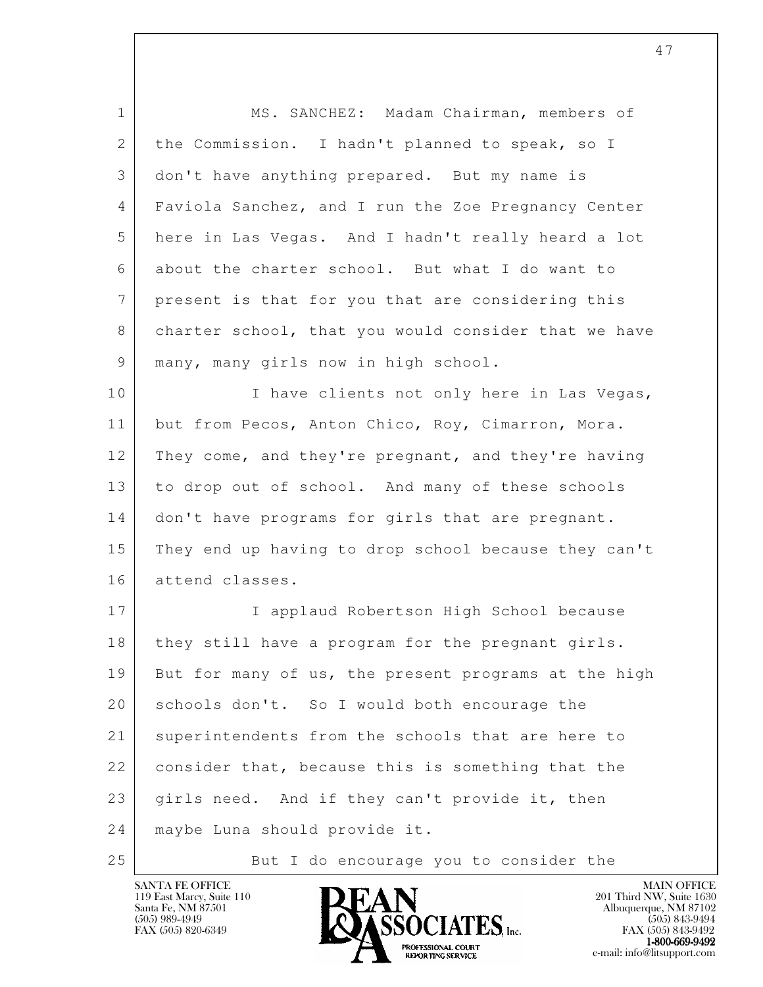| $\mathbf 1$     | MS. SANCHEZ: Madam Chairman, members of              |
|-----------------|------------------------------------------------------|
| 2               | the Commission. I hadn't planned to speak, so I      |
| 3               | don't have anything prepared. But my name is         |
| 4               | Faviola Sanchez, and I run the Zoe Pregnancy Center  |
| 5               | here in Las Vegas. And I hadn't really heard a lot   |
| 6               | about the charter school. But what I do want to      |
| $7\phantom{.0}$ | present is that for you that are considering this    |
| 8               | charter school, that you would consider that we have |
| 9               | many, many girls now in high school.                 |
| 10              | I have clients not only here in Las Vegas,           |
| 11              | but from Pecos, Anton Chico, Roy, Cimarron, Mora.    |
| 12              | They come, and they're pregnant, and they're having  |
| 13              | to drop out of school. And many of these schools     |
| 14              | don't have programs for girls that are pregnant.     |
| 15              | They end up having to drop school because they can't |
| 16              | attend classes.                                      |
| 17              | I applaud Robertson High School because              |
| 18              | they still have a program for the pregnant girls.    |
| 19              | But for many of us, the present programs at the high |
| 20              | schools don't. So I would both encourage the         |
| 21              | superintendents from the schools that are here to    |
| 22              | consider that, because this is something that the    |
| 23              | girls need. And if they can't provide it, then       |
| 24              | maybe Luna should provide it.                        |
| 25              | But I do encourage you to consider the               |

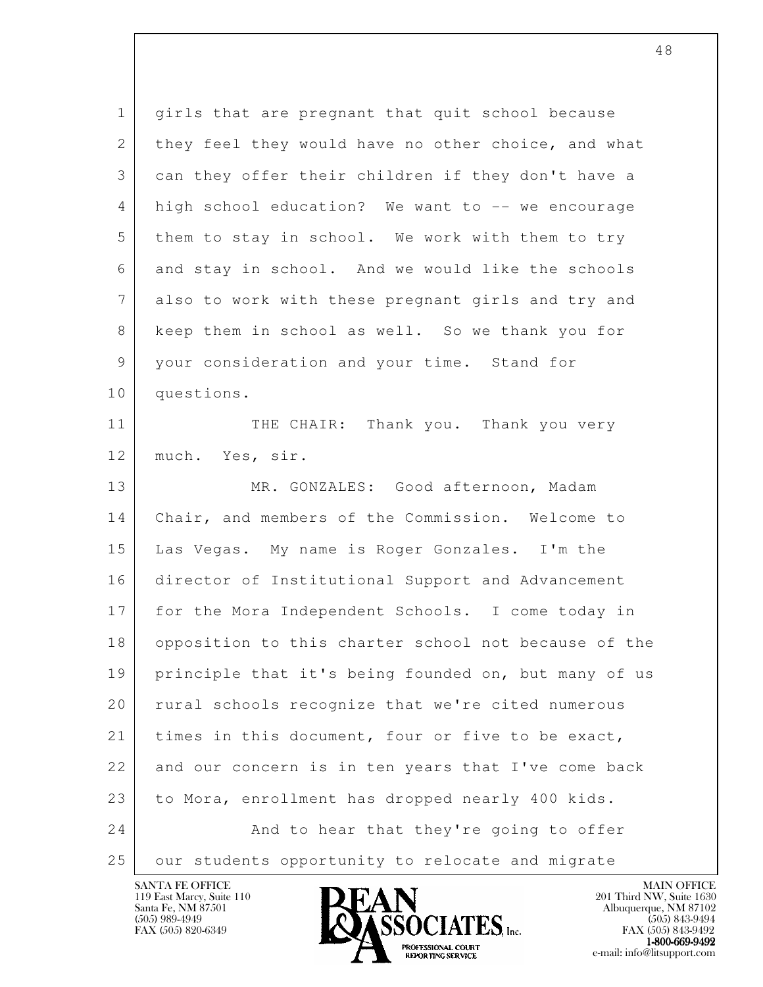l 1 girls that are pregnant that quit school because 2 they feel they would have no other choice, and what 3 can they offer their children if they don't have a 4 high school education? We want to -- we encourage 5 them to stay in school. We work with them to try 6 and stay in school. And we would like the schools 7 also to work with these pregnant girls and try and 8 keep them in school as well. So we thank you for 9 your consideration and your time. Stand for 10 questions. 11 THE CHAIR: Thank you. Thank you very 12 much. Yes, sir. 13 MR. GONZALES: Good afternoon, Madam 14 Chair, and members of the Commission. Welcome to 15 Las Vegas. My name is Roger Gonzales. I'm the 16 director of Institutional Support and Advancement 17 for the Mora Independent Schools. I come today in 18 opposition to this charter school not because of the 19 principle that it's being founded on, but many of us 20 | rural schools recognize that we're cited numerous 21 times in this document, four or five to be exact, 22 and our concern is in ten years that I've come back 23 | to Mora, enrollment has dropped nearly 400 kids. 24 And to hear that they're going to offer 25 | our students opportunity to relocate and migrate

119 East Marcy, Suite 110<br>Santa Fe, NM 87501



FAX (505) 843-9492 1-800-669-9492<br>PROFESSIONAL COURT **EXPORTING SERVICE** EXPLORER THE REPORTING SERVICE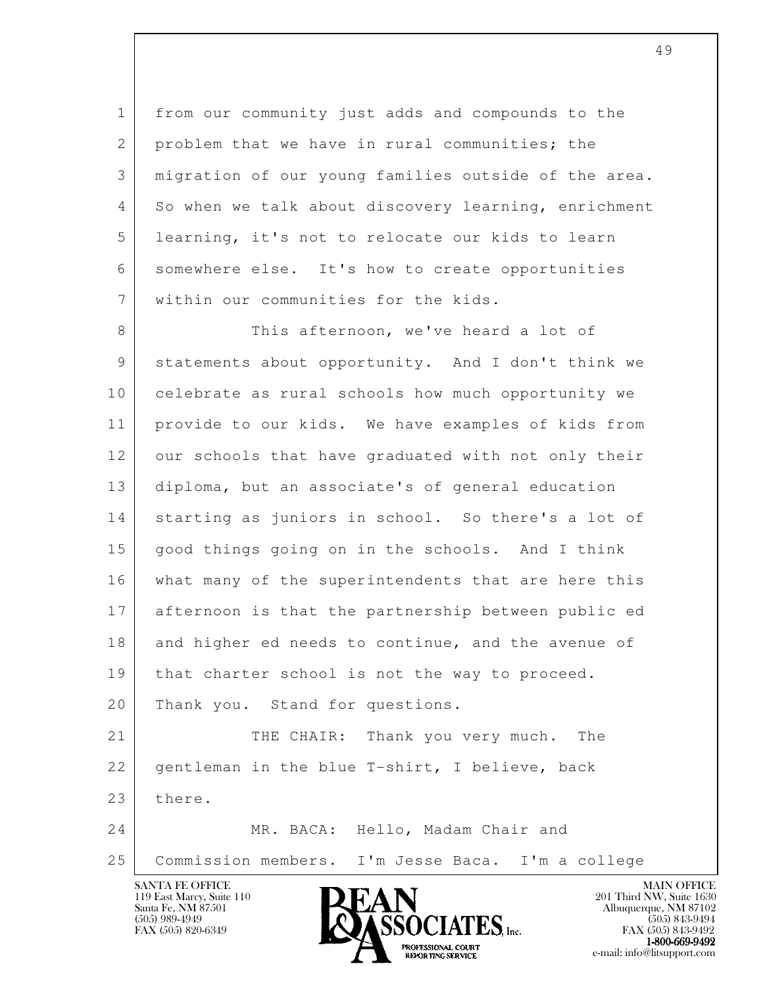1 from our community just adds and compounds to the 2 problem that we have in rural communities; the 3 migration of our young families outside of the area. 4 So when we talk about discovery learning, enrichment 5 learning, it's not to relocate our kids to learn 6 somewhere else. It's how to create opportunities 7 within our communities for the kids.

l 8 This afternoon, we've heard a lot of 9 statements about opportunity. And I don't think we 10 celebrate as rural schools how much opportunity we 11 provide to our kids. We have examples of kids from 12 our schools that have graduated with not only their 13 diploma, but an associate's of general education 14 starting as juniors in school. So there's a lot of 15 good things going on in the schools. And I think 16 what many of the superintendents that are here this 17 afternoon is that the partnership between public ed 18 and higher ed needs to continue, and the avenue of 19 | that charter school is not the way to proceed. 20 Thank you. Stand for questions. 21 THE CHAIR: Thank you very much. The 22 gentleman in the blue T-shirt, I believe, back 23 there. 24 MR. BACA: Hello, Madam Chair and 25 Commission members. I'm Jesse Baca. I'm a college

119 East Marcy, Suite 110<br>Santa Fe, NM 87501



FAX (505) 843-9492  $1-800-669-9492$ <br>PROFESSIONAL COURT **EXPORTING SERVICE** EXPLORER THE REPORTING SERVICE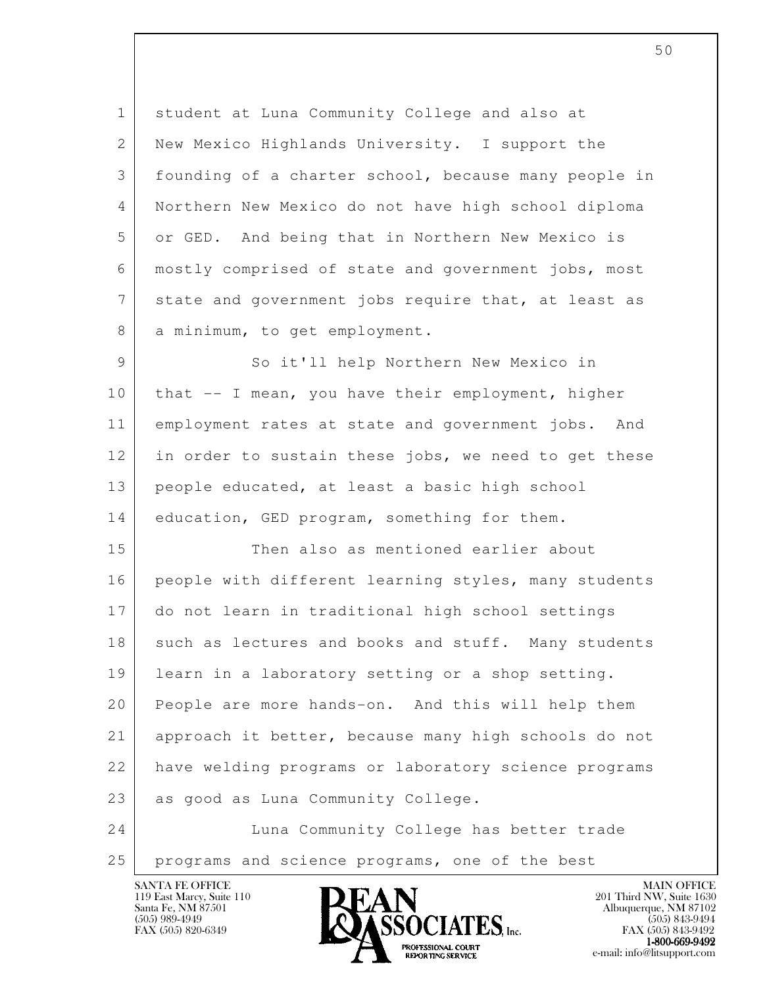1 student at Luna Community College and also at 2 New Mexico Highlands University. I support the 3 founding of a charter school, because many people in 4 Northern New Mexico do not have high school diploma 5 or GED. And being that in Northern New Mexico is 6 mostly comprised of state and government jobs, most 7 state and government jobs require that, at least as 8 a minimum, to get employment.

9 So it'll help Northern New Mexico in 10 | that -- I mean, you have their employment, higher 11 employment rates at state and government jobs. And 12 in order to sustain these jobs, we need to get these 13 people educated, at least a basic high school 14 education, GED program, something for them.

l 15 Then also as mentioned earlier about 16 people with different learning styles, many students 17 do not learn in traditional high school settings 18 such as lectures and books and stuff. Many students 19 learn in a laboratory setting or a shop setting. 20 People are more hands-on. And this will help them 21 approach it better, because many high schools do not 22 have welding programs or laboratory science programs 23 as good as Luna Community College.

 24 Luna Community College has better trade 25 programs and science programs, one of the best

119 East Marcy, Suite 110<br>Santa Fe, NM 87501

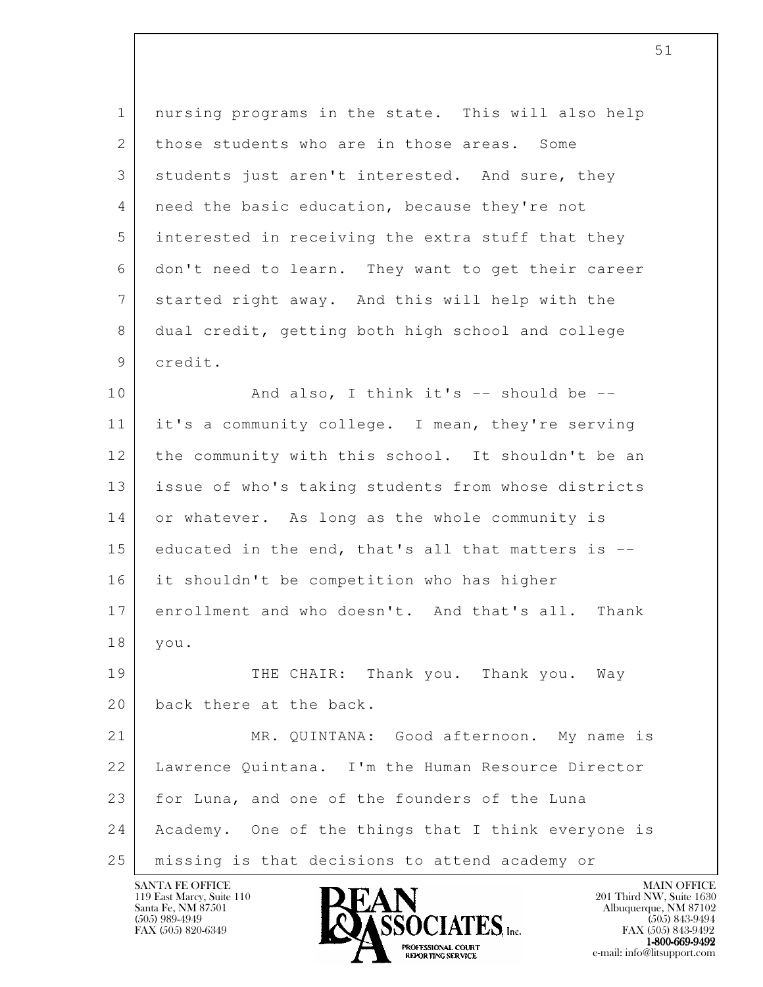l 1 nursing programs in the state. This will also help 2 those students who are in those areas. Some 3 students just aren't interested. And sure, they 4 | need the basic education, because they're not 5 interested in receiving the extra stuff that they 6 don't need to learn. They want to get their career 7 | started right away. And this will help with the 8 dual credit, getting both high school and college 9 credit. 10 And also, I think it's -- should be -- 11 it's a community college. I mean, they're serving 12 the community with this school. It shouldn't be an 13 | issue of who's taking students from whose districts 14 or whatever. As long as the whole community is 15 educated in the end, that's all that matters is -- 16 it shouldn't be competition who has higher 17 enrollment and who doesn't. And that's all. Thank 18 you. 19 THE CHAIR: Thank you. Thank you. Way 20 back there at the back. 21 MR. QUINTANA: Good afternoon. My name is 22 Lawrence Quintana. I'm the Human Resource Director 23 for Luna, and one of the founders of the Luna 24 Academy. One of the things that I think everyone is 25 missing is that decisions to attend academy or

119 East Marcy, Suite 110<br>Santa Fe, NM 87501

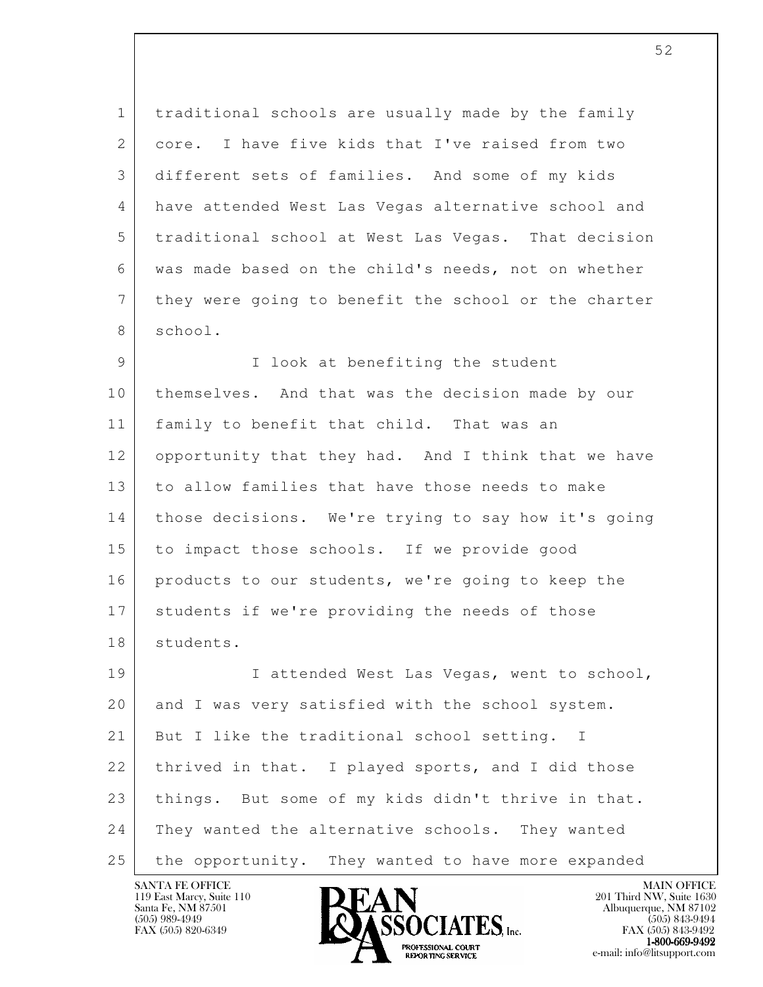1 traditional schools are usually made by the family 2 core. I have five kids that I've raised from two 3 different sets of families. And some of my kids 4 have attended West Las Vegas alternative school and 5 traditional school at West Las Vegas. That decision 6 was made based on the child's needs, not on whether 7 they were going to benefit the school or the charter 8 school.

9 | I look at benefiting the student 10 themselves. And that was the decision made by our 11 | family to benefit that child. That was an 12 opportunity that they had. And I think that we have 13 to allow families that have those needs to make 14 | those decisions. We're trying to say how it's going 15 to impact those schools. If we provide good 16 products to our students, we're going to keep the 17 students if we're providing the needs of those 18 students.

l 19 | I attended West Las Vegas, went to school, 20 and I was very satisfied with the school system. 21 But I like the traditional school setting. I 22 | thrived in that. I played sports, and I did those 23 | things. But some of my kids didn't thrive in that. 24 They wanted the alternative schools. They wanted 25 the opportunity. They wanted to have more expanded

119 East Marcy, Suite 110<br>Santa Fe, NM 87501

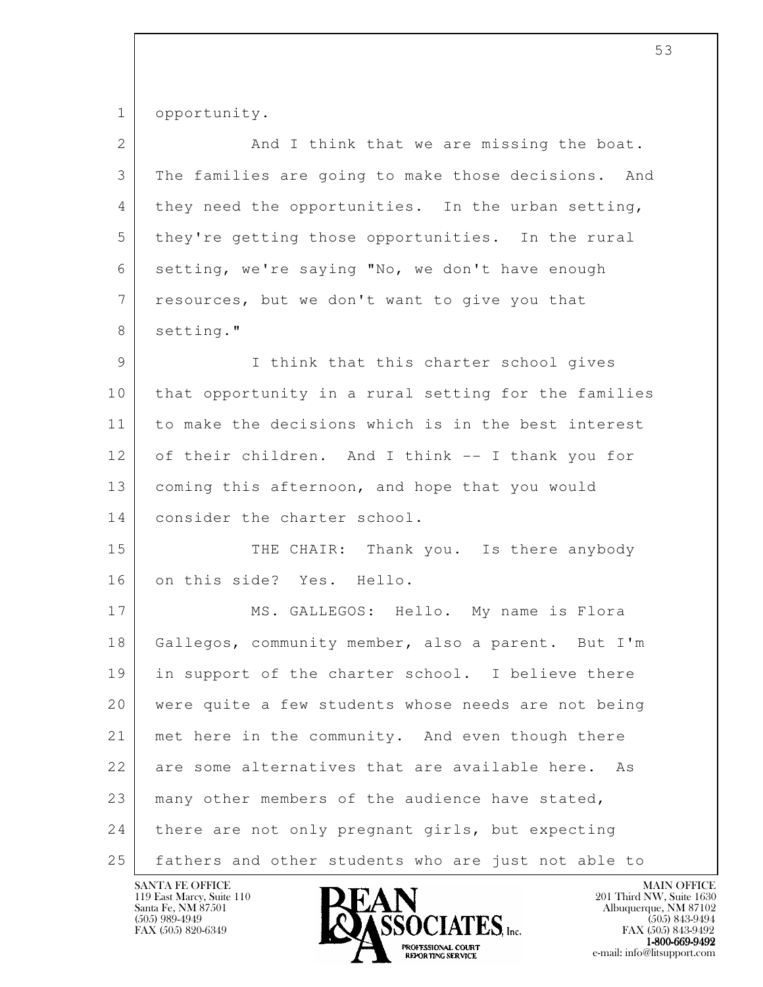1 opportunity.

| $\overline{2}$  | And I think that we are missing the boat.            |
|-----------------|------------------------------------------------------|
| 3               | The families are going to make those decisions. And  |
| 4               | they need the opportunities. In the urban setting,   |
| 5               | they're getting those opportunities. In the rural    |
| 6               | setting, we're saying "No, we don't have enough      |
| $7\phantom{.0}$ | resources, but we don't want to give you that        |
| 8               | setting."                                            |
| 9               | I think that this charter school gives               |
| 10              | that opportunity in a rural setting for the families |
| 11              | to make the decisions which is in the best interest  |
| 12              | of their children. And I think -- I thank you for    |
| 13              | coming this afternoon, and hope that you would       |
| 14              | consider the charter school.                         |
| 15              | THE CHAIR: Thank you. Is there anybody               |
| 16              | on this side? Yes. Hello.                            |
| 17              | MS. GALLEGOS: Hello. My name is Flora                |
| 18              | Gallegos, community member, also a parent. But I'm   |
| 19              | in support of the charter school. I believe there    |
| 20              | were quite a few students whose needs are not being  |
| 21              | met here in the community. And even though there     |
| 22              | are some alternatives that are available here.<br>As |
| 23              | many other members of the audience have stated,      |
| 24              | there are not only pregnant girls, but expecting     |
| 25              | fathers and other students who are just not able to  |

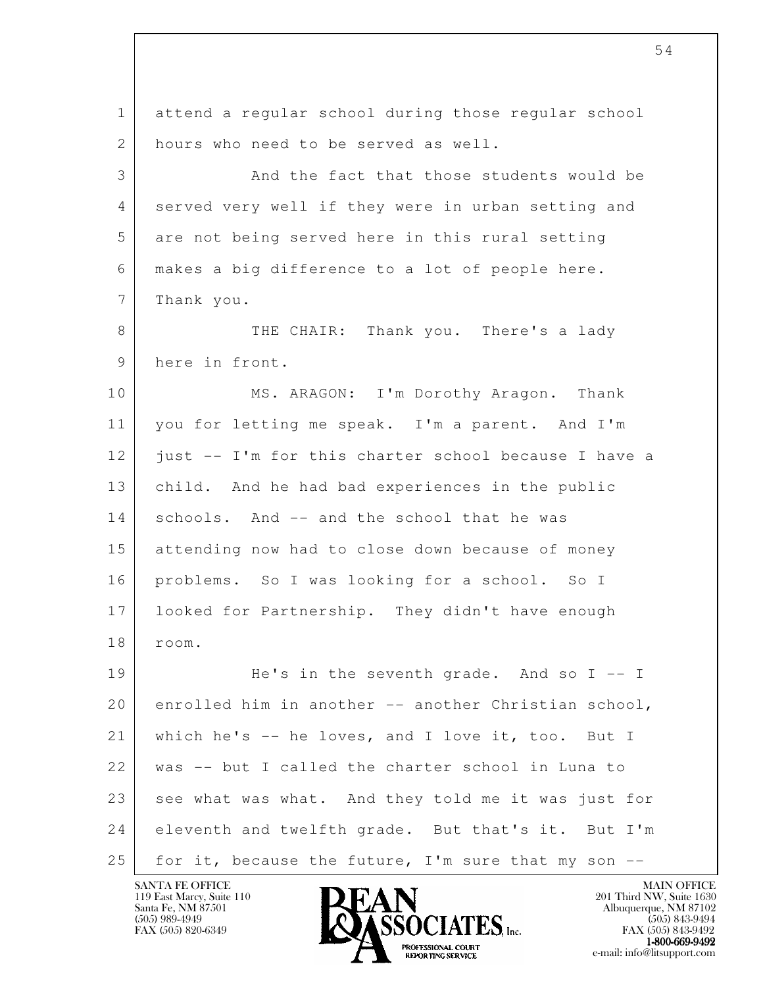l 1 attend a regular school during those regular school 2 hours who need to be served as well. 3 And the fact that those students would be 4 served very well if they were in urban setting and 5 are not being served here in this rural setting 6 makes a big difference to a lot of people here. 7 Thank you. 8 THE CHAIR: Thank you. There's a lady 9 here in front. 10 MS. ARAGON: I'm Dorothy Aragon. Thank 11 you for letting me speak. I'm a parent. And I'm 12 just -- I'm for this charter school because I have a 13 child. And he had bad experiences in the public 14 schools. And -- and the school that he was 15 attending now had to close down because of money 16 problems. So I was looking for a school. So I 17 looked for Partnership. They didn't have enough 18 room. 19 He's in the seventh grade. And so I -- I 20 enrolled him in another -- another Christian school, 21 which he's -- he loves, and I love it, too. But I 22 was -- but I called the charter school in Luna to 23 see what was what. And they told me it was just for 24 eleventh and twelfth grade. But that's it. But I'm 25 for it, because the future, I'm sure that my son  $-$ -

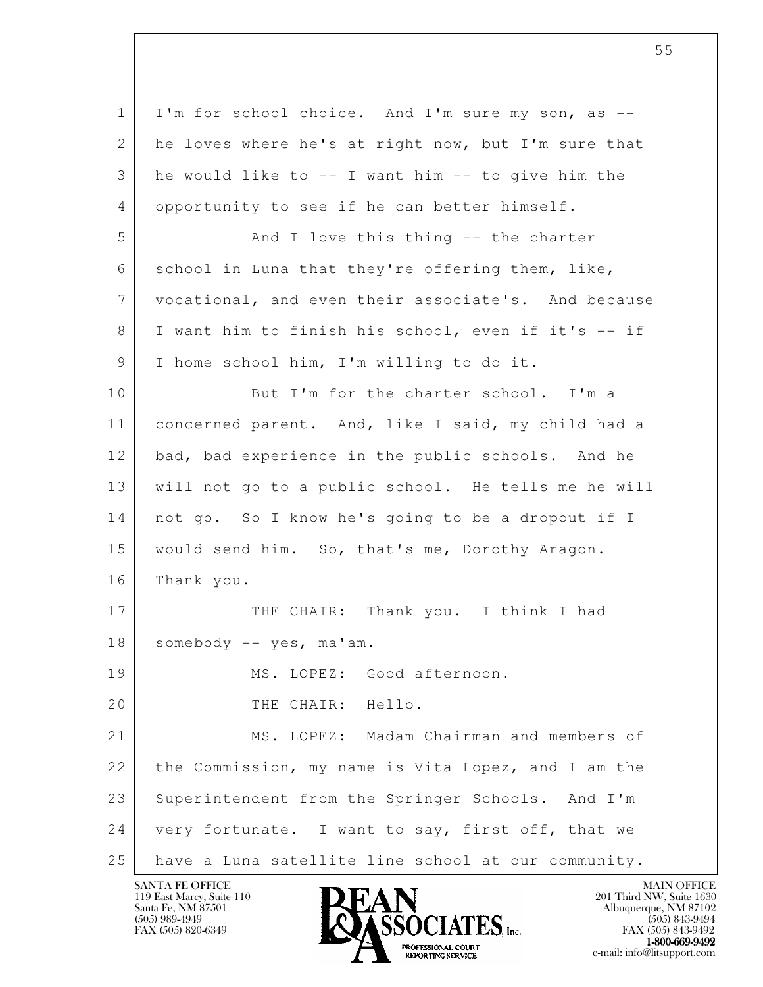l 1 I'm for school choice. And I'm sure my son, as --2 he loves where he's at right now, but I'm sure that 3 he would like to -- I want him -- to give him the 4 opportunity to see if he can better himself. 5 And I love this thing -- the charter 6 school in Luna that they're offering them, like, 7 vocational, and even their associate's. And because 8 I want him to finish his school, even if it's -- if 9 | I home school him, I'm willing to do it. 10 But I'm for the charter school. I'm a 11 concerned parent. And, like I said, my child had a 12 bad, bad experience in the public schools. And he 13 will not go to a public school. He tells me he will 14 not go. So I know he's going to be a dropout if I 15 would send him. So, that's me, Dorothy Aragon. 16 Thank you. 17 THE CHAIR: Thank you. I think I had 18 somebody -- yes, ma'am. 19 MS. LOPEZ: Good afternoon. 20 THE CHAIR: Hello. 21 MS. LOPEZ: Madam Chairman and members of 22 the Commission, my name is Vita Lopez, and I am the 23 Superintendent from the Springer Schools. And I'm 24 very fortunate. I want to say, first off, that we 25 have a Luna satellite line school at our community.

119 East Marcy, Suite 110<br>Santa Fe, NM 87501

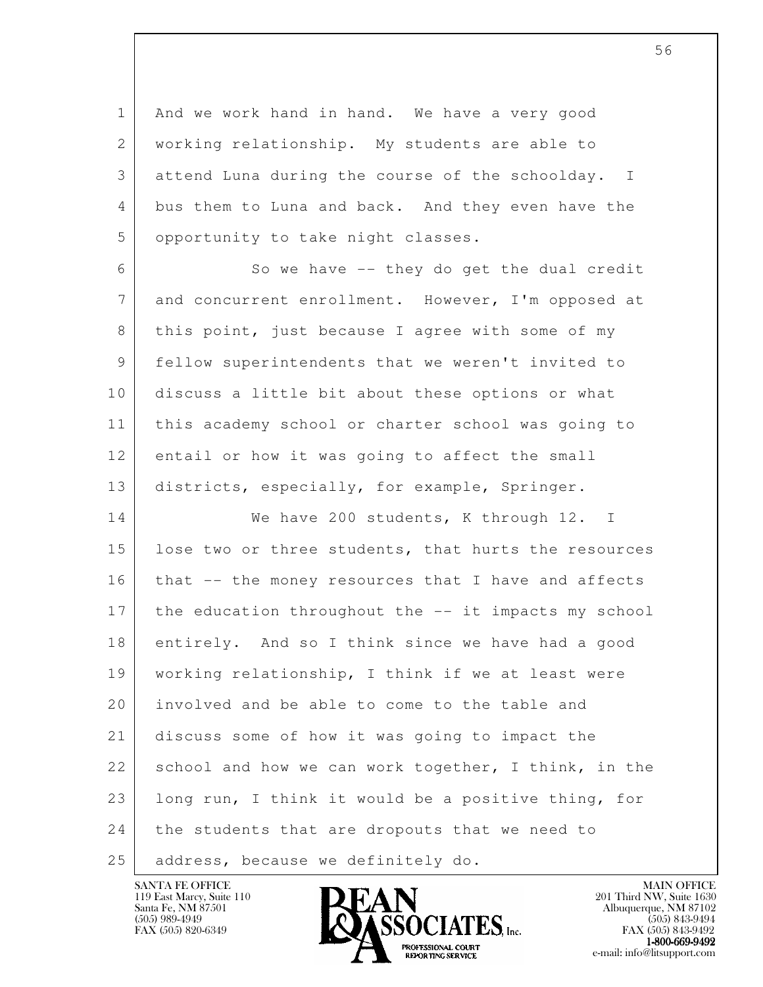1 And we work hand in hand. We have a very good 2 working relationship. My students are able to 3 attend Luna during the course of the schoolday. I 4 bus them to Luna and back. And they even have the 5 | opportunity to take night classes.

6 So we have -- they do get the dual credit 7 and concurrent enrollment. However, I'm opposed at 8 this point, just because I agree with some of my 9 fellow superintendents that we weren't invited to 10 discuss a little bit about these options or what 11 this academy school or charter school was going to 12 entail or how it was going to affect the small 13 districts, especially, for example, Springer.

l 14 We have 200 students, K through 12. I 15 | lose two or three students, that hurts the resources 16 | that -- the money resources that I have and affects 17 the education throughout the -- it impacts my school 18 entirely. And so I think since we have had a good 19 working relationship, I think if we at least were 20 involved and be able to come to the table and 21 discuss some of how it was going to impact the 22 school and how we can work together, I think, in the 23 | long run, I think it would be a positive thing, for 24 the students that are dropouts that we need to 25 address, because we definitely do.

119 East Marcy, Suite 110<br>Santa Fe, NM 87501

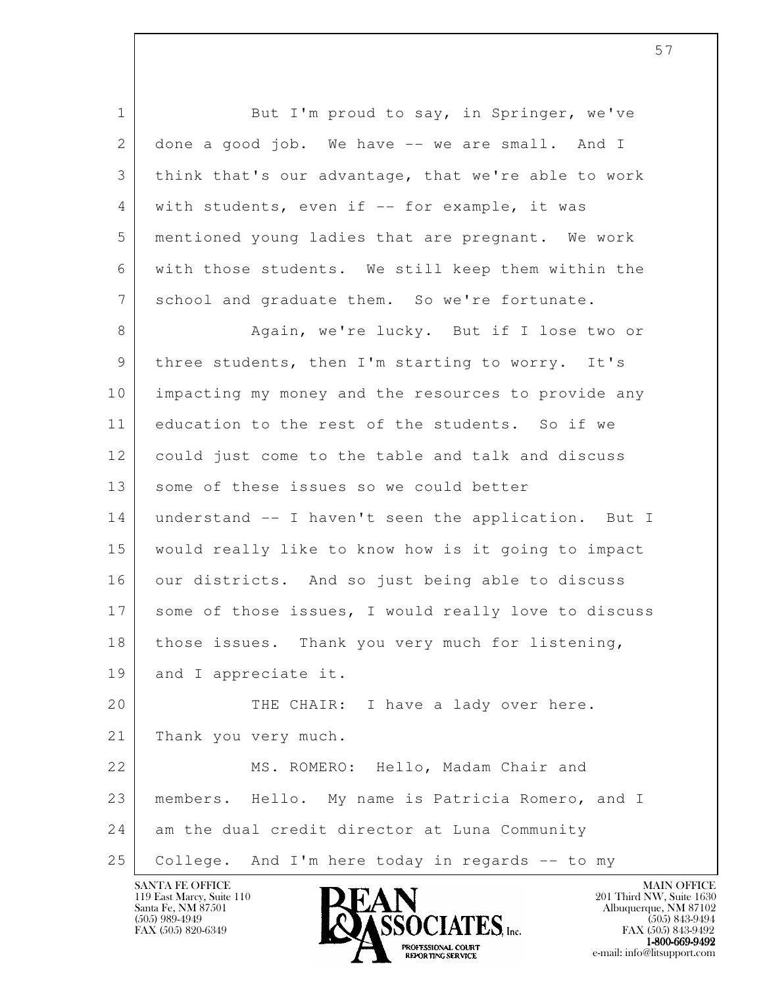l 1 But I'm proud to say, in Springer, we've 2 done a good job. We have -- we are small. And I 3 think that's our advantage, that we're able to work 4 | with students, even if -- for example, it was 5 mentioned young ladies that are pregnant. We work 6 with those students. We still keep them within the 7 school and graduate them. So we're fortunate. 8 Again, we're lucky. But if I lose two or 9 | three students, then I'm starting to worry. It's 10 impacting my money and the resources to provide any 11 education to the rest of the students. So if we 12 could just come to the table and talk and discuss 13 some of these issues so we could better 14 understand -- I haven't seen the application. But I 15 would really like to know how is it going to impact 16 our districts. And so just being able to discuss 17 some of those issues, I would really love to discuss 18 | those issues. Thank you very much for listening, 19 and I appreciate it. 20 THE CHAIR: I have a lady over here. 21 Thank you very much. 22 MS. ROMERO: Hello, Madam Chair and 23 members. Hello. My name is Patricia Romero, and I 24 am the dual credit director at Luna Community 25 College. And I'm here today in regards -- to my



FAX (505) 843-9492  $1-800-669-9492$ <br>PROFESSIONAL COURT **EXPORTING SERVICE** EXPLORER THE REPORTING SERVICE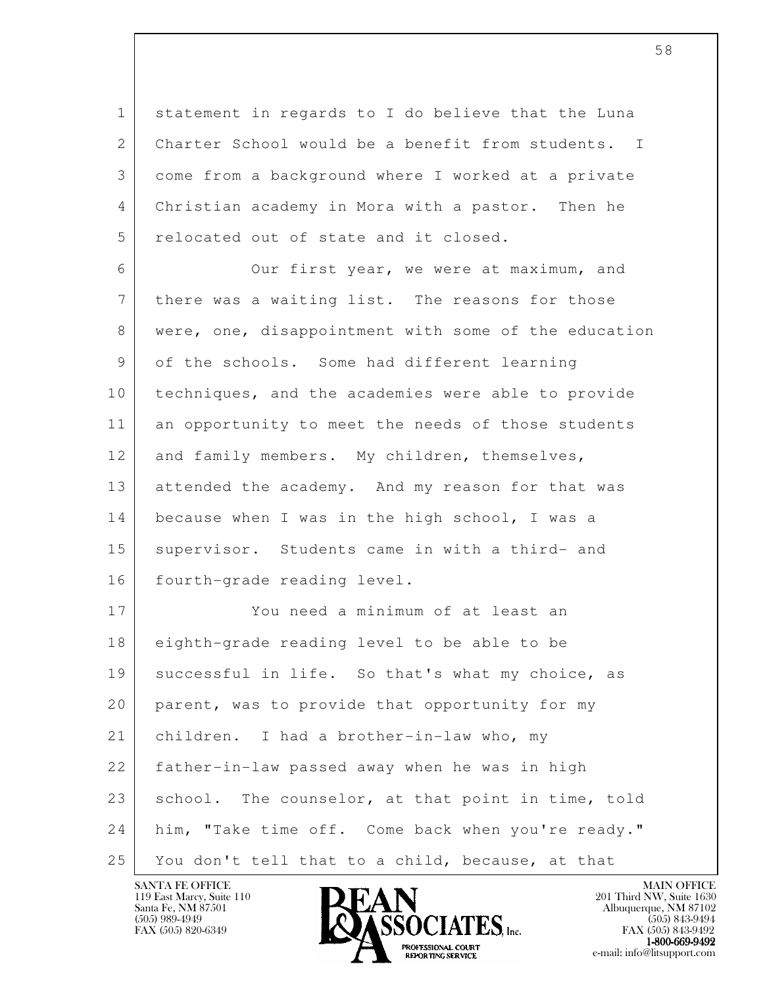1 statement in regards to I do believe that the Luna 2 Charter School would be a benefit from students. I 3 come from a background where I worked at a private 4 Christian academy in Mora with a pastor. Then he 5 relocated out of state and it closed.

 6 Our first year, we were at maximum, and 7 there was a waiting list. The reasons for those 8 were, one, disappointment with some of the education 9 of the schools. Some had different learning 10 techniques, and the academies were able to provide 11 an opportunity to meet the needs of those students 12 and family members. My children, themselves, 13 attended the academy. And my reason for that was 14 because when I was in the high school, I was a 15 supervisor. Students came in with a third- and 16 fourth-grade reading level.

l 17 You need a minimum of at least an 18 eighth-grade reading level to be able to be 19 | successful in life. So that's what my choice, as 20 parent, was to provide that opportunity for my 21 children. I had a brother-in-law who, my 22 father-in-law passed away when he was in high 23 school. The counselor, at that point in time, told 24 him, "Take time off. Come back when you're ready." 25 You don't tell that to a child, because, at that

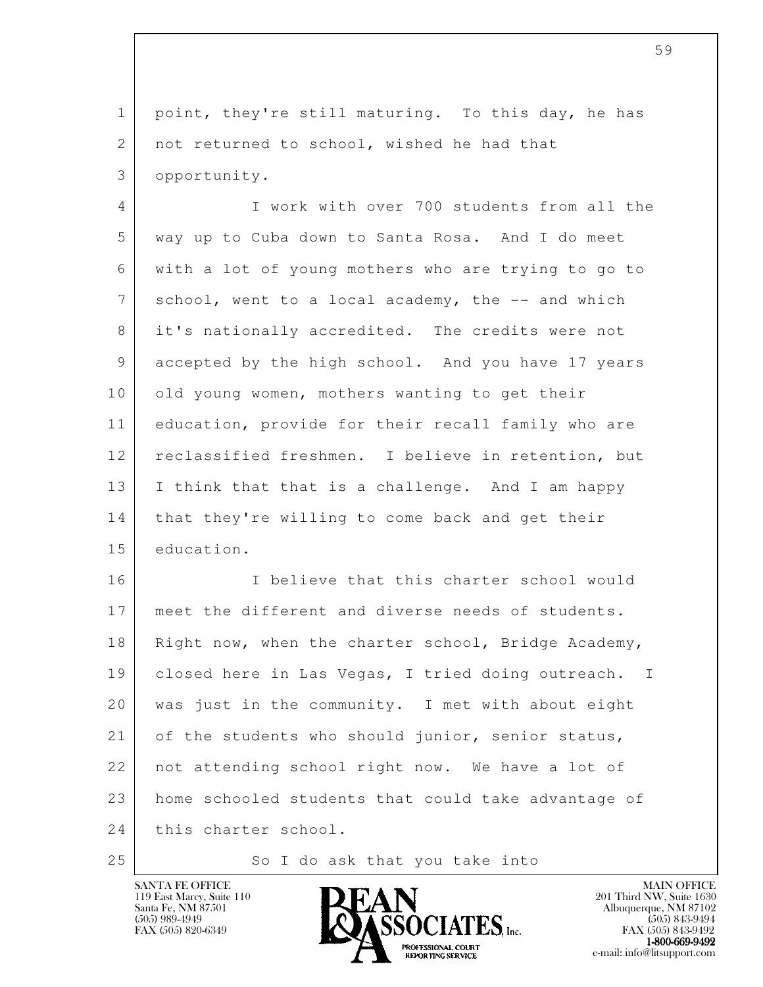1 point, they're still maturing. To this day, he has 2 | not returned to school, wished he had that 3 opportunity.

 4 I work with over 700 students from all the 5 way up to Cuba down to Santa Rosa. And I do meet 6 with a lot of young mothers who are trying to go to 7 school, went to a local academy, the -- and which 8 it's nationally accredited. The credits were not 9 accepted by the high school. And you have 17 years 10 | old young women, mothers wanting to get their 11 education, provide for their recall family who are 12 reclassified freshmen. I believe in retention, but 13 | I think that that is a challenge. And I am happy 14 | that they're willing to come back and get their 15 education.

l 16 I believe that this charter school would 17 | meet the different and diverse needs of students. 18 | Right now, when the charter school, Bridge Academy, 19 | closed here in Las Vegas, I tried doing outreach. I 20 was just in the community. I met with about eight 21 of the students who should junior, senior status, 22 not attending school right now. We have a lot of 23 home schooled students that could take advantage of 24 this charter school.

25 So I do ask that you take into

119 East Marcy, Suite 110<br>Santa Fe, NM 87501

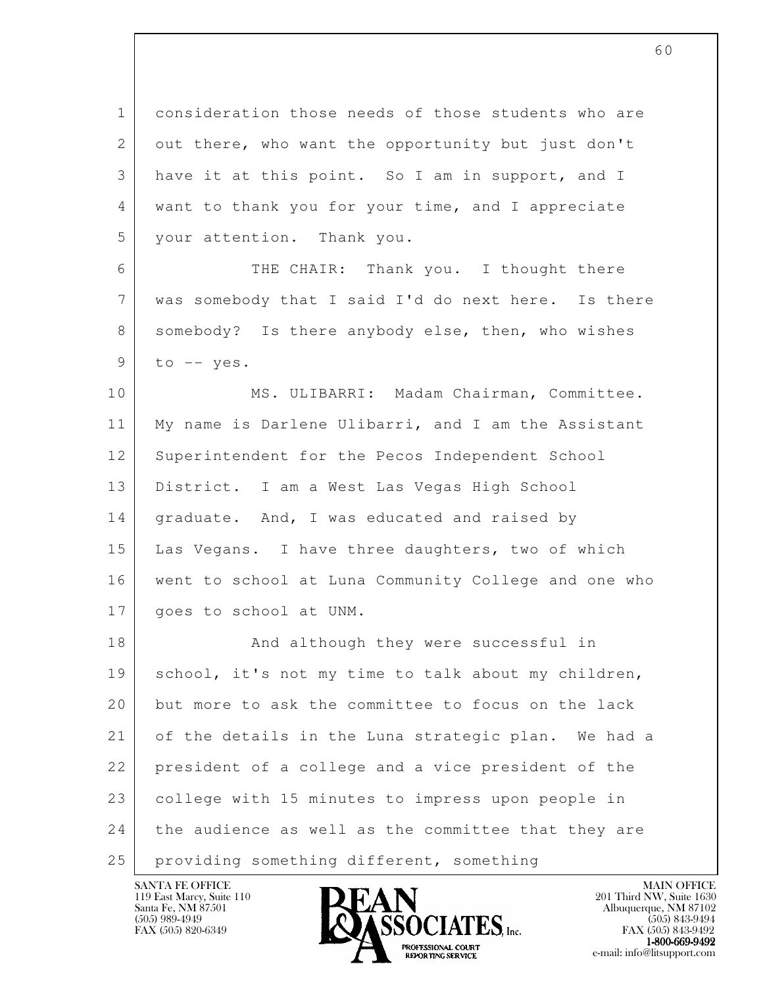1 consideration those needs of those students who are 2 out there, who want the opportunity but just don't 3 have it at this point. So I am in support, and I 4 want to thank you for your time, and I appreciate 5 your attention. Thank you.

 6 THE CHAIR: Thank you. I thought there 7 was somebody that I said I'd do next here. Is there 8 somebody? Is there anybody else, then, who wishes  $9$  to  $-$  yes.

10 | MS. ULIBARRI: Madam Chairman, Committee. 11 My name is Darlene Ulibarri, and I am the Assistant 12 Superintendent for the Pecos Independent School 13 District. I am a West Las Vegas High School 14 | graduate. And, I was educated and raised by 15 Las Vegans. I have three daughters, two of which 16 went to school at Luna Community College and one who 17 | goes to school at UNM.

l 18 And although they were successful in 19 | school, it's not my time to talk about my children, 20 but more to ask the committee to focus on the lack 21 of the details in the Luna strategic plan. We had a 22 president of a college and a vice president of the 23 college with 15 minutes to impress upon people in 24 the audience as well as the committee that they are 25 | providing something different, something

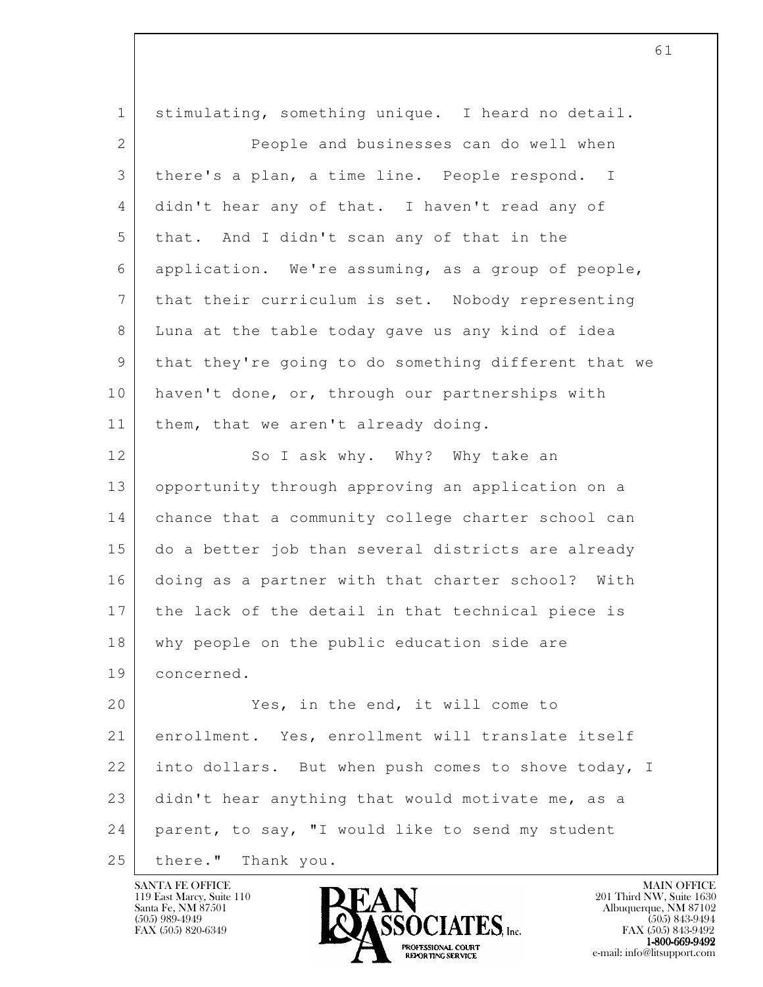l 1 stimulating, something unique. I heard no detail. 2 People and businesses can do well when 3 there's a plan, a time line. People respond. I 4 didn't hear any of that. I haven't read any of 5 that. And I didn't scan any of that in the 6 application. We're assuming, as a group of people, 7 that their curriculum is set. Nobody representing 8 Luna at the table today gave us any kind of idea 9 that they're going to do something different that we 10 haven't done, or, through our partnerships with 11 | them, that we aren't already doing. 12 So I ask why. Why? Why take an 13 opportunity through approving an application on a 14 chance that a community college charter school can 15 do a better job than several districts are already 16 doing as a partner with that charter school? With 17 the lack of the detail in that technical piece is 18 why people on the public education side are 19 concerned. 20 Yes, in the end, it will come to 21 enrollment. Yes, enrollment will translate itself 22 into dollars. But when push comes to shove today, I 23 didn't hear anything that would motivate me, as a 24 parent, to say, "I would like to send my student 25 there." Thank you.

119 East Marcy, Suite 110<br>Santa Fe, NM 87501

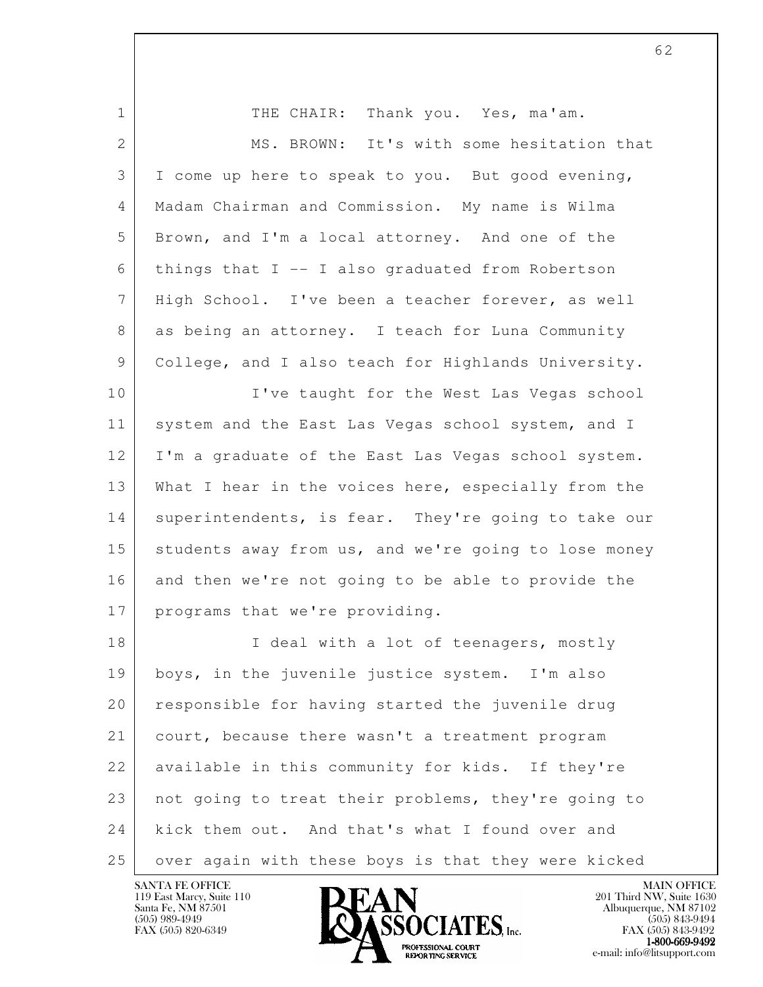| $\mathbf 1$     | THE CHAIR: Thank you. Yes, ma'am.                    |
|-----------------|------------------------------------------------------|
| 2               | MS. BROWN: It's with some hesitation that            |
| 3               | I come up here to speak to you. But good evening,    |
| 4               | Madam Chairman and Commission. My name is Wilma      |
| 5               | Brown, and I'm a local attorney. And one of the      |
| 6               | things that $I$ -- I also graduated from Robertson   |
| $7\phantom{.0}$ | High School. I've been a teacher forever, as well    |
| 8               | as being an attorney. I teach for Luna Community     |
| 9               | College, and I also teach for Highlands University.  |
| 10              | I've taught for the West Las Vegas school            |
| 11              | system and the East Las Vegas school system, and I   |
| 12              | I'm a graduate of the East Las Vegas school system.  |
| 13              | What I hear in the voices here, especially from the  |
| 14              | superintendents, is fear. They're going to take our  |
| 15              | students away from us, and we're going to lose money |
| 16              | and then we're not going to be able to provide the   |
| 17              | programs that we're providing.                       |
| 18              | I deal with a lot of teenagers, mostly               |
| 19              | boys, in the juvenile justice system. I'm also       |
| 20              | responsible for having started the juvenile drug     |
| 21              | court, because there wasn't a treatment program      |
| 22              | available in this community for kids. If they're     |
| 23              | not going to treat their problems, they're going to  |
| 24              | kick them out. And that's what I found over and      |
| 25              | over again with these boys is that they were kicked  |

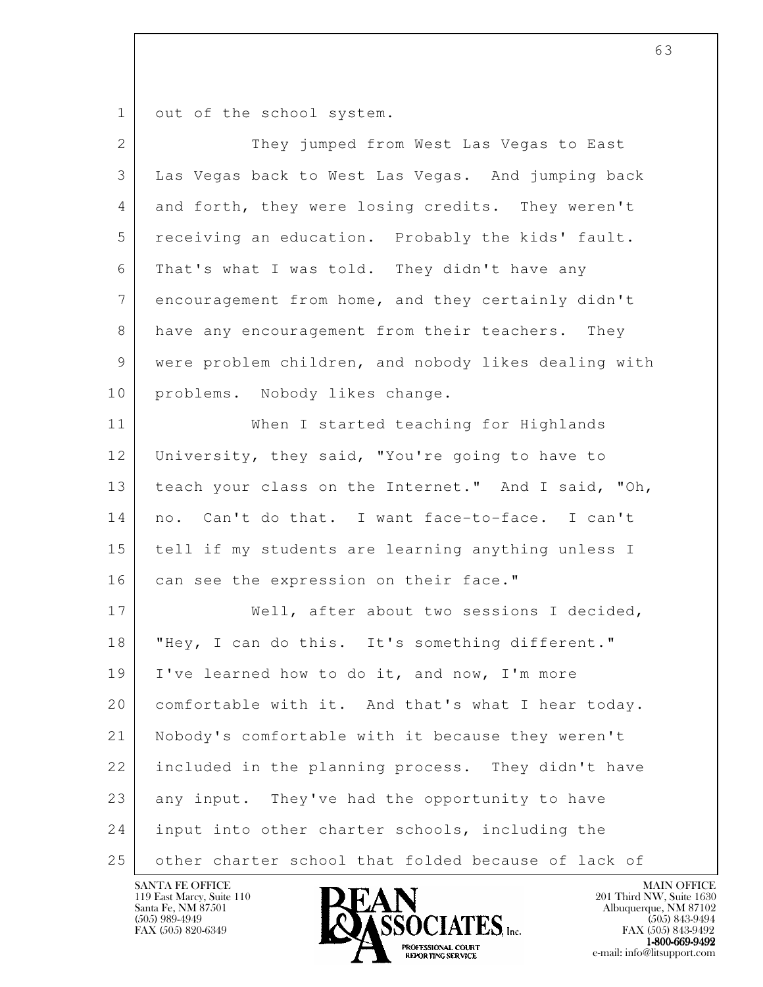1 out of the school system.

| $\overline{2}$ | They jumped from West Las Vegas to East              |
|----------------|------------------------------------------------------|
| 3              | Las Vegas back to West Las Vegas. And jumping back   |
| 4              | and forth, they were losing credits. They weren't    |
| 5              | receiving an education. Probably the kids' fault.    |
| 6              | That's what I was told. They didn't have any         |
| $7\phantom{.}$ | encouragement from home, and they certainly didn't   |
| 8              | have any encouragement from their teachers. They     |
| 9              | were problem children, and nobody likes dealing with |
| 10             | problems. Nobody likes change.                       |
| 11             | When I started teaching for Highlands                |
| 12             | University, they said, "You're going to have to      |
| 13             | teach your class on the Internet." And I said, "Oh,  |
| 14             | no. Can't do that. I want face-to-face. I can't      |
| 15             | tell if my students are learning anything unless I   |
| 16             | can see the expression on their face."               |
| 17             | Well, after about two sessions I decided,            |
| 18             | "Hey, I can do this. It's something different."      |
| 19             | I've learned how to do it, and now, I'm more         |
| 20             | comfortable with it. And that's what I hear today.   |
| 21             | Nobody's comfortable with it because they weren't    |
| 22             | included in the planning process. They didn't have   |
| 23             | any input. They've had the opportunity to have       |
| 24             | input into other charter schools, including the      |
| 25             | other charter school that folded because of lack of  |

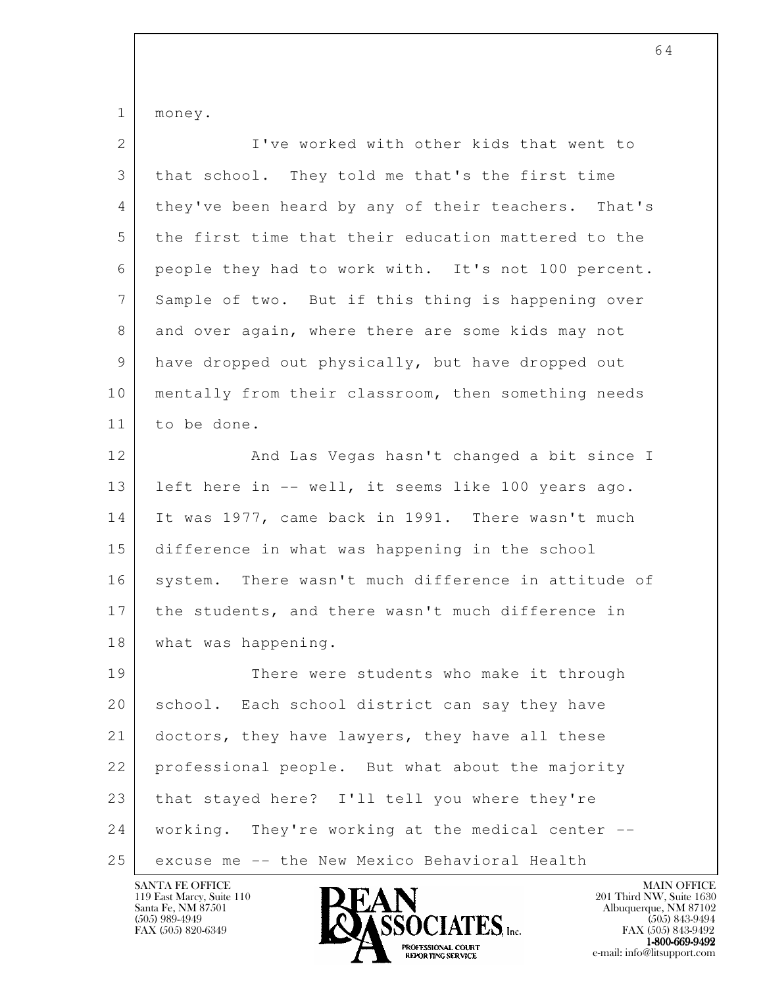1 money.

| $\mathbf{2}$   | I've worked with other kids that went to            |
|----------------|-----------------------------------------------------|
| 3              | that school. They told me that's the first time     |
| 4              | they've been heard by any of their teachers. That's |
| 5              | the first time that their education mattered to the |
| 6              | people they had to work with. It's not 100 percent. |
| $7\phantom{.}$ | Sample of two. But if this thing is happening over  |
| 8              | and over again, where there are some kids may not   |
| 9              | have dropped out physically, but have dropped out   |
| 10             | mentally from their classroom, then something needs |
| 11             | to be done.                                         |
| 12             | And Las Vegas hasn't changed a bit since I          |
| 13             | left here in -- well, it seems like 100 years ago.  |
| 14             | It was 1977, came back in 1991. There wasn't much   |
| 15             | difference in what was happening in the school      |
| 16             | system. There wasn't much difference in attitude of |
| 17             | the students, and there wasn't much difference in   |
| 18             | what was happening.                                 |
| 19             | There were students who make it through             |
| 20             | school. Each school district can say they have      |
| 21             | doctors, they have lawyers, they have all these     |
| 22             | professional people. But what about the majority    |
| 23             | that stayed here? I'll tell you where they're       |
| 24             | working. They're working at the medical center --   |
| 25             | excuse me -- the New Mexico Behavioral Health       |

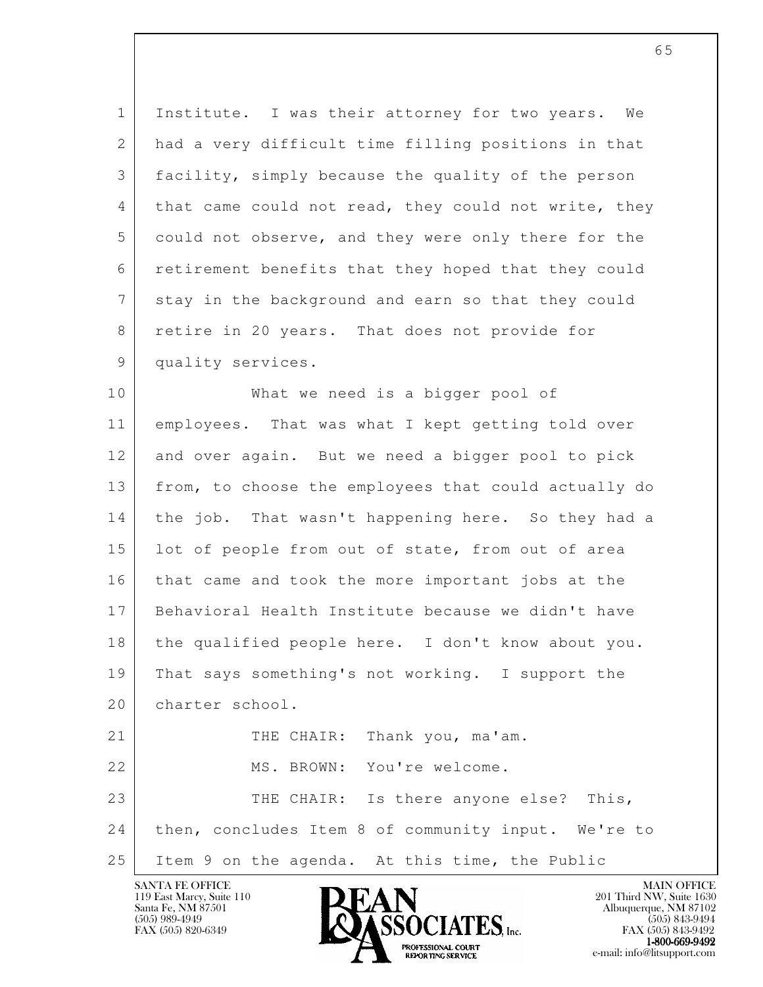1 Institute. I was their attorney for two years. We 2 had a very difficult time filling positions in that 3 facility, simply because the quality of the person 4 that came could not read, they could not write, they 5 could not observe, and they were only there for the 6 retirement benefits that they hoped that they could 7 stay in the background and earn so that they could 8 retire in 20 years. That does not provide for 9 quality services.

l 10 | What we need is a bigger pool of 11 employees. That was what I kept getting told over 12 and over again. But we need a bigger pool to pick 13 from, to choose the employees that could actually do 14 the job. That wasn't happening here. So they had a 15 | lot of people from out of state, from out of area 16 that came and took the more important jobs at the 17 Behavioral Health Institute because we didn't have 18 the qualified people here. I don't know about you. 19 That says something's not working. I support the 20 charter school. 21 THE CHAIR: Thank you, ma'am. 22 | MS. BROWN: You're welcome. 23 THE CHAIR: Is there anyone else? This, 24 then, concludes Item 8 of community input. We're to 25 Item 9 on the agenda. At this time, the Public

119 East Marcy, Suite 110<br>Santa Fe, NM 87501

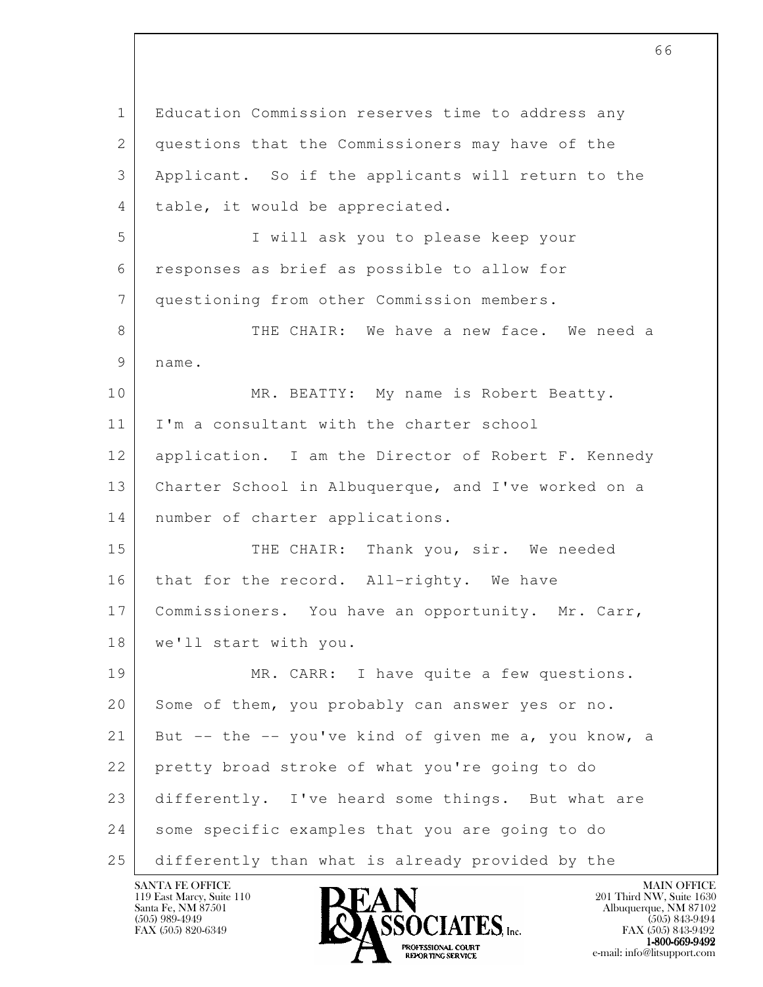l 1 Education Commission reserves time to address any 2 questions that the Commissioners may have of the 3 Applicant. So if the applicants will return to the 4 table, it would be appreciated. 5 I will ask you to please keep your 6 responses as brief as possible to allow for 7 questioning from other Commission members. 8 THE CHAIR: We have a new face. We need a 9 name. 10 MR. BEATTY: My name is Robert Beatty. 11 | I'm a consultant with the charter school 12 application. I am the Director of Robert F. Kennedy 13 Charter School in Albuquerque, and I've worked on a 14 | number of charter applications. 15 THE CHAIR: Thank you, sir. We needed 16 that for the record. All-righty. We have 17 | Commissioners. You have an opportunity. Mr. Carr, 18 | we'll start with you. 19 MR. CARR: I have quite a few questions. 20 Some of them, you probably can answer yes or no. 21 But -- the -- you've kind of given me a, you know, a 22 pretty broad stroke of what you're going to do 23 differently. I've heard some things. But what are 24 some specific examples that you are going to do 25 differently than what is already provided by the



FAX (505) 843-9492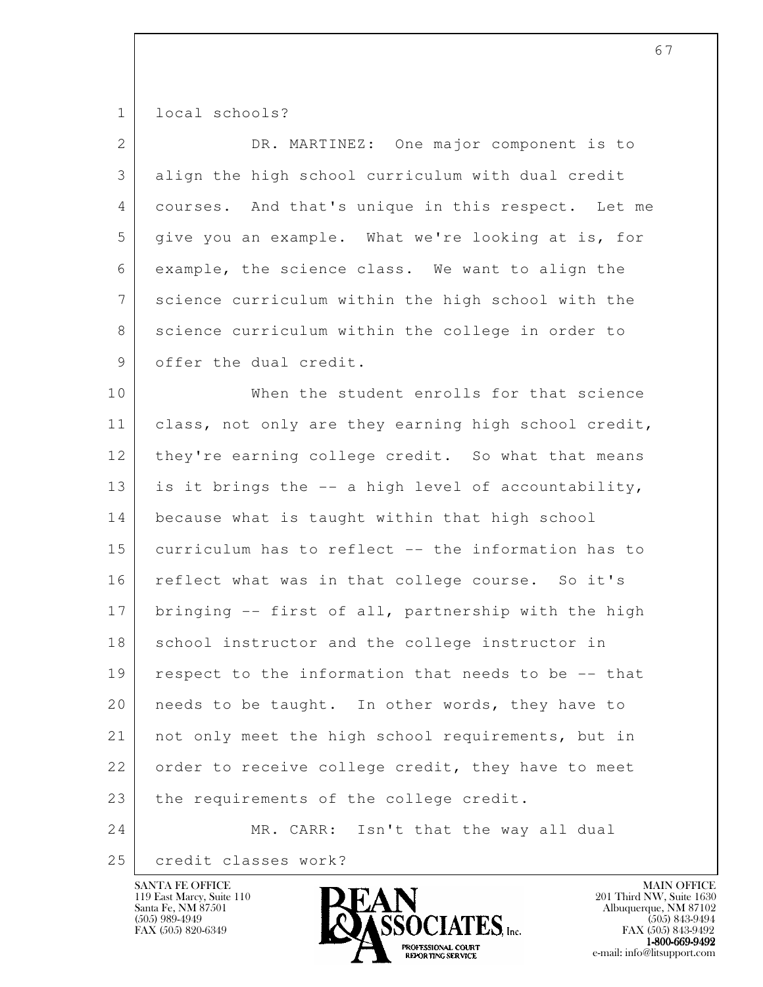1 local schools?

| $\overline{2}$ | DR. MARTINEZ: One major component is to              |
|----------------|------------------------------------------------------|
| 3              | align the high school curriculum with dual credit    |
| 4              | courses. And that's unique in this respect. Let me   |
| 5              | give you an example. What we're looking at is, for   |
| 6              | example, the science class. We want to align the     |
| $7\phantom{.}$ | science curriculum within the high school with the   |
| 8              | science curriculum within the college in order to    |
| 9              | offer the dual credit.                               |
| 10             | When the student enrolls for that science            |
| 11             | class, not only are they earning high school credit, |
| 12             | they're earning college credit. So what that means   |
| 13             | is it brings the -- a high level of accountability,  |
| 14             | because what is taught within that high school       |
| 15             | curriculum has to reflect -- the information has to  |
| 16             | reflect what was in that college course. So it's     |
| 17             | bringing -- first of all, partnership with the high  |
| 18             | school instructor and the college instructor in      |
| 19             | respect to the information that needs to be -- that  |
| 20             | needs to be taught. In other words, they have to     |
| 21             | not only meet the high school requirements, but in   |
| 22             | order to receive college credit, they have to meet   |
| 23             | the requirements of the college credit.              |
| 24             | Isn't that the way all dual<br>MR. CARR:             |
| 25             | credit classes work?                                 |

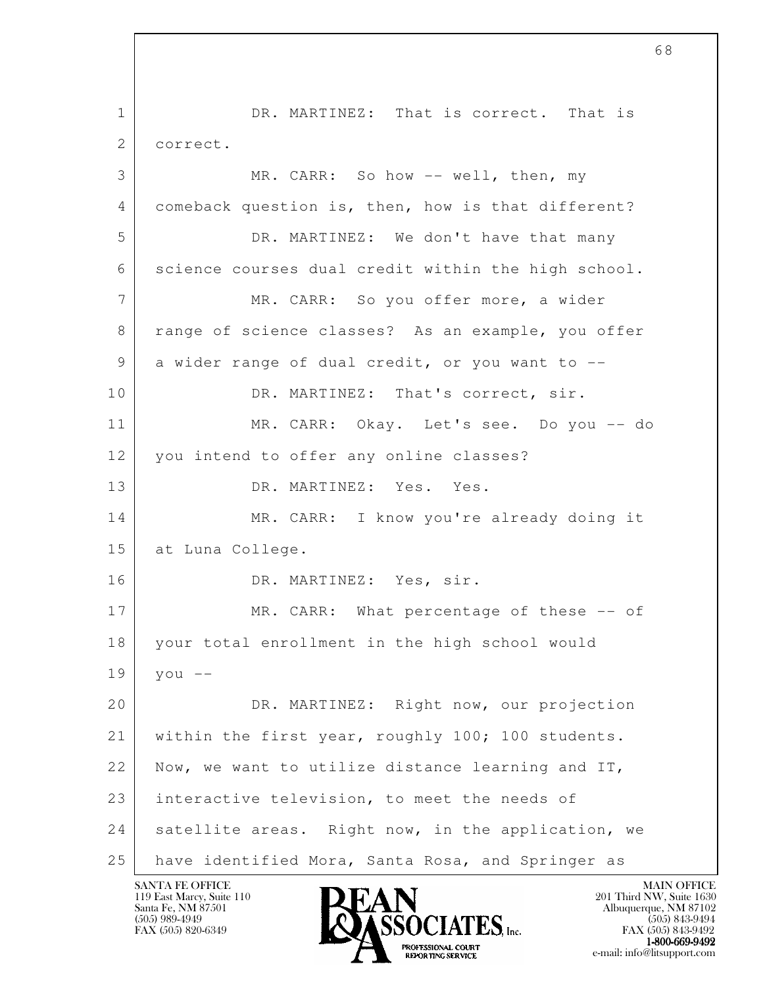l 1 DR. MARTINEZ: That is correct. That is 2 correct. 3 MR. CARR: So how -- well, then, my 4 comeback question is, then, how is that different? 5 DR. MARTINEZ: We don't have that many 6 science courses dual credit within the high school. 7 | MR. CARR: So you offer more, a wider 8 range of science classes? As an example, you offer 9 a wider range of dual credit, or you want to --10 DR. MARTINEZ: That's correct, sir. 11 MR. CARR: Okay. Let's see. Do you -- do 12 you intend to offer any online classes? 13 DR. MARTINEZ: Yes. Yes. 14 MR. CARR: I know you're already doing it 15 at Luna College. 16 DR. MARTINEZ: Yes, sir. 17 MR. CARR: What percentage of these -- of 18 your total enrollment in the high school would  $19$  you  $-$  20 DR. MARTINEZ: Right now, our projection 21 within the first year, roughly 100; 100 students. 22 Now, we want to utilize distance learning and IT, 23 interactive television, to meet the needs of 24 satellite areas. Right now, in the application, we 25 have identified Mora, Santa Rosa, and Springer as

119 East Marcy, Suite 110<br>Santa Fe, NM 87501

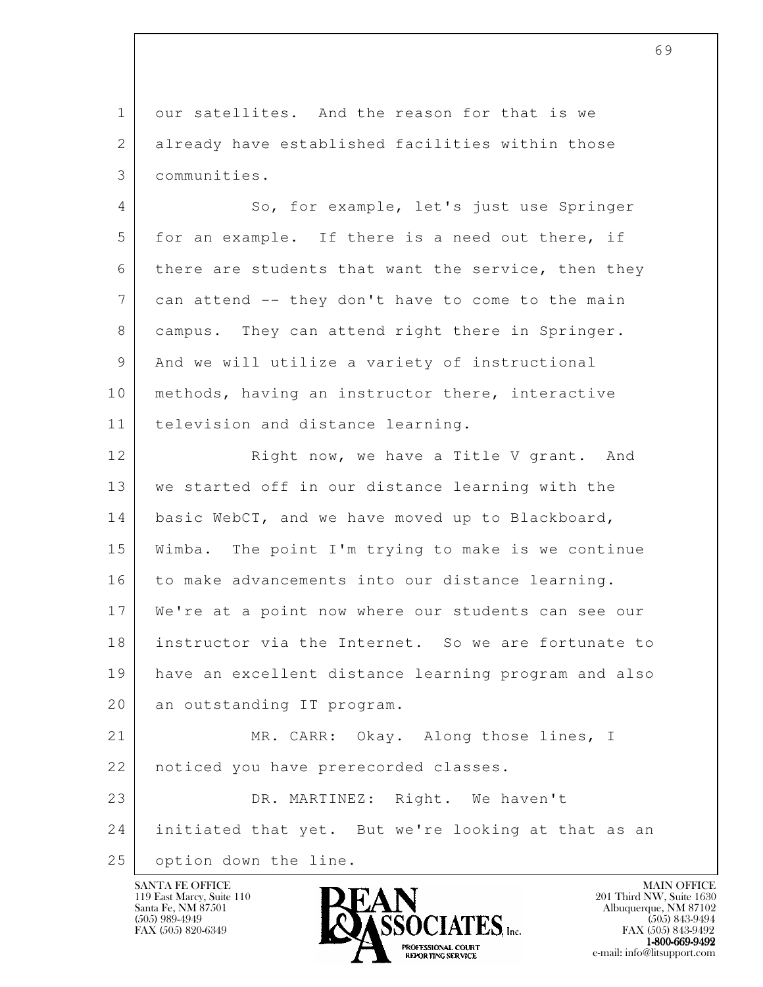1 our satellites. And the reason for that is we 2 already have established facilities within those 3 communities.

4 So, for example, let's just use Springer 5 for an example. If there is a need out there, if 6 there are students that want the service, then they 7 can attend -- they don't have to come to the main 8 | campus. They can attend right there in Springer. 9 And we will utilize a variety of instructional 10 | methods, having an instructor there, interactive 11 television and distance learning.

12 Right now, we have a Title V grant. And 13 we started off in our distance learning with the 14 basic WebCT, and we have moved up to Blackboard, 15 Wimba. The point I'm trying to make is we continue 16 to make advancements into our distance learning. 17 We're at a point now where our students can see our 18 instructor via the Internet. So we are fortunate to 19 have an excellent distance learning program and also 20 an outstanding IT program. 21 MR. CARR: Okay. Along those lines, I

22 noticed you have prerecorded classes.

l 23 DR. MARTINEZ: Right. We haven't 24 initiated that yet. But we're looking at that as an 25 | option down the line.

119 East Marcy, Suite 110<br>Santa Fe, NM 87501

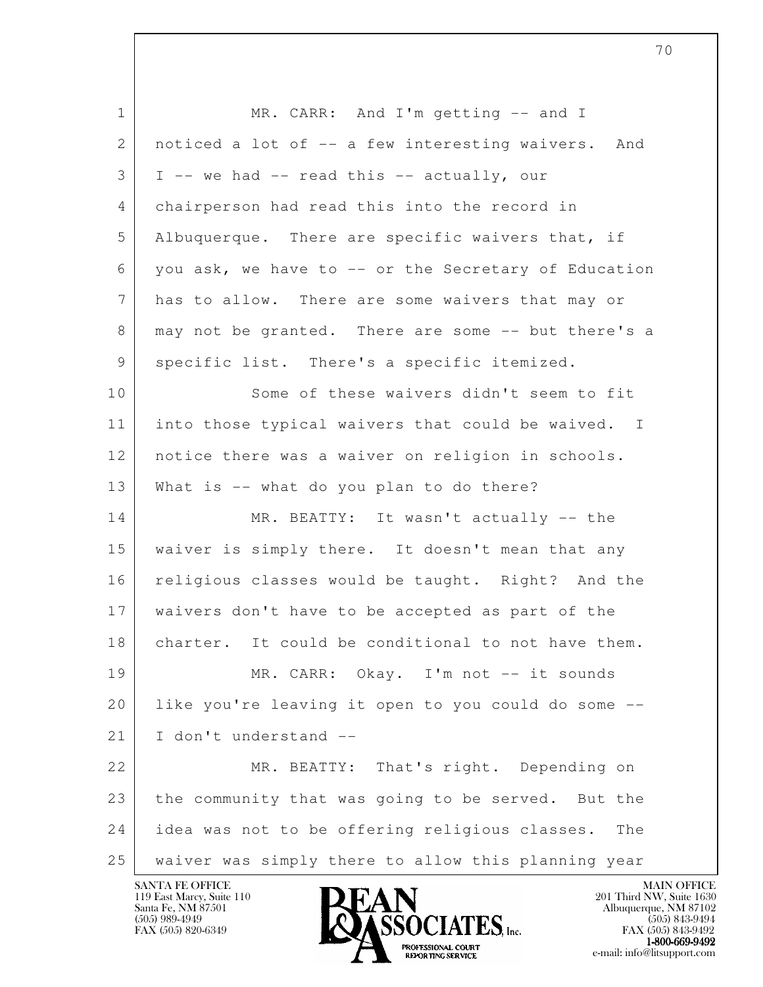| $\mathbf{1}$    | MR. CARR: And I'm getting -- and I                    |
|-----------------|-------------------------------------------------------|
| 2               | noticed a lot of -- a few interesting waivers.<br>And |
| 3               | I -- we had -- read this -- actually, our             |
| 4               | chairperson had read this into the record in          |
| 5               | Albuquerque. There are specific waivers that, if      |
| 6               | you ask, we have to -- or the Secretary of Education  |
| $7\phantom{.0}$ | has to allow. There are some waivers that may or      |
| 8               | may not be granted. There are some -- but there's a   |
| 9               | specific list. There's a specific itemized.           |
| 10              | Some of these waivers didn't seem to fit              |
| 11              | into those typical waivers that could be waived. I    |
| 12              | notice there was a waiver on religion in schools.     |
| 13              | What is -- what do you plan to do there?              |
| 14              | MR. BEATTY: It wasn't actually -- the                 |
| 15              | waiver is simply there. It doesn't mean that any      |
| 16              | religious classes would be taught. Right? And the     |
| 17              | waivers don't have to be accepted as part of the      |
| 18              | charter. It could be conditional to not have them.    |
| 19              | MR. CARR: Okay. I'm not -- it sounds                  |
| 20              | like you're leaving it open to you could do some --   |
| 21              | I don't understand --                                 |
| 22              | MR. BEATTY: That's right. Depending on                |
| 23              | the community that was going to be served. But the    |
| 24              | idea was not to be offering religious classes.<br>The |
| 25              | waiver was simply there to allow this planning year   |

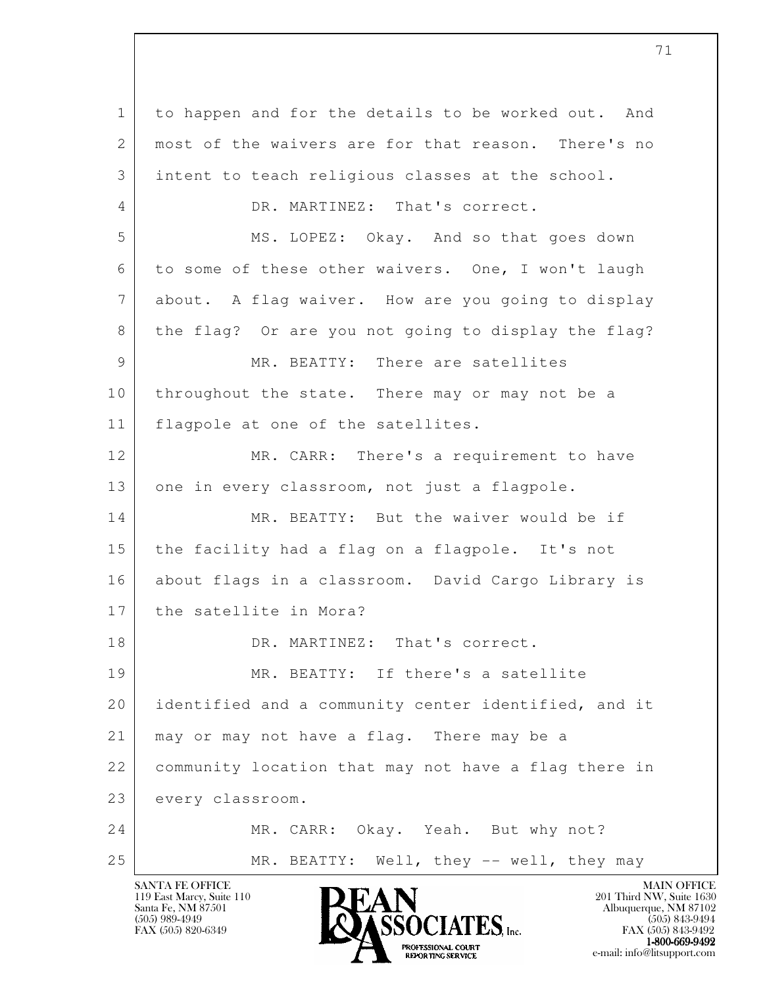l 1 to happen and for the details to be worked out. And 2 most of the waivers are for that reason. There's no 3 intent to teach religious classes at the school. 4 DR. MARTINEZ: That's correct. 5 MS. LOPEZ: Okay. And so that goes down 6 to some of these other waivers. One, I won't laugh 7 about. A flag waiver. How are you going to display 8 the flag? Or are you not going to display the flag? 9 MR. BEATTY: There are satellites 10 throughout the state. There may or may not be a 11 flagpole at one of the satellites. 12 MR. CARR: There's a requirement to have 13 one in every classroom, not just a flagpole. 14 MR. BEATTY: But the waiver would be if 15 the facility had a flag on a flagpole. It's not 16 about flags in a classroom. David Cargo Library is 17 the satellite in Mora? 18 DR. MARTINEZ: That's correct. 19 MR. BEATTY: If there's a satellite 20 identified and a community center identified, and it 21 | may or may not have a flag. There may be a 22 community location that may not have a flag there in 23 every classroom. 24 MR. CARR: Okay. Yeah. But why not? 25 | MR. BEATTY: Well, they -- well, they may

119 East Marcy, Suite 110<br>Santa Fe, NM 87501



FAX (505) 843-9492  $1-800-669-9492$ <br>PROFESSIONAL COURT **EXPORTING SERVICE** EXPLORER THE REPORTING SERVICE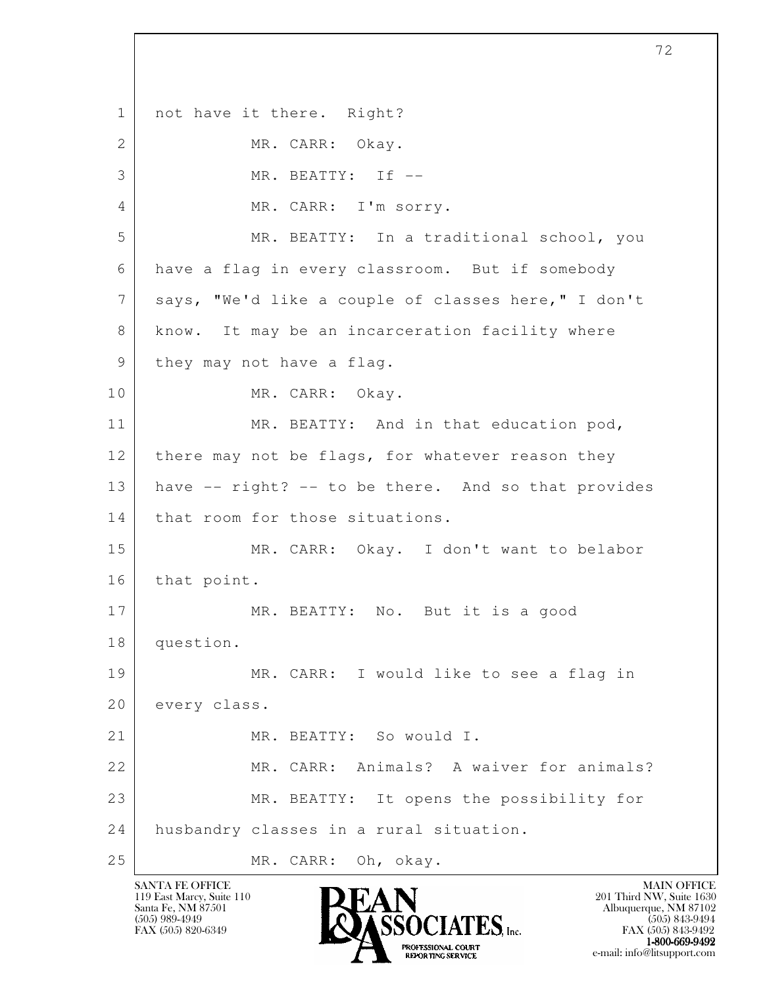l 1 | not have it there. Right? 2 MR. CARR: Okay. 3 MR. BEATTY: If -- 4 MR. CARR: I'm sorry. 5 MR. BEATTY: In a traditional school, you 6 have a flag in every classroom. But if somebody 7 says, "We'd like a couple of classes here," I don't 8 know. It may be an incarceration facility where 9 they may not have a flag. 10 MR. CARR: Okay. 11 MR. BEATTY: And in that education pod, 12 there may not be flags, for whatever reason they 13 have -- right? -- to be there. And so that provides 14 that room for those situations. 15 MR. CARR: Okay. I don't want to belabor 16 that point. 17 MR. BEATTY: No. But it is a good 18 question. 19 MR. CARR: I would like to see a flag in 20 every class. 21 MR. BEATTY: So would I. 22 MR. CARR: Animals? A waiver for animals? 23 | MR. BEATTY: It opens the possibility for 24 husbandry classes in a rural situation. 25 MR. CARR: Oh, okay.

119 East Marcy, Suite 110<br>Santa Fe, NM 87501



 $FAX (505) 843-9492$ <br>1-800-669-9492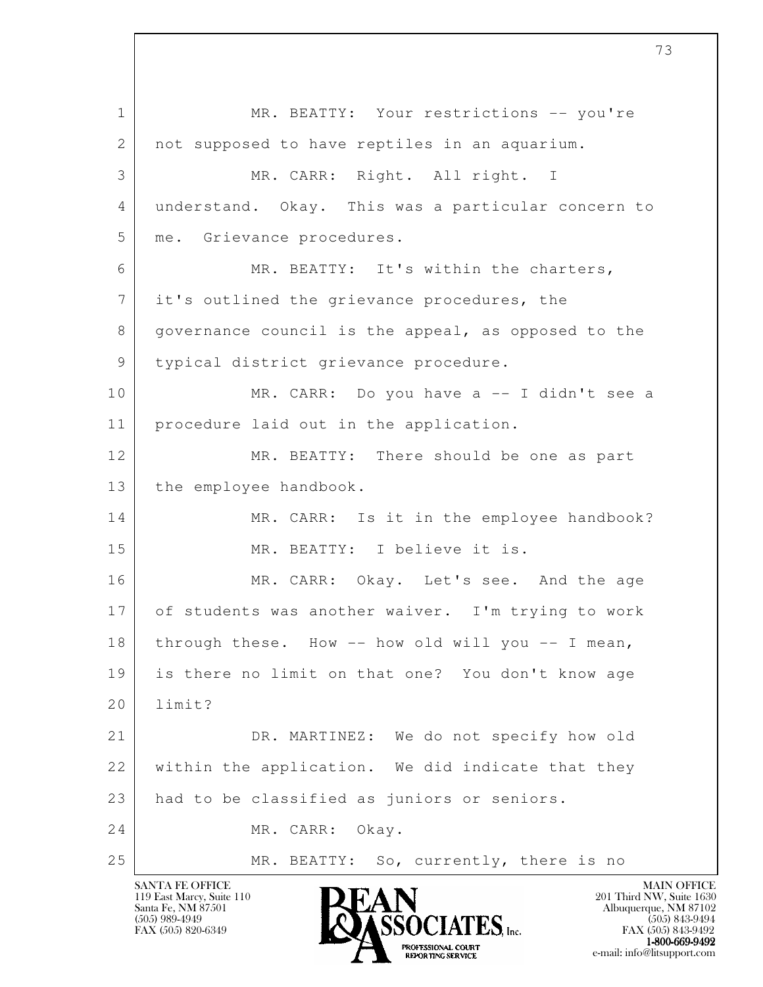l 1 MR. BEATTY: Your restrictions -- you're 2 | not supposed to have reptiles in an aquarium. 3 MR. CARR: Right. All right. I 4 understand. Okay. This was a particular concern to 5 | me. Grievance procedures. 6 MR. BEATTY: It's within the charters, 7 it's outlined the grievance procedures, the 8 governance council is the appeal, as opposed to the 9 typical district grievance procedure. 10 MR. CARR: Do you have a -- I didn't see a 11 procedure laid out in the application. 12 MR. BEATTY: There should be one as part 13 | the employee handbook. 14 MR. CARR: Is it in the employee handbook? 15 MR. BEATTY: I believe it is. 16 MR. CARR: Okay. Let's see. And the age 17 of students was another waiver. I'm trying to work 18 | through these. How -- how old will you -- I mean, 19 is there no limit on that one? You don't know age 20 limit? 21 DR. MARTINEZ: We do not specify how old 22 within the application. We did indicate that they 23 had to be classified as juniors or seniors. 24 MR. CARR: Okay. 25 MR. BEATTY: So, currently, there is no

119 East Marcy, Suite 110<br>Santa Fe, NM 87501

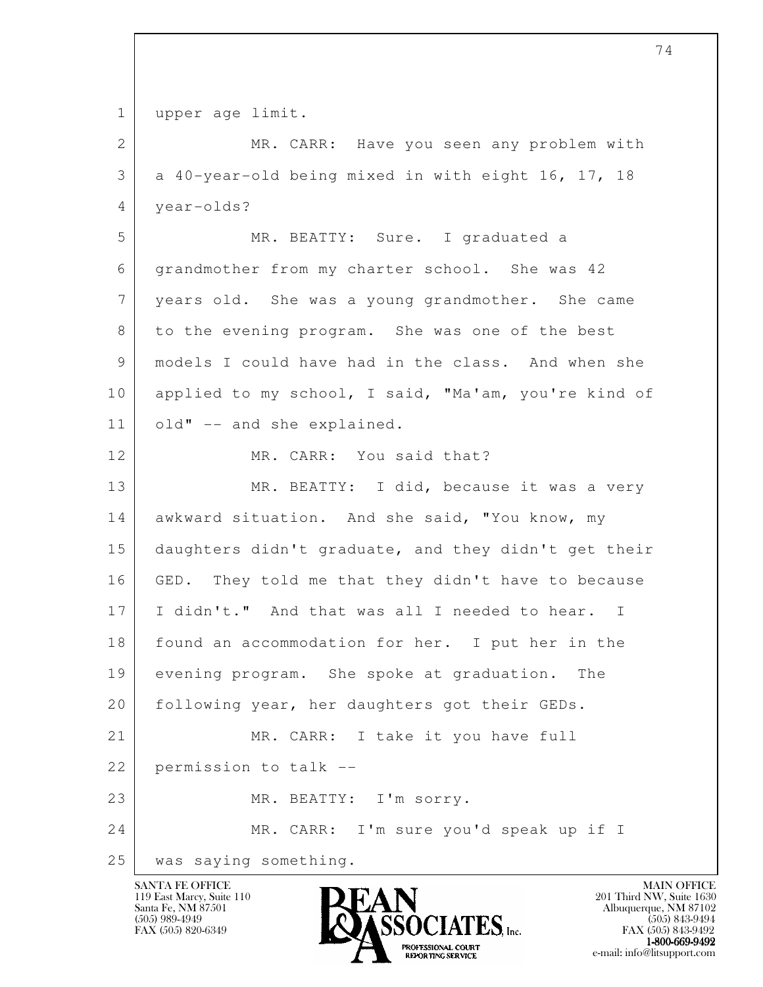1 | upper age limit.

| $\mathbf{2}$   | MR. CARR: Have you seen any problem with             |
|----------------|------------------------------------------------------|
| 3              | a 40-year-old being mixed in with eight 16, 17, 18   |
| 4              | year-olds?                                           |
| 5              | MR. BEATTY: Sure. I graduated a                      |
| 6              | grandmother from my charter school. She was 42       |
| $\overline{7}$ | years old. She was a young grandmother. She came     |
| 8              | to the evening program. She was one of the best      |
| 9              | models I could have had in the class. And when she   |
| 10             | applied to my school, I said, "Ma'am, you're kind of |
| 11             | old" -- and she explained.                           |
| 12             | MR. CARR: You said that?                             |
| 13             | MR. BEATTY: I did, because it was a very             |
| 14             | awkward situation. And she said, "You know, my       |
| 15             | daughters didn't graduate, and they didn't get their |
| 16             | GED. They told me that they didn't have to because   |
| 17             | I didn't." And that was all I needed to hear. I      |
| 18             | found an accommodation for her. I put her in the     |
| 19             | evening program. She spoke at graduation.<br>The     |
| 20             | following year, her daughters got their GEDs.        |
| 21             | MR. CARR: I take it you have full                    |
| 22             | permission to talk --                                |
| 23             | MR. BEATTY: I'm sorry.                               |
| 24             | MR. CARR: I'm sure you'd speak up if I               |
| 25             | was saying something.                                |

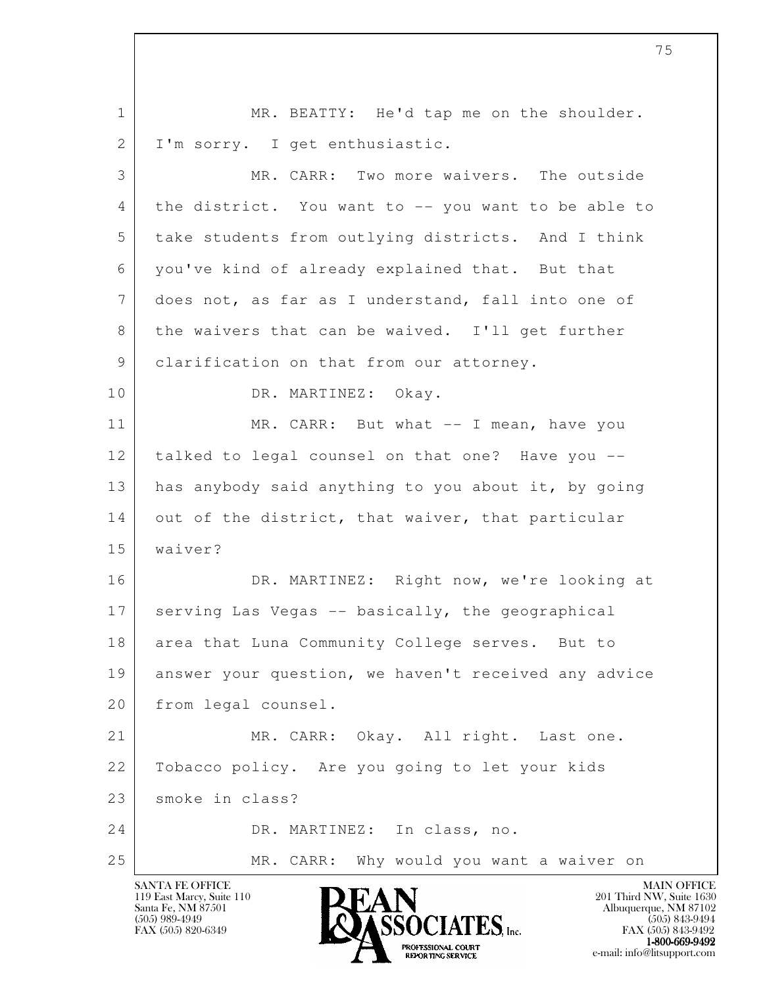l 1 | MR. BEATTY: He'd tap me on the shoulder. 2 | I'm sorry. I get enthusiastic. 3 MR. CARR: Two more waivers. The outside 4 the district. You want to -- you want to be able to 5 take students from outlying districts. And I think 6 you've kind of already explained that. But that 7 does not, as far as I understand, fall into one of 8 the waivers that can be waived. I'll get further 9 clarification on that from our attorney. 10 DR. MARTINEZ: Okay. 11 MR. CARR: But what -- I mean, have you 12 talked to legal counsel on that one? Have you -- 13 has anybody said anything to you about it, by going 14 out of the district, that waiver, that particular 15 waiver? 16 DR. MARTINEZ: Right now, we're looking at 17 serving Las Vegas -- basically, the geographical 18 area that Luna Community College serves. But to 19 answer your question, we haven't received any advice 20 from legal counsel. 21 MR. CARR: Okay. All right. Last one. 22 Tobacco policy. Are you going to let your kids 23 smoke in class? 24 DR. MARTINEZ: In class, no. 25 MR. CARR: Why would you want a waiver on

119 East Marcy, Suite 110<br>Santa Fe, NM 87501

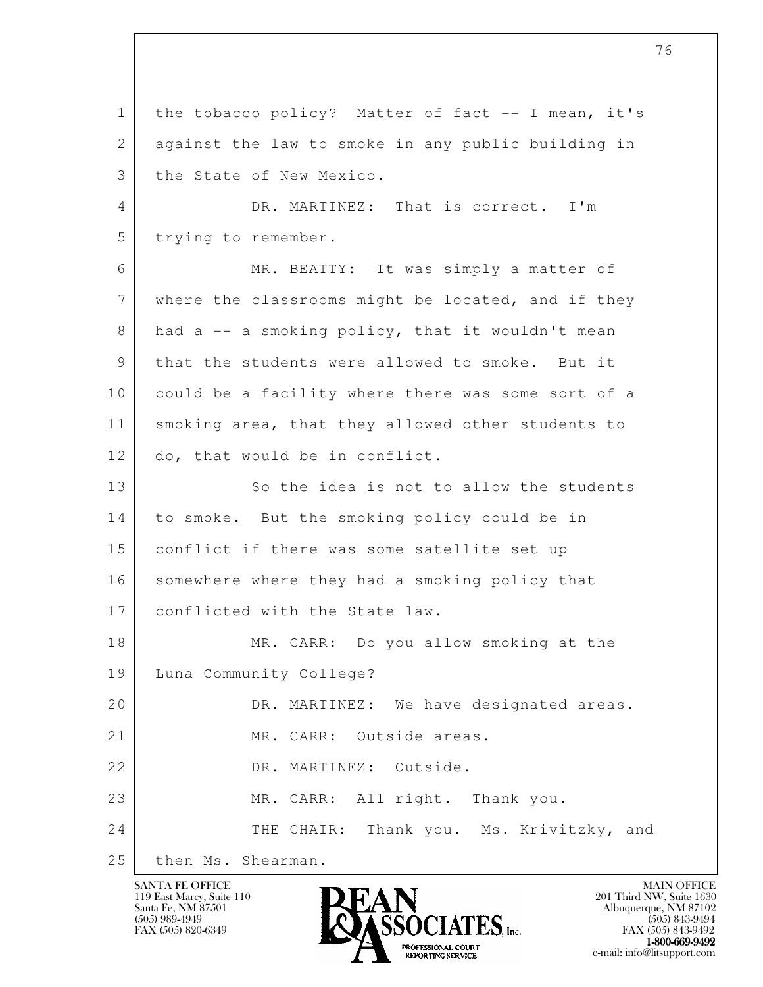l 1 the tobacco policy? Matter of fact -- I mean, it's 2 against the law to smoke in any public building in 3 the State of New Mexico. 4 DR. MARTINEZ: That is correct. I'm 5 trying to remember. 6 MR. BEATTY: It was simply a matter of 7 where the classrooms might be located, and if they  $8$  had a  $-$  a smoking policy, that it wouldn't mean 9 that the students were allowed to smoke. But it 10 could be a facility where there was some sort of a 11 smoking area, that they allowed other students to 12 do, that would be in conflict. 13 So the idea is not to allow the students 14 to smoke. But the smoking policy could be in 15 conflict if there was some satellite set up 16 somewhere where they had a smoking policy that 17 conflicted with the State law. 18 MR. CARR: Do you allow smoking at the 19 Luna Community College? 20 DR. MARTINEZ: We have designated areas. 21 MR. CARR: Outside areas. 22 DR. MARTINEZ: Outside. 23 MR. CARR: All right. Thank you. 24 THE CHAIR: Thank you. Ms. Krivitzky, and 25 then Ms. Shearman.

119 East Marcy, Suite 110<br>Santa Fe, NM 87501



 $FAX (505) 843-9492$ <br>1-800-669-9492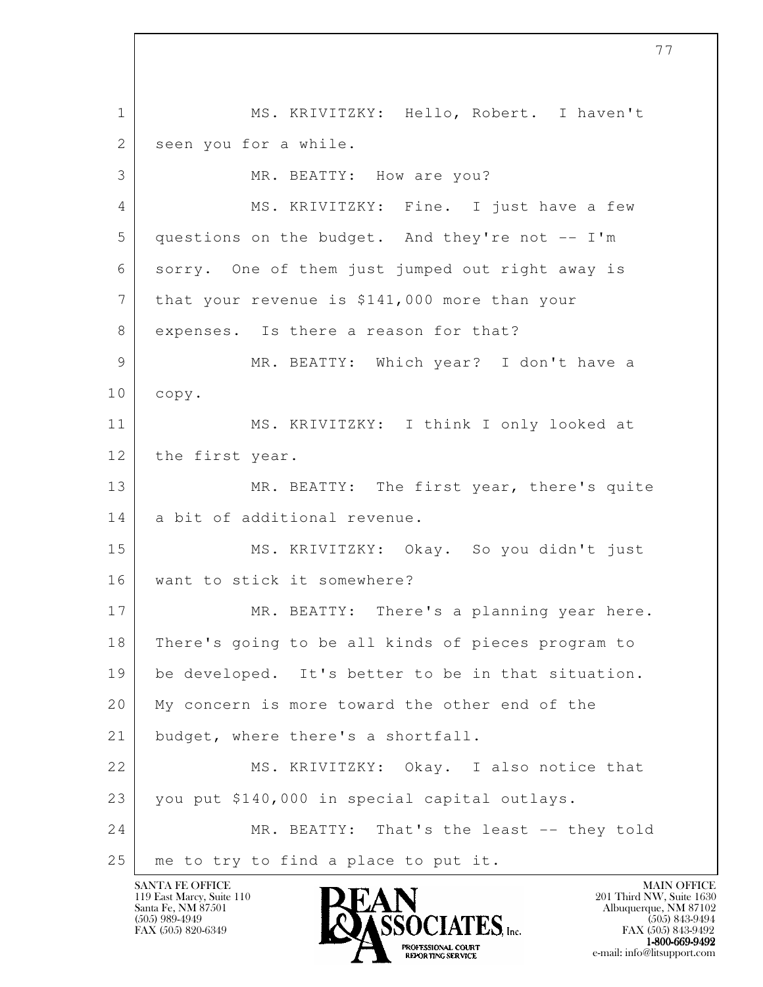l 1 MS. KRIVITZKY: Hello, Robert. I haven't 2 seen you for a while. 3 MR. BEATTY: How are you? 4 MS. KRIVITZKY: Fine. I just have a few 5 questions on the budget. And they're not -- I'm 6 sorry. One of them just jumped out right away is 7 that your revenue is \$141,000 more than your 8 expenses. Is there a reason for that? 9 MR. BEATTY: Which year? I don't have a 10 copy. 11 MS. KRIVITZKY: I think I only looked at 12 the first year. 13 MR. BEATTY: The first year, there's quite 14 a bit of additional revenue. 15 MS. KRIVITZKY: Okay. So you didn't just 16 want to stick it somewhere? 17 MR. BEATTY: There's a planning year here. 18 There's going to be all kinds of pieces program to 19 be developed. It's better to be in that situation. 20 My concern is more toward the other end of the 21 budget, where there's a shortfall. 22 MS. KRIVITZKY: Okay. I also notice that 23 you put \$140,000 in special capital outlays. 24 MR. BEATTY: That's the least -- they told 25 | me to try to find a place to put it.

119 East Marcy, Suite 110<br>Santa Fe, NM 87501



 $FAX (505) 843-9492$ <br>1-800-669-9492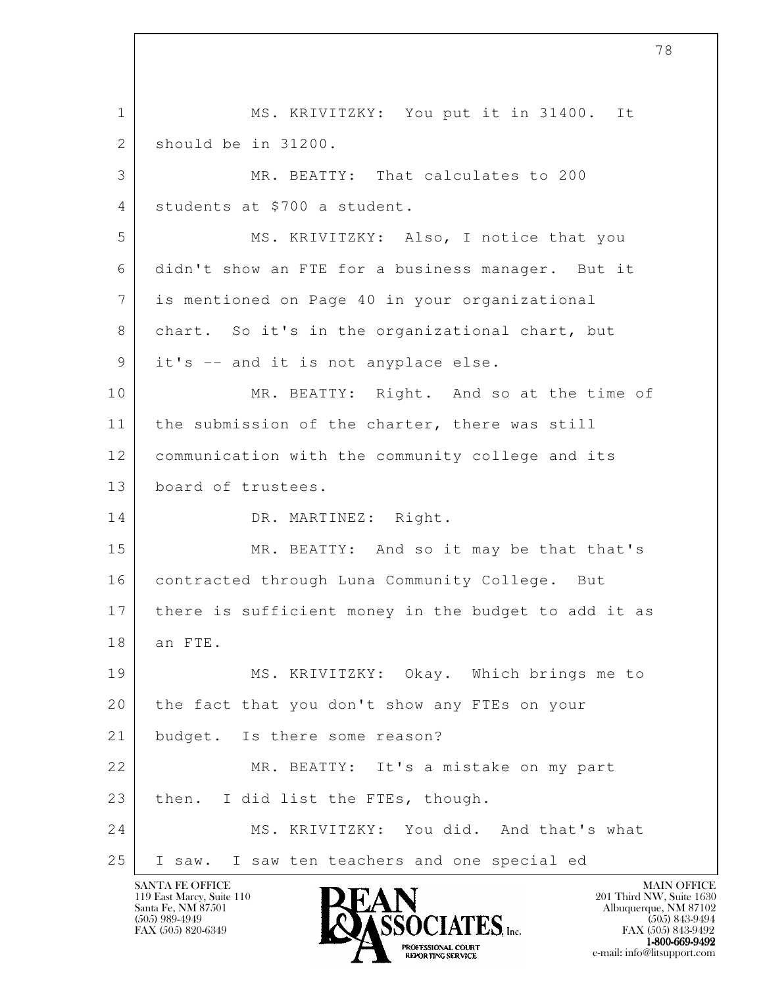l 1 MS. KRIVITZKY: You put it in 31400. It 2 should be in 31200. 3 MR. BEATTY: That calculates to 200 4 students at \$700 a student. 5 MS. KRIVITZKY: Also, I notice that you 6 didn't show an FTE for a business manager. But it 7 is mentioned on Page 40 in your organizational 8 chart. So it's in the organizational chart, but 9 it's -- and it is not anyplace else. 10 MR. BEATTY: Right. And so at the time of 11 | the submission of the charter, there was still 12 communication with the community college and its 13 board of trustees. 14 DR. MARTINEZ: Right. 15 MR. BEATTY: And so it may be that that's 16 | contracted through Luna Community College. But 17 there is sufficient money in the budget to add it as 18 an FTE. 19 MS. KRIVITZKY: Okay. Which brings me to 20 the fact that you don't show any FTEs on your 21 budget. Is there some reason? 22 MR. BEATTY: It's a mistake on my part 23 then. I did list the FTEs, though. 24 MS. KRIVITZKY: You did. And that's what 25 I saw. I saw ten teachers and one special ed

119 East Marcy, Suite 110<br>Santa Fe, NM 87501

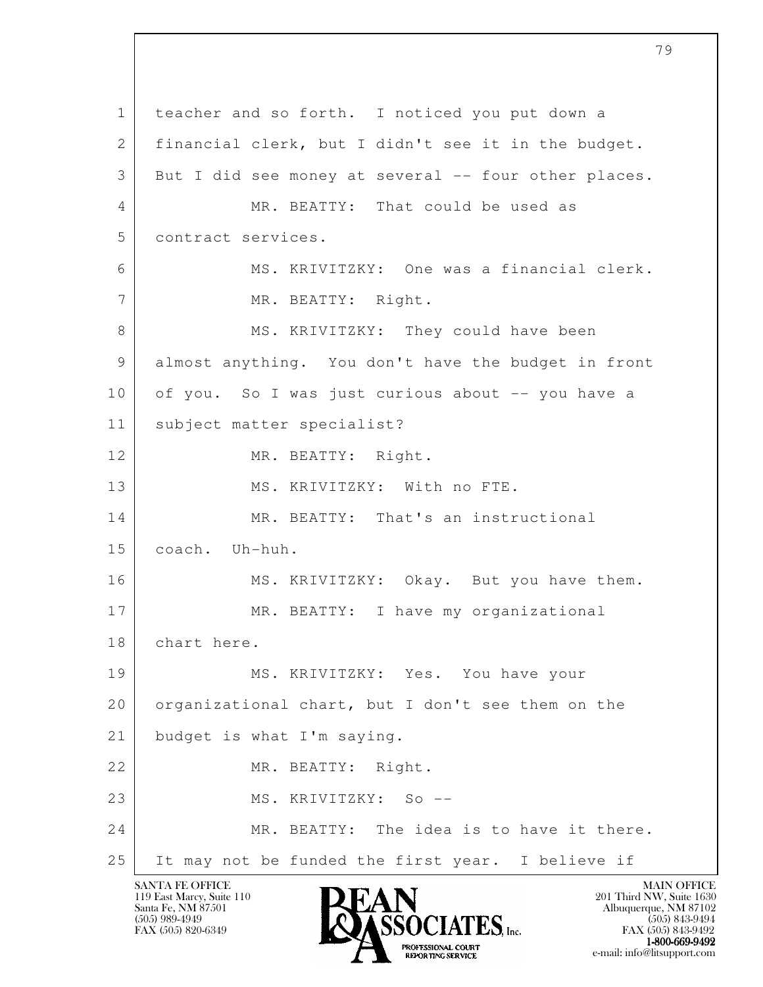l 1 teacher and so forth. I noticed you put down a 2 | financial clerk, but I didn't see it in the budget. 3 But I did see money at several -- four other places. 4 MR. BEATTY: That could be used as 5 contract services. 6 MS. KRIVITZKY: One was a financial clerk. 7 MR. BEATTY: Right. 8 MS. KRIVITZKY: They could have been 9 almost anything. You don't have the budget in front 10 of you. So I was just curious about -- you have a 11 subject matter specialist? 12 MR. BEATTY: Right. 13 MS. KRIVITZKY: With no FTE. 14 MR. BEATTY: That's an instructional 15 coach. Uh-huh. 16 MS. KRIVITZKY: Okay. But you have them. 17 MR. BEATTY: I have my organizational 18 chart here. 19 MS. KRIVITZKY: Yes. You have your 20 | organizational chart, but I don't see them on the 21 budget is what I'm saying. 22 MR. BEATTY: Right. 23 MS. KRIVITZKY: So -- 24 MR. BEATTY: The idea is to have it there. 25 It may not be funded the first year. I believe if

119 East Marcy, Suite 110<br>Santa Fe, NM 87501

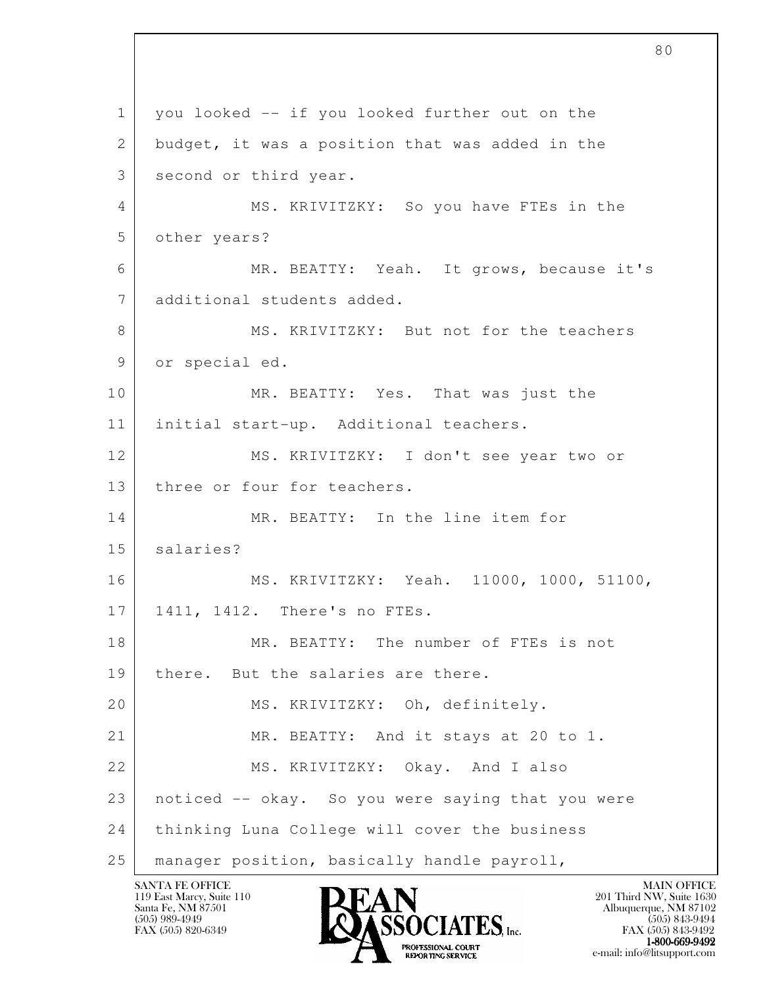l 1 you looked -- if you looked further out on the 2 budget, it was a position that was added in the 3 second or third year. 4 MS. KRIVITZKY: So you have FTEs in the 5 other years? 6 MR. BEATTY: Yeah. It grows, because it's 7 additional students added. 8 MS. KRIVITZKY: But not for the teachers 9 or special ed. 10 MR. BEATTY: Yes. That was just the 11 initial start-up. Additional teachers. 12 MS. KRIVITZKY: I don't see year two or 13 | three or four for teachers. 14 MR. BEATTY: In the line item for 15 salaries? 16 MS. KRIVITZKY: Yeah. 11000, 1000, 51100, 17 | 1411, 1412. There's no FTEs. 18 MR. BEATTY: The number of FTEs is not 19 | there. But the salaries are there. 20 MS. KRIVITZKY: Oh, definitely. 21 | MR. BEATTY: And it stays at 20 to 1. 22 MS. KRIVITZKY: Okay. And I also 23 noticed -- okay. So you were saying that you were 24 thinking Luna College will cover the business 25 manager position, basically handle payroll,

119 East Marcy, Suite 110<br>Santa Fe, NM 87501

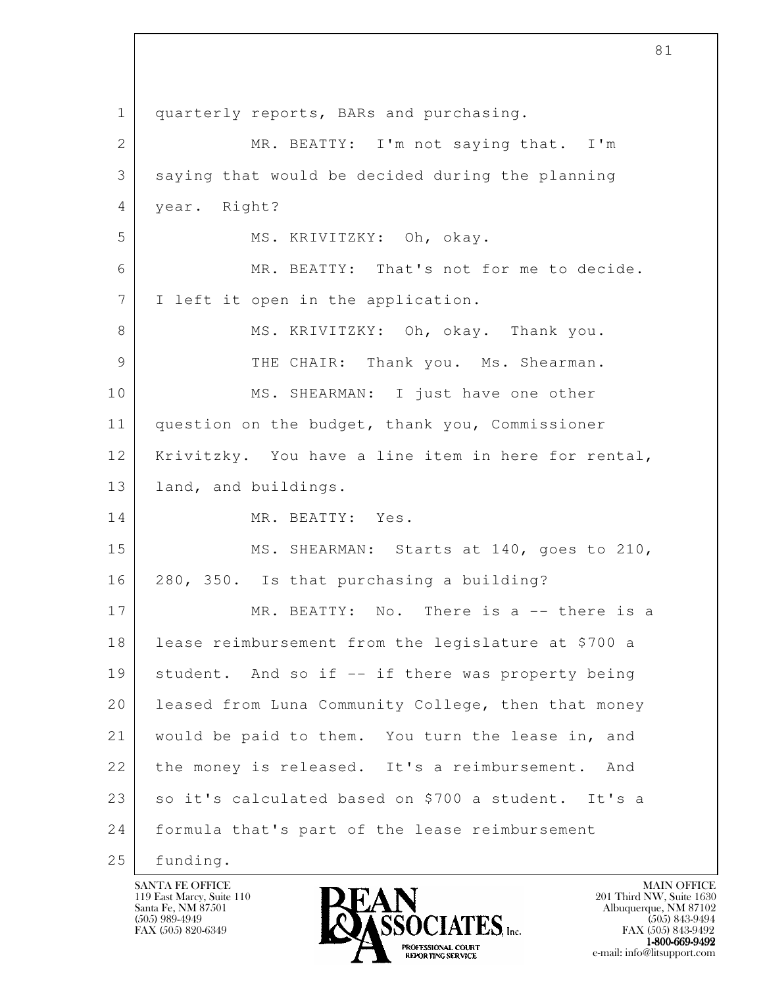l 1 quarterly reports, BARs and purchasing. 2 MR. BEATTY: I'm not saying that. I'm 3 saying that would be decided during the planning 4 year. Right? 5 MS. KRIVITZKY: Oh, okay. 6 MR. BEATTY: That's not for me to decide. 7 | I left it open in the application. 8 MS. KRIVITZKY: Oh, okay. Thank you. 9 THE CHAIR: Thank you. Ms. Shearman. 10 MS. SHEARMAN: I just have one other 11 question on the budget, thank you, Commissioner 12 Krivitzky. You have a line item in here for rental, 13 | land, and buildings. 14 MR. BEATTY: Yes. 15 MS. SHEARMAN: Starts at 140, goes to 210, 16 280, 350. Is that purchasing a building? 17 MR. BEATTY: No. There is a -- there is a 18 lease reimbursement from the legislature at \$700 a 19 | student. And so if -- if there was property being 20 | leased from Luna Community College, then that money 21 would be paid to them. You turn the lease in, and 22 the money is released. It's a reimbursement. And 23 so it's calculated based on \$700 a student. It's a 24 formula that's part of the lease reimbursement 25 funding.

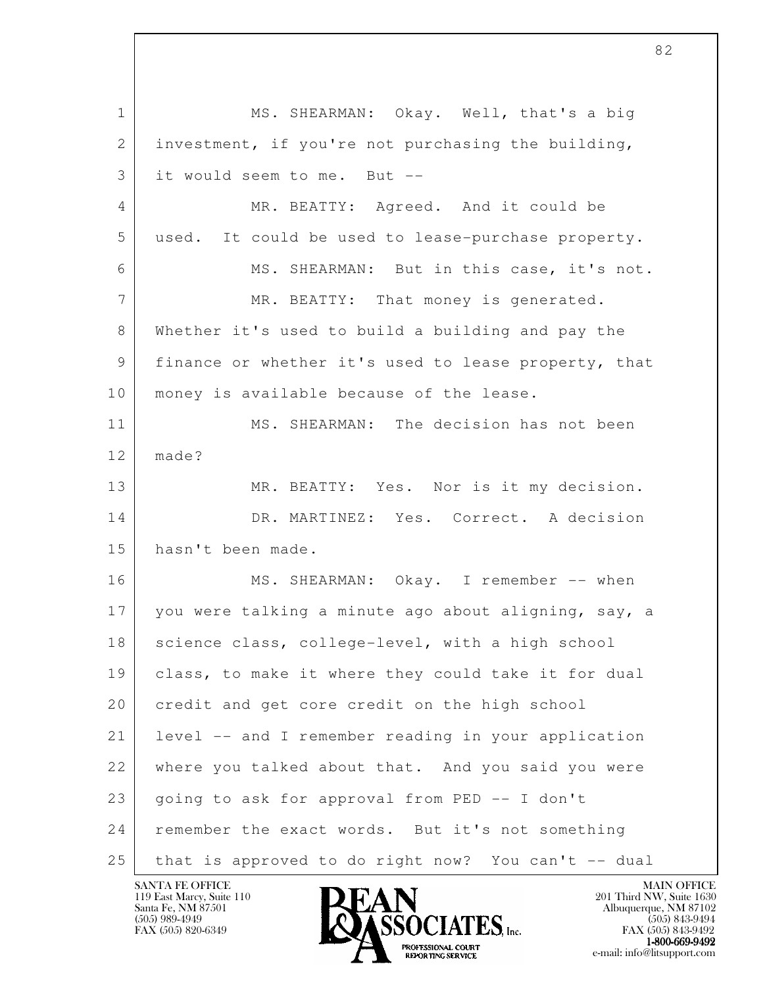l 1 MS. SHEARMAN: Okay. Well, that's a big 2 investment, if you're not purchasing the building, 3 it would seem to me. But -- 4 MR. BEATTY: Agreed. And it could be 5 used. It could be used to lease-purchase property. 6 MS. SHEARMAN: But in this case, it's not. 7 MR. BEATTY: That money is generated. 8 Whether it's used to build a building and pay the 9 finance or whether it's used to lease property, that 10 | money is available because of the lease. 11 MS. SHEARMAN: The decision has not been  $12$  made? 13 MR. BEATTY: Yes. Nor is it my decision. 14 DR. MARTINEZ: Yes. Correct. A decision 15 hasn't been made. 16 MS. SHEARMAN: Okay. I remember -- when 17 you were talking a minute ago about aligning, say, a 18 science class, college-level, with a high school 19 class, to make it where they could take it for dual 20 credit and get core credit on the high school 21 level -- and I remember reading in your application 22 where you talked about that. And you said you were 23 | going to ask for approval from PED -- I don't 24 remember the exact words. But it's not something 25 that is approved to do right now? You can't -- dual

119 East Marcy, Suite 110<br>Santa Fe, NM 87501

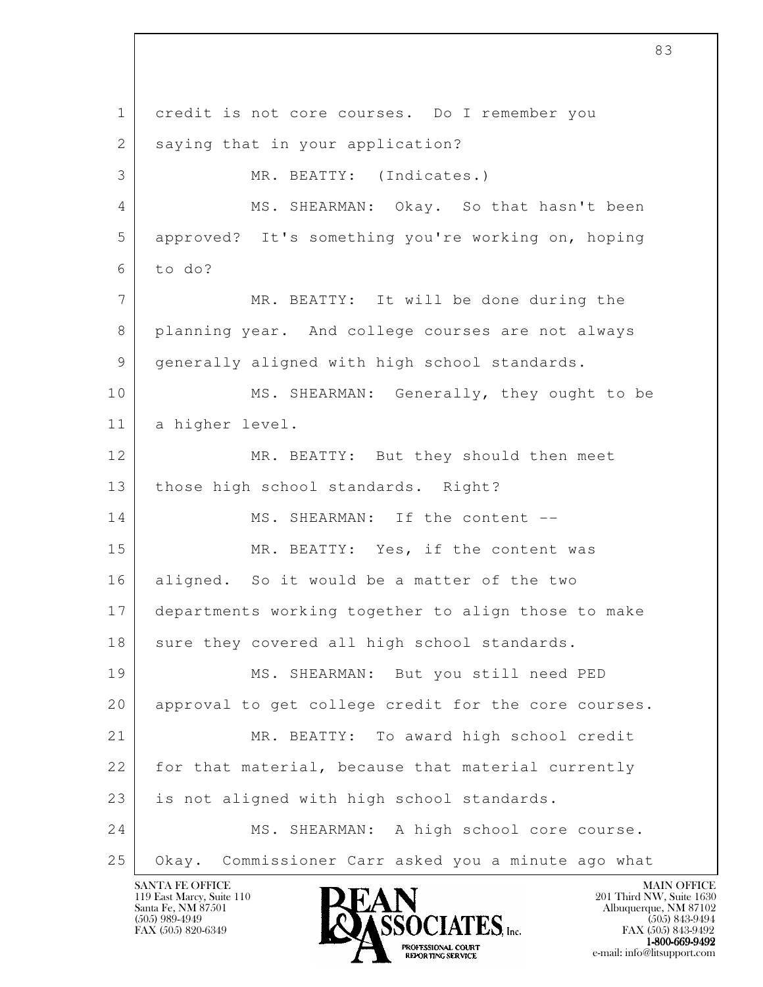l 1 credit is not core courses. Do I remember you 2 saying that in your application? 3 MR. BEATTY: (Indicates.) 4 MS. SHEARMAN: Okay. So that hasn't been 5 approved? It's something you're working on, hoping  $6$  to do? 7 MR. BEATTY: It will be done during the 8 planning year. And college courses are not always 9 generally aligned with high school standards. 10 MS. SHEARMAN: Generally, they ought to be 11 a higher level. 12 MR. BEATTY: But they should then meet 13 | those high school standards. Right? 14 MS. SHEARMAN: If the content --15 MR. BEATTY: Yes, if the content was 16 aligned. So it would be a matter of the two 17 departments working together to align those to make 18 sure they covered all high school standards. 19 MS. SHEARMAN: But you still need PED 20 approval to get college credit for the core courses. 21 MR. BEATTY: To award high school credit 22 for that material, because that material currently 23 | is not aligned with high school standards. 24 MS. SHEARMAN: A high school core course. 25 Okay. Commissioner Carr asked you a minute ago what

119 East Marcy, Suite 110<br>Santa Fe, NM 87501

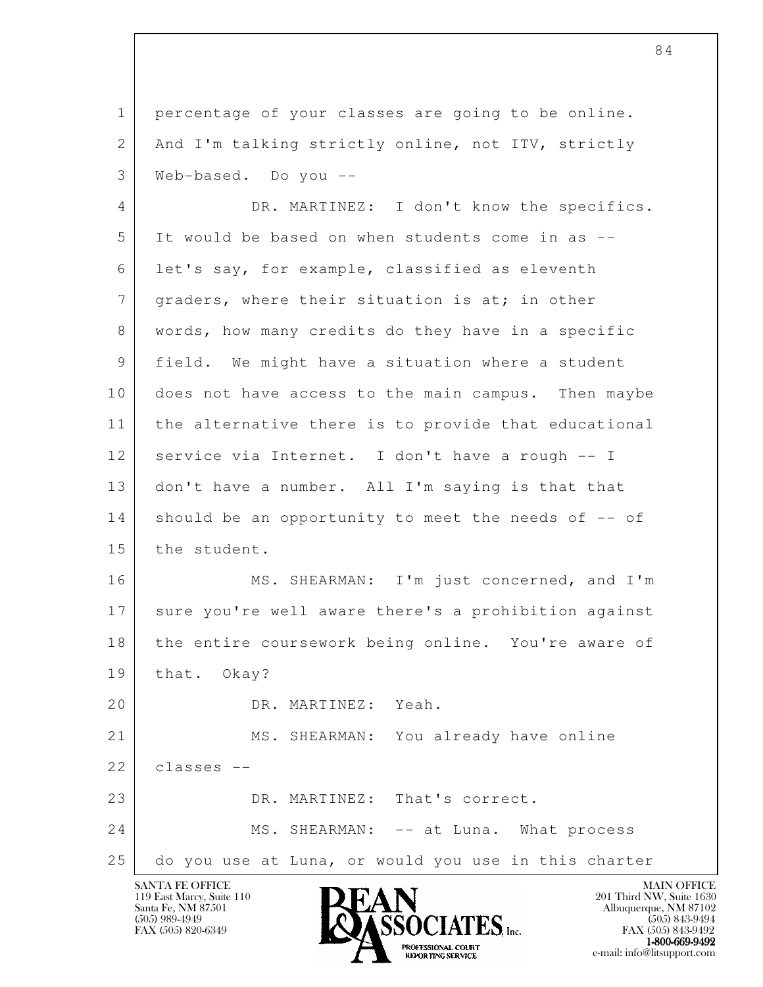1 percentage of your classes are going to be online. 2 And I'm talking strictly online, not ITV, strictly 3 Web-based. Do you --

 4 DR. MARTINEZ: I don't know the specifics. 5 It would be based on when students come in as -- 6 let's say, for example, classified as eleventh 7 | graders, where their situation is at; in other 8 words, how many credits do they have in a specific 9 field. We might have a situation where a student 10 does not have access to the main campus. Then maybe 11 the alternative there is to provide that educational 12 service via Internet. I don't have a rough -- I 13 don't have a number. All I'm saying is that that 14 should be an opportunity to meet the needs of -- of 15 the student.

16 MS. SHEARMAN: I'm just concerned, and I'm 17 sure you're well aware there's a prohibition against 18 the entire coursework being online. You're aware of 19 that. Okay?

20 DR. MARTINEZ: Yeah.

l 21 MS. SHEARMAN: You already have online 22 classes -- 23 DR. MARTINEZ: That's correct. 24 MS. SHEARMAN: -- at Luna. What process

25 do you use at Luna, or would you use in this charter

119 East Marcy, Suite 110<br>Santa Fe, NM 87501

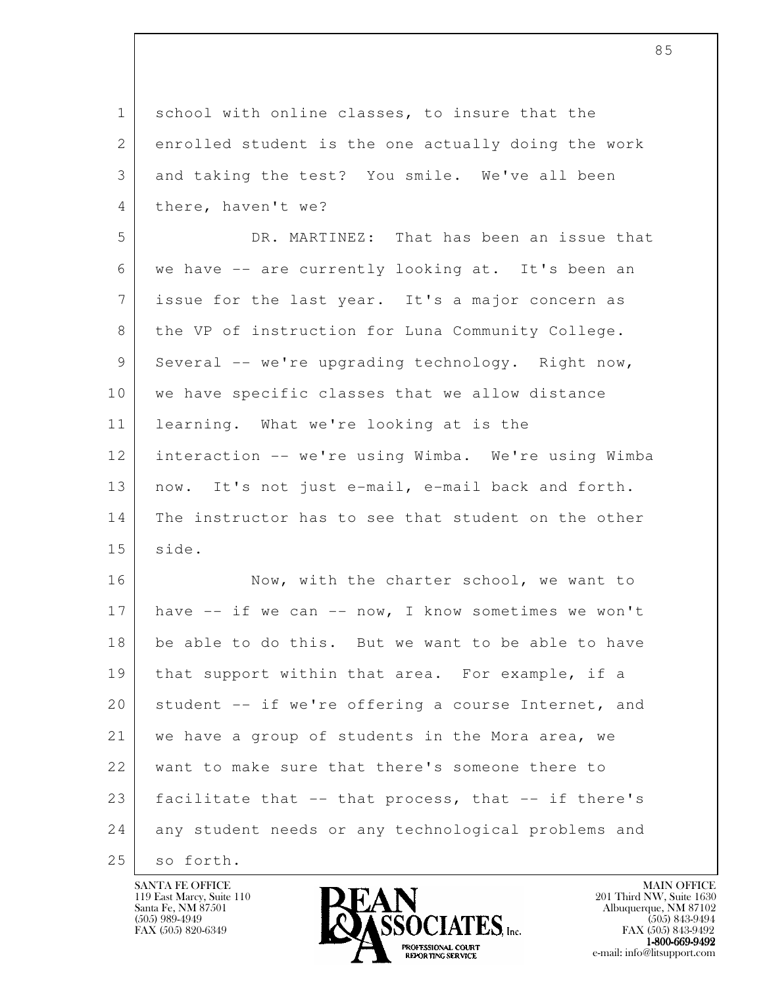| $\mathbf{1}$ | school with online classes, to insure that the      |
|--------------|-----------------------------------------------------|
| $\mathbf{2}$ | enrolled student is the one actually doing the work |
| 3            | and taking the test? You smile. We've all been      |
| 4            | there, haven't we?                                  |
| 5            | DR. MARTINEZ: That has been an issue that           |
| 6            | we have -- are currently looking at. It's been an   |
| 7            | issue for the last year. It's a major concern as    |
| 8            | the VP of instruction for Luna Community College.   |
| 9            | Several -- we're upgrading technology. Right now,   |
| 10           | we have specific classes that we allow distance     |
| 11           | learning. What we're looking at is the              |
| 12           | interaction -- we're using Wimba. We're using Wimba |
| 13           | now. It's not just e-mail, e-mail back and forth.   |
| 14           | The instructor has to see that student on the other |
| 15           | side.                                               |
| 16           | Now, with the charter school, we want to            |
| 17           | have -- if we can -- now, I know sometimes we won't |
| 18           | be able to do this. But we want to be able to have  |
| 19           | that support within that area. For example, if a    |
| 20           | student -- if we're offering a course Internet, and |
| 21           | we have a group of students in the Mora area, we    |
| 22           | want to make sure that there's someone there to     |
| 23           | facilitate that -- that process, that -- if there's |
| 24           | any student needs or any technological problems and |
| 25           | so forth.                                           |

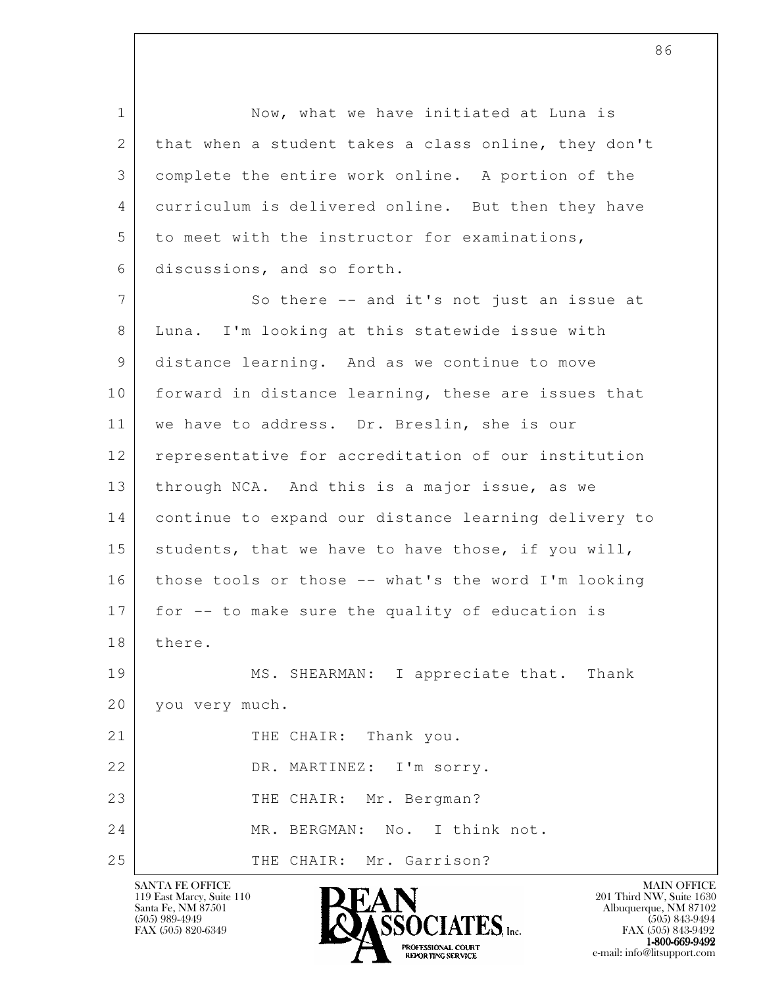1 Now, what we have initiated at Luna is 2 that when a student takes a class online, they don't 3 complete the entire work online. A portion of the 4 curriculum is delivered online. But then they have 5 to meet with the instructor for examinations, 6 discussions, and so forth.

l 7 So there -- and it's not just an issue at 8 Luna. I'm looking at this statewide issue with 9 distance learning. And as we continue to move 10 | forward in distance learning, these are issues that 11 | we have to address. Dr. Breslin, she is our 12 representative for accreditation of our institution 13 | through NCA. And this is a major issue, as we 14 continue to expand our distance learning delivery to 15 | students, that we have to have those, if you will, 16 those tools or those -- what's the word I'm looking 17 for -- to make sure the quality of education is 18 there. 19 MS. SHEARMAN: I appreciate that. Thank 20 you very much. 21 THE CHAIR: Thank you. 22 DR. MARTINEZ: I'm sorry. 23 THE CHAIR: Mr. Bergman? 24 MR. BERGMAN: No. I think not. 25 THE CHAIR: Mr. Garrison?

119 East Marcy, Suite 110<br>Santa Fe, NM 87501



FAX (505) 843-9492  $1-800-669-9492$ <br>PROFESSIONAL COURT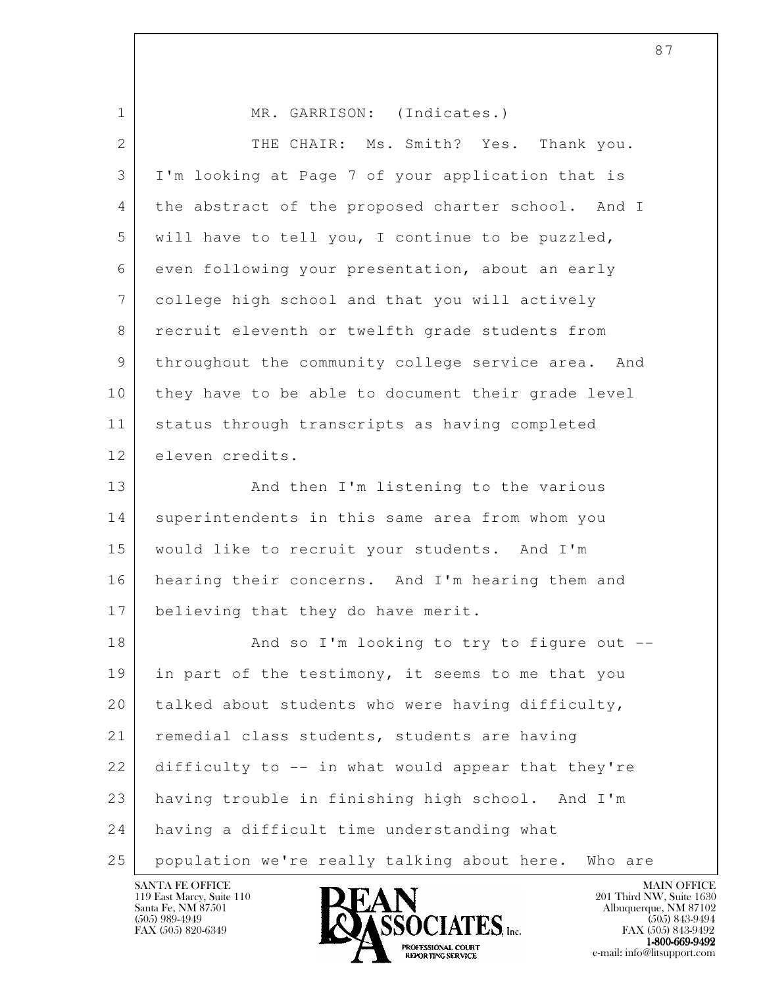| $\mathbf{1}$    | MR. GARRISON: (Indicates.)                          |
|-----------------|-----------------------------------------------------|
| $\overline{2}$  | THE CHAIR: Ms. Smith? Yes.<br>Thank you.            |
| 3               | I'm looking at Page 7 of your application that is   |
| 4               | the abstract of the proposed charter school. And I  |
| 5               | will have to tell you, I continue to be puzzled,    |
| 6               | even following your presentation, about an early    |
| $7\phantom{.0}$ | college high school and that you will actively      |
| 8               | recruit eleventh or twelfth grade students from     |
| 9               | throughout the community college service area. And  |
| 10              | they have to be able to document their grade level  |
| 11              | status through transcripts as having completed      |
| 12              | eleven credits.                                     |
| 13              | And then I'm listening to the various               |
| 14              | superintendents in this same area from whom you     |
| 15              | would like to recruit your students. And I'm        |
| 16              | hearing their concerns. And I'm hearing them and    |
| 17              | believing that they do have merit.                  |
| 18              | And so I'm looking to try to figure out --          |
| 19              | in part of the testimony, it seems to me that you   |
| 20              | talked about students who were having difficulty,   |
| 21              | remedial class students, students are having        |
| 22              | difficulty to -- in what would appear that they're  |
| 23              | having trouble in finishing high school. And I'm    |
| 24              | having a difficult time understanding what          |
| 25              | population we're really talking about here. Who are |

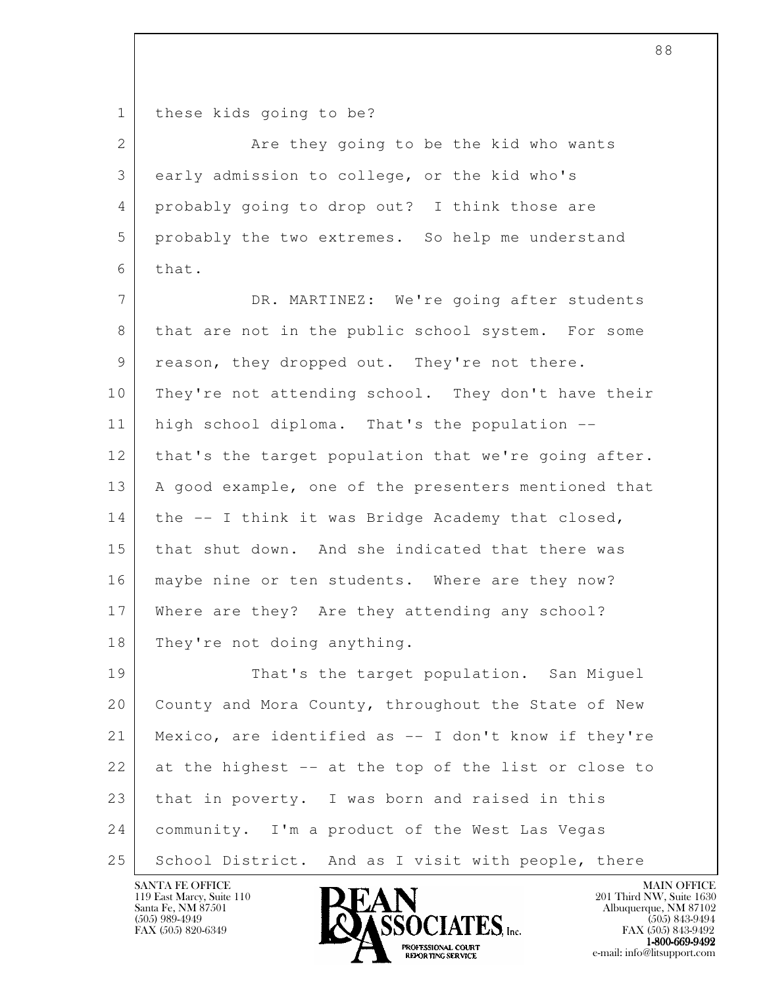1 | these kids going to be?

2 Are they going to be the kid who wants 3 early admission to college, or the kid who's 4 probably going to drop out? I think those are 5 probably the two extremes. So help me understand 6 that.

 7 DR. MARTINEZ: We're going after students 8 that are not in the public school system. For some 9 reason, they dropped out. They're not there. 10 They're not attending school. They don't have their 11 | high school diploma. That's the population --12 that's the target population that we're going after. 13 | A good example, one of the presenters mentioned that 14 the -- I think it was Bridge Academy that closed, 15 that shut down. And she indicated that there was 16 | maybe nine or ten students. Where are they now? 17 Where are they? Are they attending any school? 18 They're not doing anything.

l 19 That's the target population. San Miquel 20 County and Mora County, throughout the State of New 21 Mexico, are identified as -- I don't know if they're 22 at the highest -- at the top of the list or close to 23 that in poverty. I was born and raised in this 24 community. I'm a product of the West Las Vegas 25 School District. And as I visit with people, there

119 East Marcy, Suite 110<br>Santa Fe, NM 87501



FAX (505) 843-9492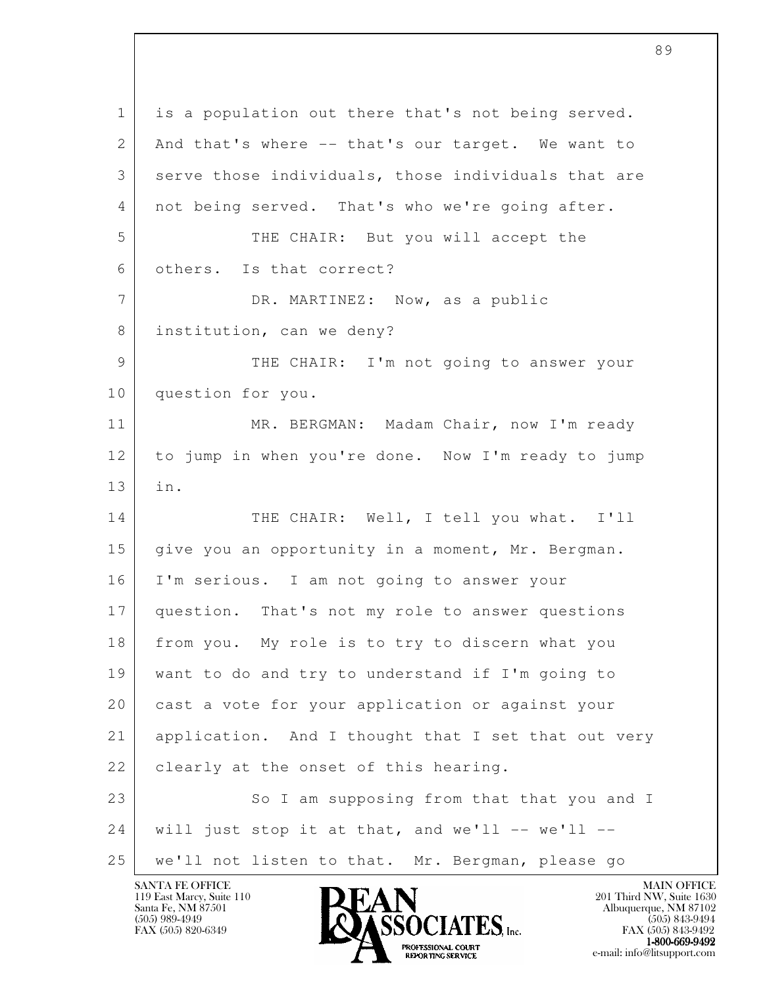l 1 is a population out there that's not being served. 2 And that's where -- that's our target. We want to 3 serve those individuals, those individuals that are 4 not being served. That's who we're going after. 5 THE CHAIR: But you will accept the 6 others. Is that correct? 7 DR. MARTINEZ: Now, as a public 8 institution, can we deny? 9 THE CHAIR: I'm not going to answer your 10 question for you. 11 MR. BERGMAN: Madam Chair, now I'm ready 12 to jump in when you're done. Now I'm ready to jump 13 in. 14 THE CHAIR: Well, I tell you what. I'll 15 give you an opportunity in a moment, Mr. Bergman. 16 I'm serious. I am not going to answer your 17 question. That's not my role to answer questions 18 from you. My role is to try to discern what you 19 want to do and try to understand if I'm going to 20 cast a vote for your application or against your 21 application. And I thought that I set that out very 22 | clearly at the onset of this hearing. 23 | So I am supposing from that that you and I  $24$  will just stop it at that, and we'll -- we'll --25 | we'll not listen to that. Mr. Bergman, please go

119 East Marcy, Suite 110<br>Santa Fe, NM 87501

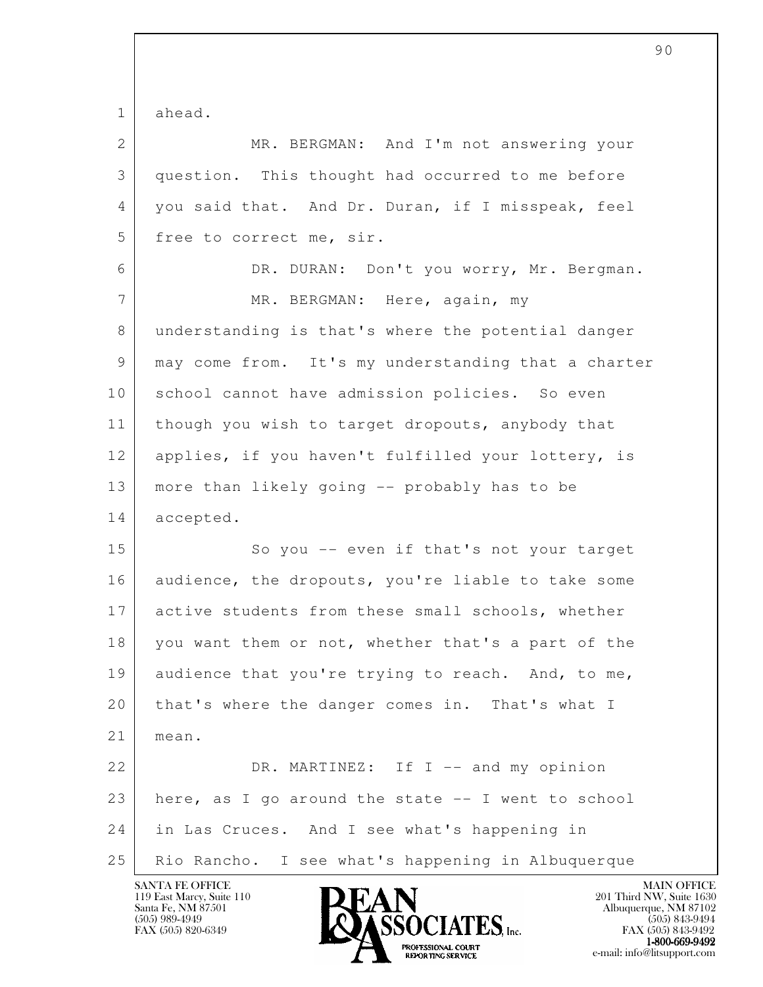l 1 ahead. 2 MR. BERGMAN: And I'm not answering your 3 question. This thought had occurred to me before 4 you said that. And Dr. Duran, if I misspeak, feel 5 free to correct me, sir. 6 DR. DURAN: Don't you worry, Mr. Bergman. 7 | MR. BERGMAN: Here, again, my 8 understanding is that's where the potential danger 9 may come from. It's my understanding that a charter 10 | school cannot have admission policies. So even 11 | though you wish to target dropouts, anybody that 12 applies, if you haven't fulfilled your lottery, is 13 more than likely going -- probably has to be 14 accepted. 15 So you -- even if that's not your target 16 audience, the dropouts, you're liable to take some 17 active students from these small schools, whether 18 you want them or not, whether that's a part of the 19 audience that you're trying to reach. And, to me, 20 that's where the danger comes in. That's what I 21 mean. 22 DR. MARTINEZ: If I -- and my opinion 23 here, as I go around the state  $-$  I went to school 24 in Las Cruces. And I see what's happening in 25 Rio Rancho. I see what's happening in Albuquerque

119 East Marcy, Suite 110<br>Santa Fe, NM 87501



FAX (505) 843-9492  $1-800-669-9492$ <br>PROFESSIONAL COURT **EXPORTING SERVICE** EXPLORER THE REPORTING SERVICE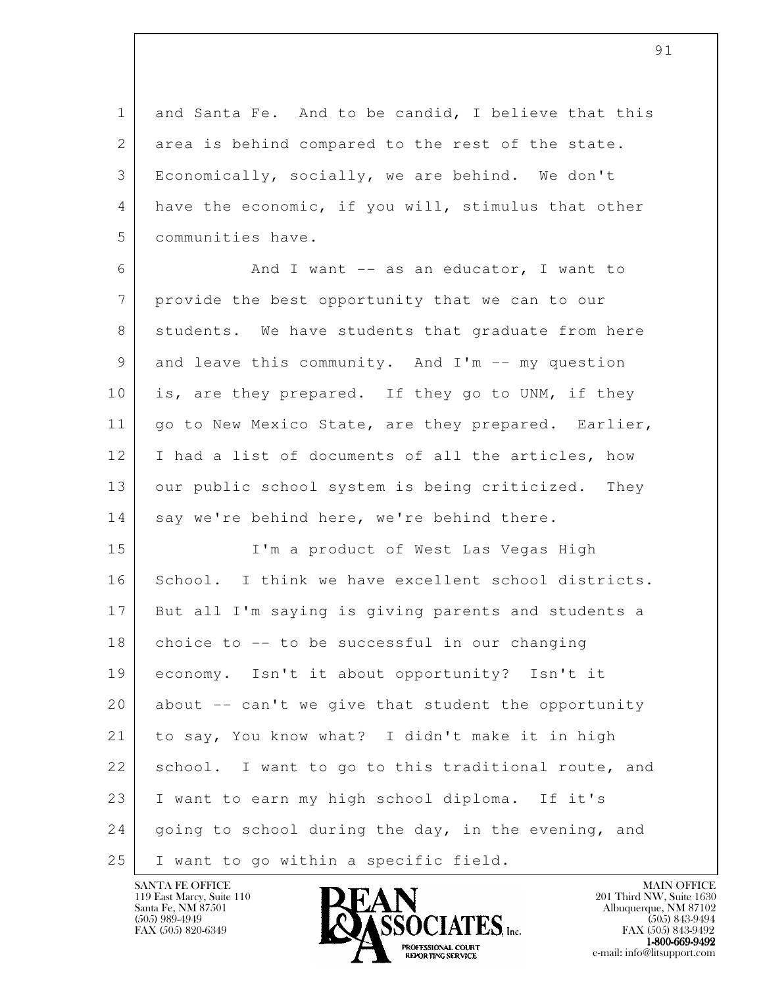1 and Santa Fe. And to be candid, I believe that this 2 area is behind compared to the rest of the state. 3 Economically, socially, we are behind. We don't 4 have the economic, if you will, stimulus that other 5 communities have.

6 And I want -- as an educator, I want to 7 provide the best opportunity that we can to our 8 students. We have students that graduate from here 9 and leave this community. And I'm -- my question 10 is, are they prepared. If they go to UNM, if they 11 | go to New Mexico State, are they prepared. Earlier, 12 I had a list of documents of all the articles, how 13 our public school system is being criticized. They 14 say we're behind here, we're behind there.

l 15 I'm a product of West Las Vegas High 16 School. I think we have excellent school districts. 17 But all I'm saying is giving parents and students a  $18$  choice to  $-$  to be successful in our changing 19 economy. Isn't it about opportunity? Isn't it 20 about -- can't we give that student the opportunity 21 to say, You know what? I didn't make it in high 22 | school. I want to go to this traditional route, and 23 I want to earn my high school diploma. If it's 24 going to school during the day, in the evening, and 25 I want to go within a specific field.

119 East Marcy, Suite 110<br>Santa Fe, NM 87501

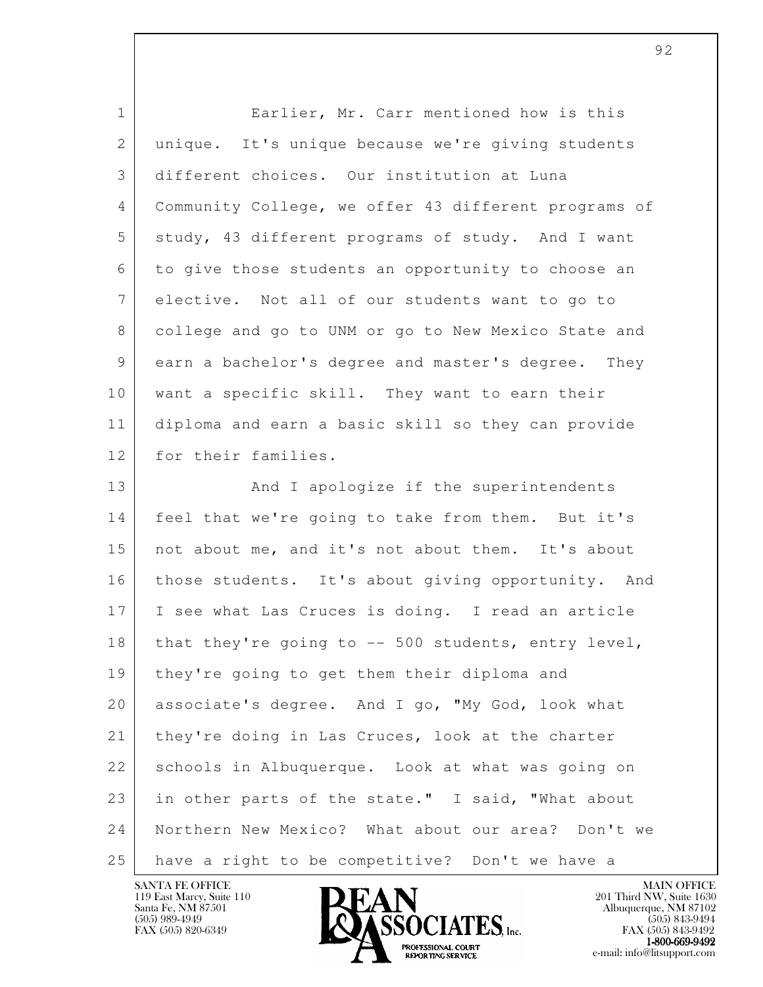| $\mathbf{1}$ | Earlier, Mr. Carr mentioned how is this              |
|--------------|------------------------------------------------------|
| 2            | unique. It's unique because we're giving students    |
| 3            | different choices. Our institution at Luna           |
| 4            | Community College, we offer 43 different programs of |
| 5            | study, 43 different programs of study. And I want    |
| 6            | to give those students an opportunity to choose an   |
| 7            | elective. Not all of our students want to go to      |
| 8            | college and go to UNM or go to New Mexico State and  |
| 9            | earn a bachelor's degree and master's degree. They   |
| 10           | want a specific skill. They want to earn their       |
| 11           | diploma and earn a basic skill so they can provide   |
| 12           | for their families.                                  |
| 13           | And I apologize if the superintendents               |
| 14           | feel that we're going to take from them. But it's    |
| 15           | not about me, and it's not about them. It's about    |
| 16           | those students. It's about giving opportunity. And   |
| 17           | I see what Las Cruces is doing. I read an article    |
| 18           | that they're going to $-$ 500 students, entry level, |
| 19           | they're going to get them their diploma and          |
| 20           | associate's degree. And I go, "My God, look what     |
| 21           | they're doing in Las Cruces, look at the charter     |
| 22           | schools in Albuquerque. Look at what was going on    |
| 23           | in other parts of the state." I said, "What about    |
| 24           | Northern New Mexico? What about our area? Don't we   |
| 25           | have a right to be competitive? Don't we have a      |

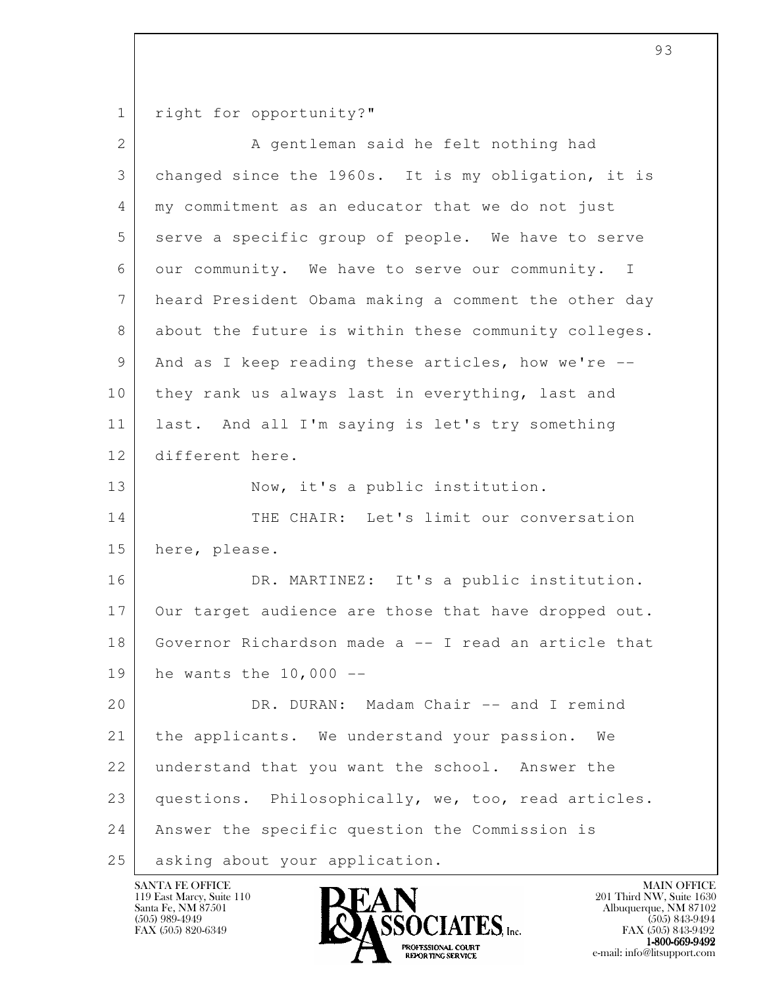1 right for opportunity?"

| $\overline{2}$ | A gentleman said he felt nothing had                           |
|----------------|----------------------------------------------------------------|
| 3              | changed since the 1960s. It is my obligation, it is            |
| 4              | my commitment as an educator that we do not just               |
| 5              | serve a specific group of people. We have to serve             |
| 6              | our community. We have to serve our community.<br>$\mathbb{I}$ |
| 7              | heard President Obama making a comment the other day           |
| 8              | about the future is within these community colleges.           |
| 9              | And as I keep reading these articles, how we're --             |
| 10             | they rank us always last in everything, last and               |
| 11             | last. And all I'm saying is let's try something                |
| 12             | different here.                                                |
| 13             | Now, it's a public institution.                                |
| 14             | THE CHAIR: Let's limit our conversation                        |
| 15             | here, please.                                                  |
| 16             | DR. MARTINEZ: It's a public institution.                       |
| 17             | Our target audience are those that have dropped out.           |
| 18             | Governor Richardson made a -- I read an article that           |
| 19             | he wants the $10,000$ --                                       |
| 20             | DR. DURAN: Madam Chair -- and I remind                         |
| 21             | the applicants. We understand your passion.<br>We              |
| 22             | understand that you want the school. Answer the                |
| 23             | questions. Philosophically, we, too, read articles.            |
| 24             | Answer the specific question the Commission is                 |
| 25             | asking about your application.                                 |

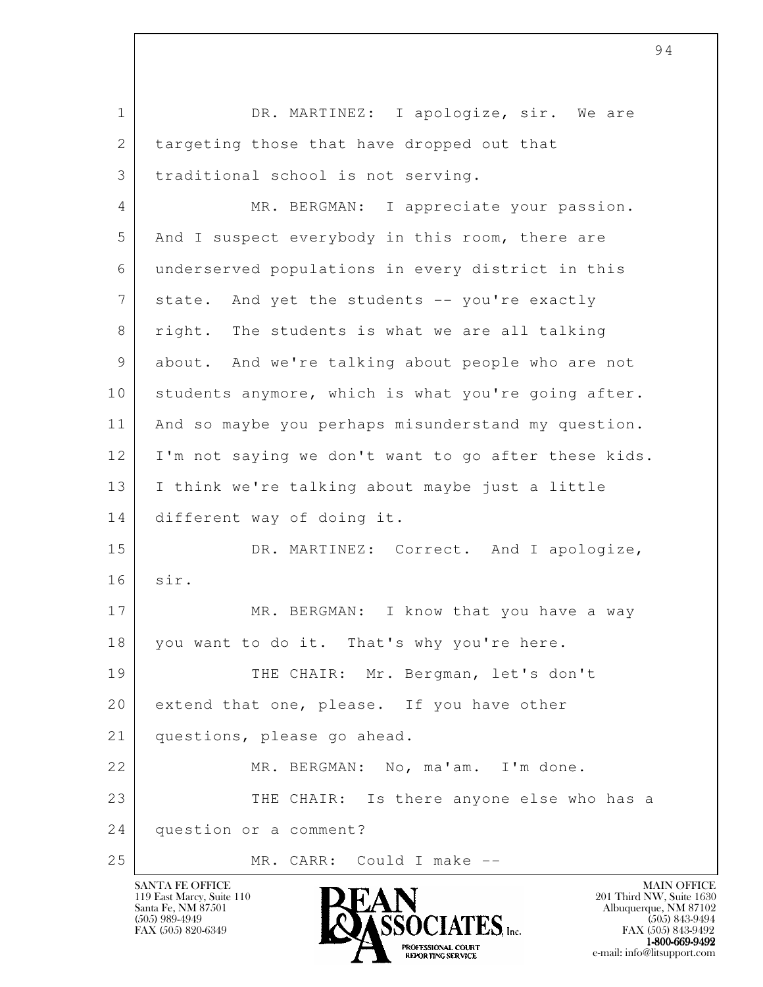l 1 DR. MARTINEZ: I apologize, sir. We are 2 targeting those that have dropped out that 3 | traditional school is not serving. 4 MR. BERGMAN: I appreciate your passion. 5 And I suspect everybody in this room, there are 6 underserved populations in every district in this 7 state. And yet the students -- you're exactly 8 right. The students is what we are all talking 9 about. And we're talking about people who are not 10 | students anymore, which is what you're going after. 11 | And so maybe you perhaps misunderstand my question. 12 I'm not saying we don't want to go after these kids. 13 I think we're talking about maybe just a little 14 different way of doing it. 15 DR. MARTINEZ: Correct. And I apologize, 16 sir. 17 MR. BERGMAN: I know that you have a way 18 you want to do it. That's why you're here. 19 THE CHAIR: Mr. Bergman, let's don't 20 extend that one, please. If you have other 21 questions, please go ahead. 22 MR. BERGMAN: No, ma'am. I'm done. 23 THE CHAIR: Is there anyone else who has a 24 question or a comment? 25 MR. CARR: Could I make --

119 East Marcy, Suite 110<br>Santa Fe, NM 87501



FAX (505) 843-9492  $1-800-669-9492$ <br>PROFESSIONAL COURT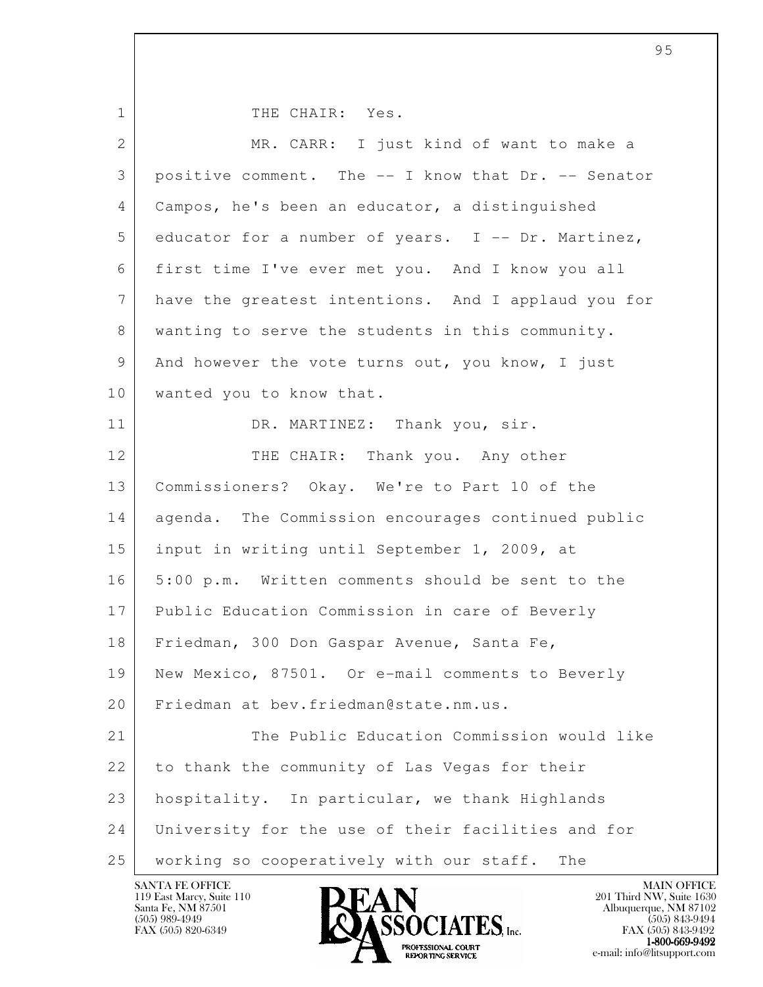1 | THE CHAIR: Yes.

| $\overline{2}$ | MR. CARR: I just kind of want to make a             |
|----------------|-----------------------------------------------------|
| 3              | positive comment. The -- I know that Dr. -- Senator |
| 4              | Campos, he's been an educator, a distinguished      |
| 5              | educator for a number of years. I -- Dr. Martinez,  |
| 6              | first time I've ever met you. And I know you all    |
| 7              | have the greatest intentions. And I applaud you for |
| 8              | wanting to serve the students in this community.    |
| 9              | And however the vote turns out, you know, I just    |
| 10             | wanted you to know that.                            |
| 11             | DR. MARTINEZ: Thank you, sir.                       |
| 12             | THE CHAIR: Thank you. Any other                     |
| 13             | Commissioners? Okay. We're to Part 10 of the        |
| 14             | agenda. The Commission encourages continued public  |
| 15             | input in writing until September 1, 2009, at        |
| 16             | 5:00 p.m. Written comments should be sent to the    |
| 17             | Public Education Commission in care of Beverly      |
| 18             | Friedman, 300 Don Gaspar Avenue, Santa Fe,          |
| 19             | New Mexico, 87501. Or e-mail comments to Beverly    |
| 20             | Friedman at bev.friedman@state.nm.us.               |
| 21             | The Public Education Commission would like          |
| 22             | to thank the community of Las Vegas for their       |
| 23             | hospitality. In particular, we thank Highlands      |
| 24             | University for the use of their facilities and for  |
| 25             | working so cooperatively with our staff.<br>The     |

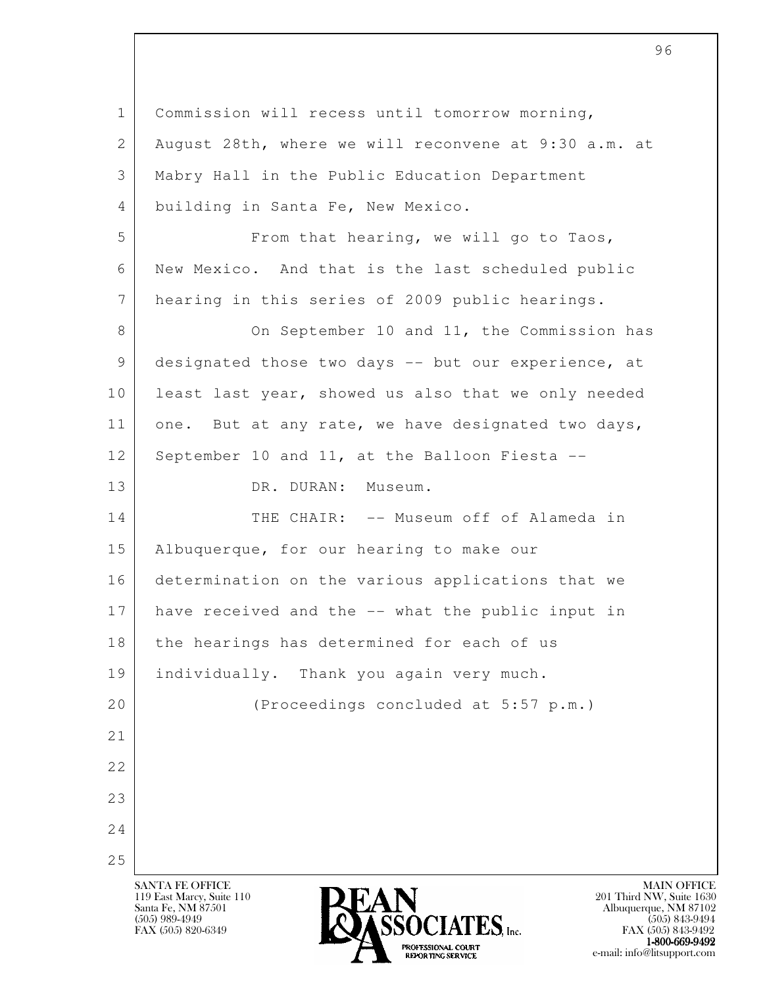l SANTA FE OFFICE MAIN OFFICE MAIN OFFICE MAIN OFFICE MAIN OFFICE 119 East Marcy, Suite 110 201 Third NW, Suite 1630<br>Santa Fe, NM 87501 201 Third NW, Suite 1630 Santa Fe, NM 87501 Albuquerque, NM 87102  $\overline{\text{S5OCIATS}}$  [505) 989-4949<br>FAX (505) 843-9494 (505) 843-9494 1 Commission will recess until tomorrow morning, 2 August 28th, where we will reconvene at 9:30 a.m. at 3 Mabry Hall in the Public Education Department 4 building in Santa Fe, New Mexico. 5 | From that hearing, we will go to Taos, 6 New Mexico. And that is the last scheduled public 7 hearing in this series of 2009 public hearings. 8 On September 10 and 11, the Commission has 9 designated those two days -- but our experience, at 10 | least last year, showed us also that we only needed 11 one. But at any rate, we have designated two days, 12 September 10 and 11, at the Balloon Fiesta --13 DR. DURAN: Museum. 14 THE CHAIR: -- Museum off of Alameda in 15 Albuquerque, for our hearing to make our 16 determination on the various applications that we 17 have received and the -- what the public input in 18 the hearings has determined for each of us 19 individually. Thank you again very much. 20 (Proceedings concluded at 5:57 p.m.) 21 22 23 24 25

FAX (505) 843-9492  $1-800-669-9492$ <br>PROFESSIONAL COURT

**EXPORTING SERVICE** EXPLORER THE REPORTING SERVICE